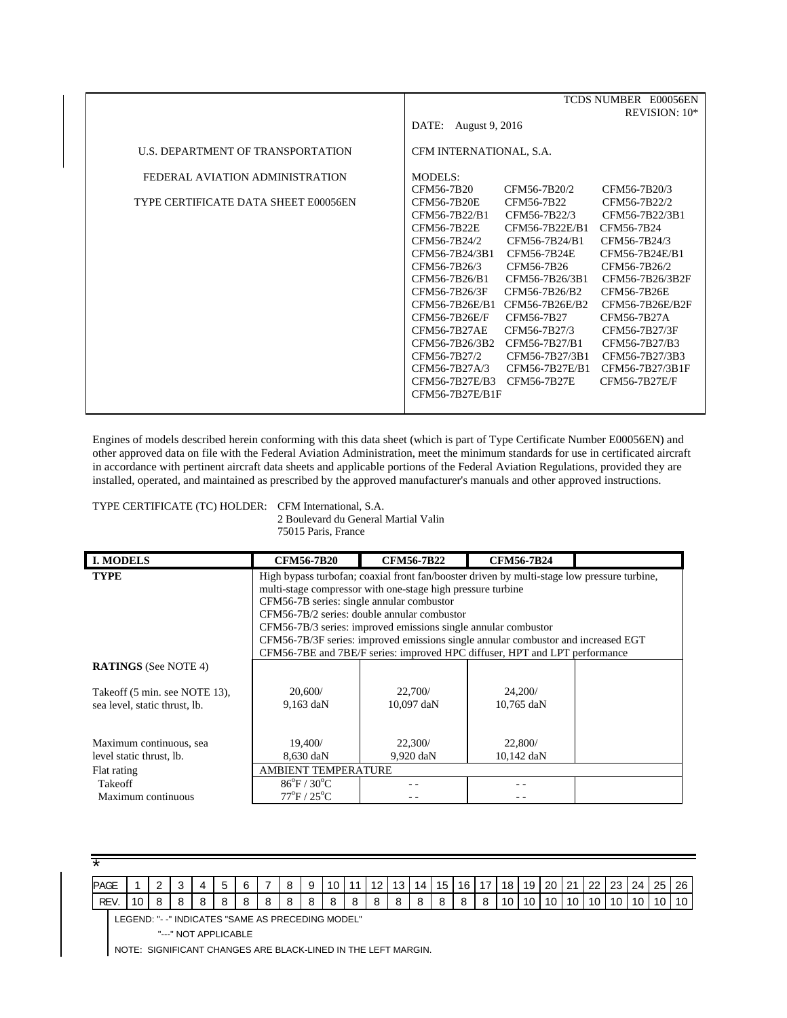|                                      |                         |                | TCDS NUMBER E00056EN |
|--------------------------------------|-------------------------|----------------|----------------------|
|                                      |                         |                | REVISION: 10*        |
|                                      | DATE:<br>August 9, 2016 |                |                      |
|                                      |                         |                |                      |
| U.S. DEPARTMENT OF TRANSPORTATION    | CFM INTERNATIONAL, S.A. |                |                      |
| FEDERAL AVIATION ADMINISTRATION      | MODELS:                 |                |                      |
|                                      | CFM56-7B20              | CFM56-7B20/2   | CFM56-7B20/3         |
| TYPE CERTIFICATE DATA SHEET E00056EN | <b>CFM56-7B20E</b>      | CFM56-7B22     | CFM56-7B22/2         |
|                                      | CFM56-7B22/B1           | CFM56-7B22/3   | CFM56-7B22/3B1       |
|                                      | CFM56-7B22E             | CFM56-7B22E/B1 | CFM56-7B24           |
|                                      | CFM56-7B24/2            | CFM56-7B24/B1  | CFM56-7B24/3         |
|                                      | CFM56-7B24/3B1          | CFM56-7B24E    | CFM56-7B24E/B1       |
|                                      | CFM56-7B26/3            | CFM56-7B26     | CFM56-7B26/2         |
|                                      | CFM56-7B26/B1           | CFM56-7B26/3B1 | CFM56-7B26/3B2F      |
|                                      | CFM56-7B26/3F           | CFM56-7B26/B2  | CFM56-7B26E          |
|                                      | CFM56-7B26E/B1          | CFM56-7B26E/B2 | CFM56-7B26E/B2F      |
|                                      | CFM56-7B26E/F           | CFM56-7B27     | CFM56-7B27A          |
|                                      | <b>CFM56-7B27AE</b>     | CFM56-7B27/3   | CFM56-7B27/3F        |
|                                      | CFM56-7B26/3B2          | CFM56-7B27/B1  | CFM56-7B27/B3        |
|                                      | CFM56-7B27/2            | CFM56-7B27/3B1 | CFM56-7B27/3B3       |
|                                      | CFM56-7B27A/3           | CFM56-7B27E/B1 | CFM56-7B27/3B1F      |
|                                      | CFM56-7B27E/B3          | CFM56-7B27E    | CFM56-7B27E/F        |
|                                      | CFM56-7B27E/B1F         |                |                      |
|                                      |                         |                |                      |
|                                      |                         |                |                      |

Engines of models described herein conforming with this data sheet (which is part of Type Certificate Number E00056EN) and other approved data on file with the Federal Aviation Administration, meet the minimum standards for use in certificated aircraft in accordance with pertinent aircraft data sheets and applicable portions of the Federal Aviation Regulations, provided they are installed, operated, and maintained as prescribed by the approved manufacturer's manuals and other approved instructions.

TYPE CERTIFICATE (TC) HOLDER: CFM International, S.A.

2 Boulevard du General Martial Valin 75015 Paris, France

| <b>I. MODELS</b>                                               | <b>CFM56-7B20</b>                                                                 | <b>CFM56-7B22</b>                                                                           | <b>CFM56-7B24</b>       |  |  |  |  |  |
|----------------------------------------------------------------|-----------------------------------------------------------------------------------|---------------------------------------------------------------------------------------------|-------------------------|--|--|--|--|--|
| <b>TYPE</b>                                                    |                                                                                   | High bypass turbofan; coaxial front fan/booster driven by multi-stage low pressure turbine, |                         |  |  |  |  |  |
|                                                                |                                                                                   | multi-stage compressor with one-stage high pressure turbine                                 |                         |  |  |  |  |  |
|                                                                | CFM56-7B series: single annular combustor                                         |                                                                                             |                         |  |  |  |  |  |
|                                                                | CFM56-7B/2 series: double annular combustor                                       |                                                                                             |                         |  |  |  |  |  |
|                                                                | CFM56-7B/3 series: improved emissions single annular combustor                    |                                                                                             |                         |  |  |  |  |  |
|                                                                | CFM56-7B/3F series: improved emissions single annular combustor and increased EGT |                                                                                             |                         |  |  |  |  |  |
|                                                                |                                                                                   | CFM56-7BE and 7BE/F series: improved HPC diffuser, HPT and LPT performance                  |                         |  |  |  |  |  |
| <b>RATINGS</b> (See NOTE 4)                                    |                                                                                   |                                                                                             |                         |  |  |  |  |  |
| Takeoff (5 min. see NOTE 13).<br>sea level, static thrust, lb. | 20,600/<br>$9,163$ daN                                                            | 22,700/<br>$10,097$ daN                                                                     | 24,200/<br>$10,765$ daN |  |  |  |  |  |
| Maximum continuous, sea<br>level static thrust, lb.            | 19.400/<br>8,630 daN                                                              | 22,300/<br>9,920 daN                                                                        | 22,800/<br>10,142 daN   |  |  |  |  |  |
| Flat rating                                                    | <b>AMBIENT TEMPERATURE</b>                                                        |                                                                                             |                         |  |  |  |  |  |
| Takeoff                                                        | $86^{\circ}$ F / 30 $^{\circ}$ C                                                  |                                                                                             |                         |  |  |  |  |  |
| Maximum continuous                                             | $77^{\circ}$ F / $25^{\circ}$ C                                                   |                                                                                             |                         |  |  |  |  |  |

| PAGE |    | $\sim$ |   |         | <b>6</b> | $\rightarrow$ | 8 | -9 | 10 I |         | 11   12   13   14   15 |   |   |   |   | 16 17 18 |                 |                 | 19   20   21   22   23   24   25   . |    |                 |                 | 26    |
|------|----|--------|---|---------|----------|---------------|---|----|------|---------|------------------------|---|---|---|---|----------|-----------------|-----------------|--------------------------------------|----|-----------------|-----------------|-------|
| REV. | 10 |        | 8 | $\circ$ | 8        | 8             | 8 | 8  | 8    | $\circ$ | 8                      | 8 | 8 | 8 | 8 | - 8      | 10 <sup>1</sup> | 10 <sub>1</sub> | 10 10                                | 10 | 10 <sup>1</sup> | 10 <sup>1</sup> | 10 10 |

LEGEND: "- -" INDICATES "SAME AS PRECEDING MODEL"

"---" NOT APPLICABLE

NOTE: SIGNIFICANT CHANGES ARE BLACK-LINED IN THE LEFT MARGIN.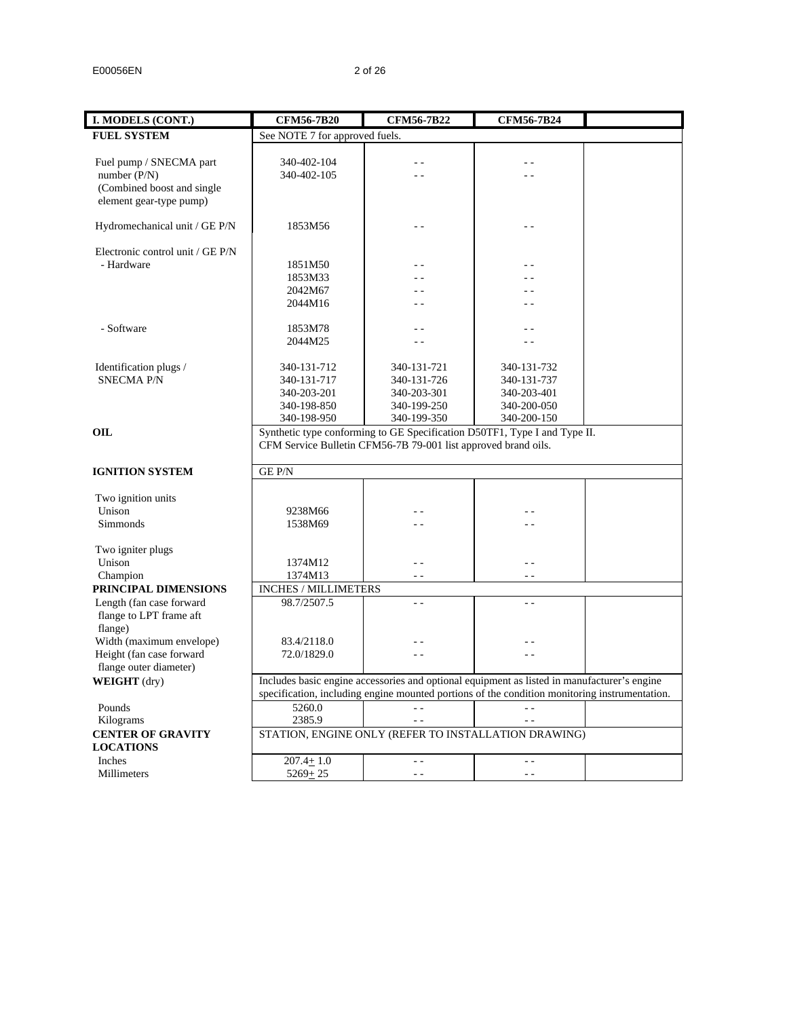| I. MODELS (CONT.)                | <b>CFM56-7B20</b>                                    | <b>CFM56-7B22</b>                                                                             | <b>CFM56-7B24</b> |  |  |  |  |  |
|----------------------------------|------------------------------------------------------|-----------------------------------------------------------------------------------------------|-------------------|--|--|--|--|--|
| <b>FUEL SYSTEM</b>               | See NOTE 7 for approved fuels.                       |                                                                                               |                   |  |  |  |  |  |
|                                  |                                                      |                                                                                               |                   |  |  |  |  |  |
| Fuel pump / SNECMA part          | 340-402-104                                          | $\sim$ $\sim$                                                                                 | - -               |  |  |  |  |  |
| number $(P/N)$                   | 340-402-105                                          |                                                                                               |                   |  |  |  |  |  |
| (Combined boost and single       |                                                      |                                                                                               |                   |  |  |  |  |  |
| element gear-type pump)          |                                                      |                                                                                               |                   |  |  |  |  |  |
|                                  |                                                      |                                                                                               |                   |  |  |  |  |  |
| Hydromechanical unit / GE P/N    | 1853M56                                              | . .                                                                                           |                   |  |  |  |  |  |
|                                  |                                                      |                                                                                               |                   |  |  |  |  |  |
| Electronic control unit / GE P/N |                                                      |                                                                                               |                   |  |  |  |  |  |
| - Hardware                       | 1851M50                                              |                                                                                               |                   |  |  |  |  |  |
|                                  | 1853M33                                              |                                                                                               |                   |  |  |  |  |  |
|                                  | 2042M67                                              |                                                                                               |                   |  |  |  |  |  |
|                                  | 2044M16                                              |                                                                                               |                   |  |  |  |  |  |
|                                  |                                                      |                                                                                               |                   |  |  |  |  |  |
| - Software                       | 1853M78                                              | $-$                                                                                           | $ -$              |  |  |  |  |  |
|                                  | 2044M25                                              | $ -$                                                                                          | $ -$              |  |  |  |  |  |
|                                  |                                                      |                                                                                               |                   |  |  |  |  |  |
| Identification plugs /           | 340-131-712                                          | 340-131-721                                                                                   | 340-131-732       |  |  |  |  |  |
| <b>SNECMA P/N</b>                | 340-131-717                                          | 340-131-726                                                                                   | 340-131-737       |  |  |  |  |  |
|                                  | 340-203-201                                          | 340-203-301                                                                                   | 340-203-401       |  |  |  |  |  |
|                                  | 340-198-850                                          | 340-199-250                                                                                   | 340-200-050       |  |  |  |  |  |
|                                  | 340-198-950                                          | 340-199-350                                                                                   | 340-200-150       |  |  |  |  |  |
| OIL                              |                                                      | Synthetic type conforming to GE Specification D50TF1, Type I and Type II.                     |                   |  |  |  |  |  |
|                                  |                                                      | CFM Service Bulletin CFM56-7B 79-001 list approved brand oils.                                |                   |  |  |  |  |  |
|                                  |                                                      |                                                                                               |                   |  |  |  |  |  |
| <b>IGNITION SYSTEM</b>           | <b>GEP/N</b>                                         |                                                                                               |                   |  |  |  |  |  |
|                                  |                                                      |                                                                                               |                   |  |  |  |  |  |
| Two ignition units               |                                                      |                                                                                               |                   |  |  |  |  |  |
| Unison                           | 9238M66                                              |                                                                                               |                   |  |  |  |  |  |
| Simmonds                         | 1538M69                                              |                                                                                               |                   |  |  |  |  |  |
|                                  |                                                      |                                                                                               |                   |  |  |  |  |  |
| Two igniter plugs                |                                                      |                                                                                               |                   |  |  |  |  |  |
| Unison                           | 1374M12                                              | $\sim$ $\sim$                                                                                 | $\sim$ $\sim$     |  |  |  |  |  |
| Champion                         | 1374M13                                              | $\sim$ $\sim$                                                                                 | $ -$              |  |  |  |  |  |
| PRINCIPAL DIMENSIONS             | <b>INCHES / MILLIMETERS</b>                          |                                                                                               |                   |  |  |  |  |  |
| Length (fan case forward         | 98.7/2507.5                                          | $\sim$ $\sim$                                                                                 | $\sim$ $\sim$     |  |  |  |  |  |
| flange to LPT frame aft          |                                                      |                                                                                               |                   |  |  |  |  |  |
| flange)                          |                                                      |                                                                                               |                   |  |  |  |  |  |
| Width (maximum envelope)         | 83.4/2118.0                                          |                                                                                               |                   |  |  |  |  |  |
| Height (fan case forward         | 72.0/1829.0                                          |                                                                                               |                   |  |  |  |  |  |
| flange outer diameter)           |                                                      |                                                                                               |                   |  |  |  |  |  |
| <b>WEIGHT</b> (dry)              |                                                      | Includes basic engine accessories and optional equipment as listed in manufacturer's engine   |                   |  |  |  |  |  |
|                                  |                                                      | specification, including engine mounted portions of the condition monitoring instrumentation. |                   |  |  |  |  |  |
| Pounds                           | 5260.0                                               |                                                                                               |                   |  |  |  |  |  |
| Kilograms                        | 2385.9                                               |                                                                                               |                   |  |  |  |  |  |
| <b>CENTER OF GRAVITY</b>         | STATION, ENGINE ONLY (REFER TO INSTALLATION DRAWING) |                                                                                               |                   |  |  |  |  |  |
| <b>LOCATIONS</b>                 |                                                      |                                                                                               |                   |  |  |  |  |  |
| Inches                           | $207.4 + 1.0$                                        | $\sim$ $\sim$                                                                                 | $\sim$ $\sim$     |  |  |  |  |  |
| Millimeters                      | $5269 + 25$                                          | $\sim$ $\sim$                                                                                 | $=$ $=$           |  |  |  |  |  |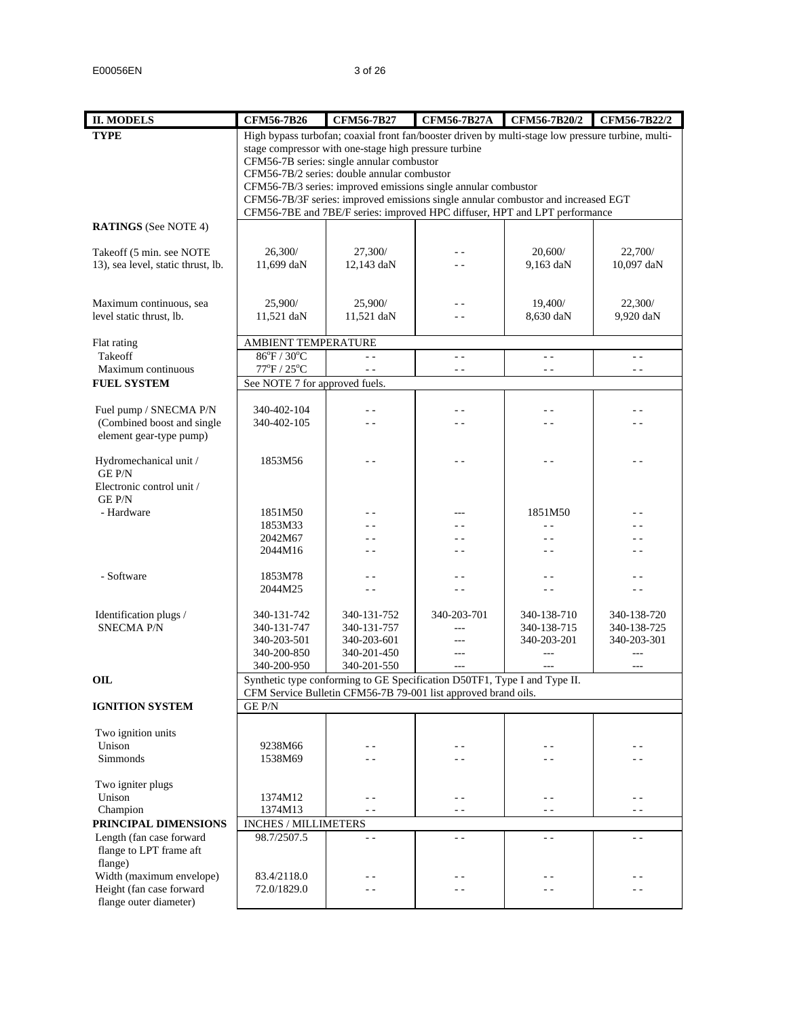| <b>II. MODELS</b>                                  | <b>CFM56-7B26</b>               | <b>CFM56-7B27</b>                                                                                                                                   | <b>CFM56-7B27A</b>    | CFM56-7B20/2             | CFM56-7B22/2             |  |  |  |  |  |
|----------------------------------------------------|---------------------------------|-----------------------------------------------------------------------------------------------------------------------------------------------------|-----------------------|--------------------------|--------------------------|--|--|--|--|--|
| <b>TYPE</b>                                        |                                 | High bypass turbofan; coaxial front fan/booster driven by multi-stage low pressure turbine, multi-                                                  |                       |                          |                          |  |  |  |  |  |
|                                                    |                                 | stage compressor with one-stage high pressure turbine                                                                                               |                       |                          |                          |  |  |  |  |  |
|                                                    |                                 | CFM56-7B series: single annular combustor                                                                                                           |                       |                          |                          |  |  |  |  |  |
|                                                    |                                 | CFM56-7B/2 series: double annular combustor                                                                                                         |                       |                          |                          |  |  |  |  |  |
|                                                    |                                 | CFM56-7B/3 series: improved emissions single annular combustor<br>CFM56-7B/3F series: improved emissions single annular combustor and increased EGT |                       |                          |                          |  |  |  |  |  |
|                                                    |                                 | CFM56-7BE and 7BE/F series: improved HPC diffuser, HPT and LPT performance                                                                          |                       |                          |                          |  |  |  |  |  |
| <b>RATINGS</b> (See NOTE 4)                        |                                 |                                                                                                                                                     |                       |                          |                          |  |  |  |  |  |
|                                                    |                                 |                                                                                                                                                     |                       |                          |                          |  |  |  |  |  |
| Takeoff (5 min. see NOTE                           | 26,300/                         | 27,300/                                                                                                                                             | - -                   | 20,600/                  | 22,700/                  |  |  |  |  |  |
| 13), sea level, static thrust, lb.                 | 11,699 daN                      | 12,143 daN                                                                                                                                          |                       | 9,163 daN                | 10,097 daN               |  |  |  |  |  |
|                                                    |                                 |                                                                                                                                                     |                       |                          |                          |  |  |  |  |  |
| Maximum continuous, sea                            | 25,900/                         | 25,900/                                                                                                                                             | - -                   | 19,400/                  | 22,300/                  |  |  |  |  |  |
| level static thrust, lb.                           | 11,521 daN                      | 11,521 daN                                                                                                                                          | . .                   | 8,630 daN                | 9,920 daN                |  |  |  |  |  |
|                                                    |                                 |                                                                                                                                                     |                       |                          |                          |  |  |  |  |  |
| Flat rating                                        | AMBIENT TEMPERATURE             |                                                                                                                                                     |                       |                          |                          |  |  |  |  |  |
| Takeoff                                            | 86°F / 30°C                     | $-$                                                                                                                                                 | $\overline{a}$        | $ -$                     | $\sim$ $\sim$            |  |  |  |  |  |
| Maximum continuous                                 | $77^{\circ}$ F / $25^{\circ}$ C |                                                                                                                                                     | $\sim$ $\sim$         | $ -$                     | $\sim$ $\sim$            |  |  |  |  |  |
| <b>FUEL SYSTEM</b>                                 |                                 | See NOTE 7 for approved fuels.                                                                                                                      |                       |                          |                          |  |  |  |  |  |
| Fuel pump / SNECMA P/N                             | 340-402-104                     | - -                                                                                                                                                 | - -                   | $\sim$ $\sim$            | $\sim$ $\sim$            |  |  |  |  |  |
| (Combined boost and single                         | 340-402-105                     |                                                                                                                                                     |                       |                          | $\overline{\phantom{a}}$ |  |  |  |  |  |
| element gear-type pump)                            |                                 |                                                                                                                                                     |                       |                          |                          |  |  |  |  |  |
|                                                    |                                 |                                                                                                                                                     |                       |                          |                          |  |  |  |  |  |
| Hydromechanical unit /                             | 1853M56                         |                                                                                                                                                     |                       |                          |                          |  |  |  |  |  |
| <b>GEP/N</b><br>Electronic control unit /          |                                 |                                                                                                                                                     |                       |                          |                          |  |  |  |  |  |
| <b>GE P/N</b>                                      |                                 |                                                                                                                                                     |                       |                          |                          |  |  |  |  |  |
| - Hardware                                         | 1851M50                         | - -                                                                                                                                                 | ---                   | 1851M50                  | - -                      |  |  |  |  |  |
|                                                    | 1853M33                         |                                                                                                                                                     |                       | $\overline{a}$           |                          |  |  |  |  |  |
|                                                    | 2042M67                         |                                                                                                                                                     |                       | - -                      | - -                      |  |  |  |  |  |
|                                                    | 2044M16                         | $-$                                                                                                                                                 | $ -$                  | $\sim$ $\sim$            | - -                      |  |  |  |  |  |
|                                                    |                                 |                                                                                                                                                     |                       |                          |                          |  |  |  |  |  |
| - Software                                         | 1853M78<br>2044M25              | - -<br>$-$                                                                                                                                          | $ -$<br>$\sim$ $\sim$ | $=$ $-$<br>$\sim$ $\sim$ | - -<br>$ -$              |  |  |  |  |  |
|                                                    |                                 |                                                                                                                                                     |                       |                          |                          |  |  |  |  |  |
| Identification plugs /                             | 340-131-742                     | 340-131-752                                                                                                                                         | 340-203-701           | 340-138-710              | 340-138-720              |  |  |  |  |  |
| <b>SNECMA P/N</b>                                  | 340-131-747                     | 340-131-757                                                                                                                                         | ---                   | 340-138-715              | 340-138-725              |  |  |  |  |  |
|                                                    | 340-203-501                     | 340-203-601                                                                                                                                         | ---                   | 340-203-201              | 340-203-301              |  |  |  |  |  |
|                                                    | 340-200-850                     | 340-201-450                                                                                                                                         | $\overline{a}$        | ---                      | $\overline{a}$           |  |  |  |  |  |
|                                                    | 340-200-950                     | 340-201-550                                                                                                                                         | ---                   |                          | $---$                    |  |  |  |  |  |
| OIL                                                |                                 | Synthetic type conforming to GE Specification D50TF1, Type I and Type II.<br>CFM Service Bulletin CFM56-7B 79-001 list approved brand oils.         |                       |                          |                          |  |  |  |  |  |
| <b>IGNITION SYSTEM</b>                             | <b>GEP/N</b>                    |                                                                                                                                                     |                       |                          |                          |  |  |  |  |  |
|                                                    |                                 |                                                                                                                                                     |                       |                          |                          |  |  |  |  |  |
| Two ignition units                                 |                                 |                                                                                                                                                     |                       |                          |                          |  |  |  |  |  |
| Unison                                             | 9238M66                         |                                                                                                                                                     |                       |                          |                          |  |  |  |  |  |
| Simmonds                                           | 1538M69                         |                                                                                                                                                     | - -                   | - -                      | - -                      |  |  |  |  |  |
|                                                    |                                 |                                                                                                                                                     |                       |                          |                          |  |  |  |  |  |
| Two igniter plugs<br>Unison                        | 1374M12                         | - -                                                                                                                                                 | $\sim$ $\sim$         | $ -$                     | $ -$                     |  |  |  |  |  |
| Champion                                           | 1374M13                         | $ -$                                                                                                                                                | $ -$                  | $ -$                     | $ -$                     |  |  |  |  |  |
| PRINCIPAL DIMENSIONS                               | <b>INCHES / MILLIMETERS</b>     |                                                                                                                                                     |                       |                          |                          |  |  |  |  |  |
| Length (fan case forward                           | 98.7/2507.5                     | $\sim$ $\sim$                                                                                                                                       | $\sim$ $\sim$         | $\overline{a}$           | $\sim$ $\sim$            |  |  |  |  |  |
| flange to LPT frame aft                            |                                 |                                                                                                                                                     |                       |                          |                          |  |  |  |  |  |
| flange)                                            |                                 |                                                                                                                                                     |                       |                          |                          |  |  |  |  |  |
| Width (maximum envelope)                           | 83.4/2118.0                     | - -                                                                                                                                                 | - -                   | . .                      | - -                      |  |  |  |  |  |
| Height (fan case forward<br>flange outer diameter) | 72.0/1829.0                     | - -                                                                                                                                                 | - -                   | - -                      | - -                      |  |  |  |  |  |
|                                                    |                                 |                                                                                                                                                     |                       |                          |                          |  |  |  |  |  |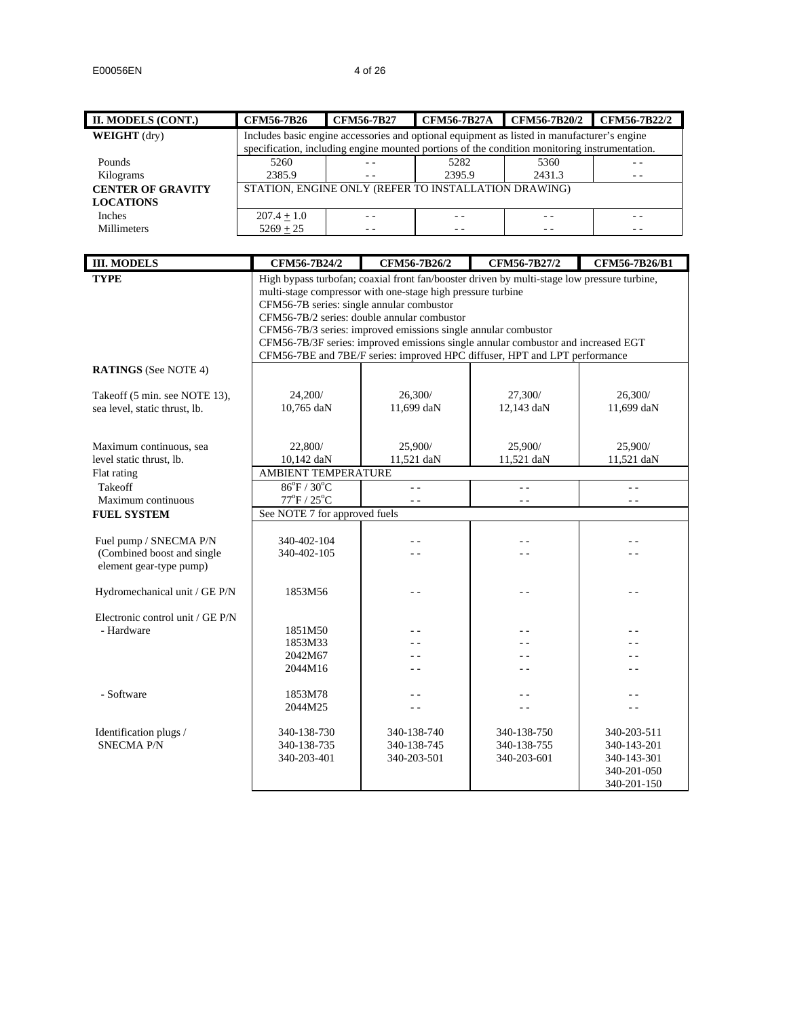| II. MODELS (CONT.)                          | <b>CFM56-7B26</b>                                                                             |                                                                                                               | <b>CFM56-7B27</b>     |                                   |            | CFM56-7B27A CFM56-7B20/2                                                          | CFM56-7B22/2                                                                                |  |  |  |
|---------------------------------------------|-----------------------------------------------------------------------------------------------|---------------------------------------------------------------------------------------------------------------|-----------------------|-----------------------------------|------------|-----------------------------------------------------------------------------------|---------------------------------------------------------------------------------------------|--|--|--|
| <b>WEIGHT</b> (dry)                         | Includes basic engine accessories and optional equipment as listed in manufacturer's engine   |                                                                                                               |                       |                                   |            |                                                                                   |                                                                                             |  |  |  |
|                                             | specification, including engine mounted portions of the condition monitoring instrumentation. |                                                                                                               |                       |                                   |            |                                                                                   |                                                                                             |  |  |  |
| Pounds                                      | 5260                                                                                          |                                                                                                               | $=$ $=$               | 5282                              |            | 5360                                                                              |                                                                                             |  |  |  |
| Kilograms                                   | 2385.9                                                                                        |                                                                                                               | $\sim$ $\sim$         | 2395.9                            |            | 2431.3                                                                            | $ -$                                                                                        |  |  |  |
| <b>CENTER OF GRAVITY</b>                    | STATION, ENGINE ONLY (REFER TO INSTALLATION DRAWING)                                          |                                                                                                               |                       |                                   |            |                                                                                   |                                                                                             |  |  |  |
| <b>LOCATIONS</b>                            |                                                                                               |                                                                                                               |                       |                                   |            |                                                                                   |                                                                                             |  |  |  |
| Inches                                      | $207.4 + 1.0$                                                                                 |                                                                                                               | $\sim$ $\sim$         | $\sim$ $\sim$                     |            | $\omega_{\rm c}$ $\omega$                                                         | $\sim$ $-$                                                                                  |  |  |  |
| Millimeters                                 | $5269 + 25$                                                                                   |                                                                                                               | $\sim$ $\sim$         | $\sim$ $\sim$                     |            | $\sim$ $\sim$                                                                     | $ -$                                                                                        |  |  |  |
|                                             |                                                                                               |                                                                                                               |                       |                                   |            |                                                                                   |                                                                                             |  |  |  |
|                                             |                                                                                               |                                                                                                               |                       | CFM56-7B26/2                      |            |                                                                                   |                                                                                             |  |  |  |
| <b>III. MODELS</b>                          | CFM56-7B24/2                                                                                  |                                                                                                               |                       |                                   |            | CFM56-7B27/2                                                                      | CFM56-7B26/B1                                                                               |  |  |  |
| <b>TYPE</b>                                 |                                                                                               |                                                                                                               |                       |                                   |            |                                                                                   | High bypass turbofan; coaxial front fan/booster driven by multi-stage low pressure turbine, |  |  |  |
|                                             | multi-stage compressor with one-stage high pressure turbine                                   |                                                                                                               |                       |                                   |            |                                                                                   |                                                                                             |  |  |  |
|                                             |                                                                                               | CFM56-7B series: single annular combustor                                                                     |                       |                                   |            |                                                                                   |                                                                                             |  |  |  |
|                                             |                                                                                               | CFM56-7B/2 series: double annular combustor<br>CFM56-7B/3 series: improved emissions single annular combustor |                       |                                   |            |                                                                                   |                                                                                             |  |  |  |
|                                             |                                                                                               |                                                                                                               |                       |                                   |            | CFM56-7B/3F series: improved emissions single annular combustor and increased EGT |                                                                                             |  |  |  |
|                                             |                                                                                               |                                                                                                               |                       |                                   |            | CFM56-7BE and 7BE/F series: improved HPC diffuser, HPT and LPT performance        |                                                                                             |  |  |  |
| <b>RATINGS</b> (See NOTE 4)                 |                                                                                               |                                                                                                               |                       |                                   |            |                                                                                   |                                                                                             |  |  |  |
| Takeoff (5 min. see NOTE 13),               | 24,200/                                                                                       |                                                                                                               |                       |                                   |            | 27,300/                                                                           | 26,300/                                                                                     |  |  |  |
| sea level, static thrust, lb.               | 10,765 daN                                                                                    |                                                                                                               | 26,300/<br>11,699 daN |                                   | 12,143 daN |                                                                                   | 11,699 daN                                                                                  |  |  |  |
|                                             |                                                                                               |                                                                                                               |                       |                                   |            |                                                                                   |                                                                                             |  |  |  |
|                                             |                                                                                               |                                                                                                               |                       |                                   |            |                                                                                   |                                                                                             |  |  |  |
| Maximum continuous, sea                     | 22,800/                                                                                       |                                                                                                               |                       | 25,900/                           |            | 25,900/                                                                           | 25,900/                                                                                     |  |  |  |
| level static thrust, lb.                    | 10,142 daN                                                                                    |                                                                                                               |                       | 11,521 daN                        |            | 11,521 daN                                                                        | 11,521 daN                                                                                  |  |  |  |
| Flat rating                                 | AMBIENT TEMPERATURE                                                                           |                                                                                                               |                       |                                   |            |                                                                                   |                                                                                             |  |  |  |
| Takeoff                                     | $86^{\circ}F / 30^{\circ}C$                                                                   |                                                                                                               |                       | $\omega_{\rm c}$ $\omega_{\rm c}$ |            | $\sim$ $\sim$                                                                     | $\sim$ $\sim$                                                                               |  |  |  |
| Maximum continuous                          | $77^{\circ}$ F / $25^{\circ}$ C                                                               |                                                                                                               |                       | $\sim$ $\sim$                     |            | $\sim$ $\sim$                                                                     | $\sim$ $\sim$                                                                               |  |  |  |
| <b>FUEL SYSTEM</b>                          | See NOTE 7 for approved fuels                                                                 |                                                                                                               |                       |                                   |            |                                                                                   |                                                                                             |  |  |  |
|                                             |                                                                                               |                                                                                                               |                       |                                   |            |                                                                                   |                                                                                             |  |  |  |
| Fuel pump / SNECMA P/N                      | 340-402-104                                                                                   |                                                                                                               |                       | $\sim$ $\sim$                     |            | $\sim$                                                                            | ٥.                                                                                          |  |  |  |
| (Combined boost and single                  | 340-402-105                                                                                   |                                                                                                               |                       | $\overline{\phantom{0}}$          |            | . .                                                                               | . .                                                                                         |  |  |  |
| element gear-type pump)                     |                                                                                               |                                                                                                               |                       |                                   |            |                                                                                   |                                                                                             |  |  |  |
|                                             |                                                                                               |                                                                                                               |                       |                                   |            |                                                                                   |                                                                                             |  |  |  |
| Hydromechanical unit / GE P/N               | 1853M56                                                                                       |                                                                                                               |                       | . .                               |            | $\sim$ $\sim$                                                                     | $\sim$ $\sim$                                                                               |  |  |  |
|                                             |                                                                                               |                                                                                                               |                       |                                   |            |                                                                                   |                                                                                             |  |  |  |
| Electronic control unit / GE P/N            |                                                                                               |                                                                                                               |                       |                                   |            |                                                                                   |                                                                                             |  |  |  |
| - Hardware                                  | 1851M50                                                                                       |                                                                                                               |                       | $\overline{\phantom{0}}$          |            |                                                                                   |                                                                                             |  |  |  |
|                                             | 1853M33                                                                                       |                                                                                                               |                       | . .                               |            |                                                                                   |                                                                                             |  |  |  |
|                                             | 2042M67                                                                                       |                                                                                                               |                       | $ -$                              |            | . .                                                                               | . .                                                                                         |  |  |  |
|                                             | 2044M16                                                                                       |                                                                                                               |                       | $ -$                              |            | . .                                                                               | - -                                                                                         |  |  |  |
|                                             |                                                                                               |                                                                                                               |                       |                                   |            |                                                                                   |                                                                                             |  |  |  |
| - Software                                  | 1853M78                                                                                       |                                                                                                               |                       | $\overline{\phantom{0}}$          |            | . .                                                                               | . .                                                                                         |  |  |  |
|                                             | 2044M25                                                                                       |                                                                                                               |                       | $\sim$ $\sim$                     |            | . .                                                                               | $\sim$ $\sim$                                                                               |  |  |  |
|                                             | 340-138-730                                                                                   |                                                                                                               |                       | 340-138-740                       |            | 340-138-750                                                                       | 340-203-511                                                                                 |  |  |  |
| Identification plugs /<br><b>SNECMA P/N</b> | 340-138-735                                                                                   |                                                                                                               |                       | 340-138-745                       |            | 340-138-755                                                                       | 340-143-201                                                                                 |  |  |  |
|                                             | 340-203-401                                                                                   |                                                                                                               |                       | 340-203-501                       |            | 340-203-601                                                                       | 340-143-301                                                                                 |  |  |  |
|                                             |                                                                                               |                                                                                                               |                       |                                   |            |                                                                                   | 340-201-050                                                                                 |  |  |  |
|                                             |                                                                                               |                                                                                                               |                       |                                   |            |                                                                                   | 340-201-150                                                                                 |  |  |  |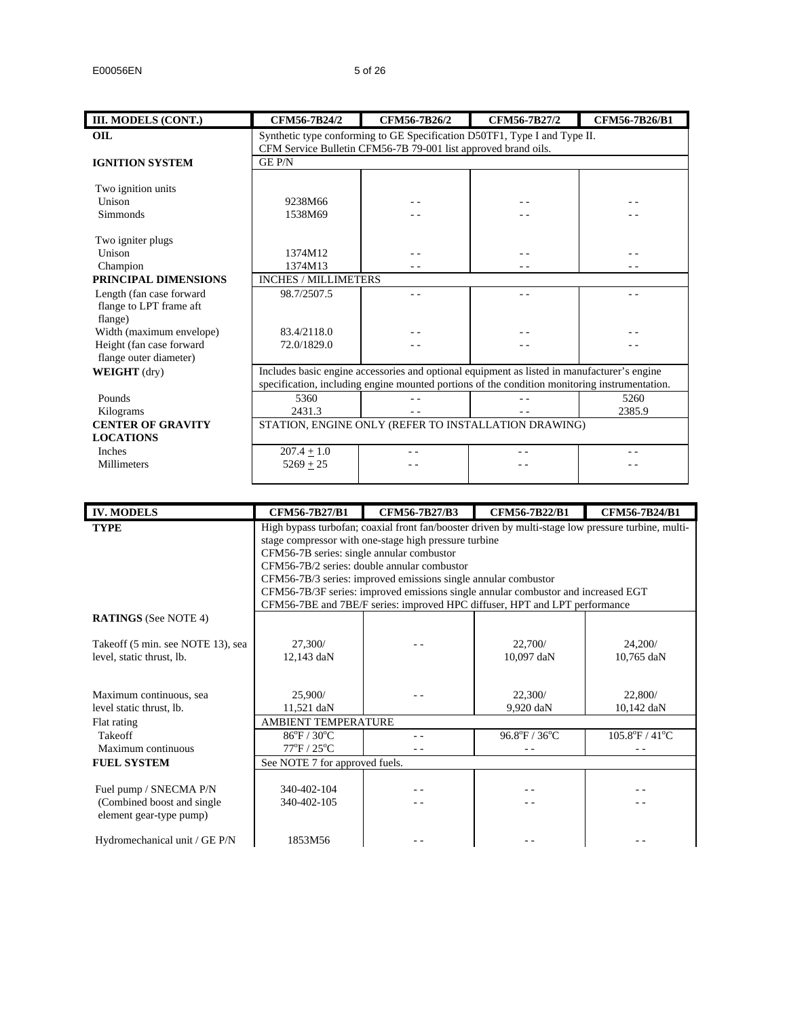| III. MODELS (CONT.)      | CFM56-7B24/2                | CFM56-7B26/2                                                   | CFM56-7B27/2                                                                                  | CFM56-7B26/B1 |  |  |  |  |
|--------------------------|-----------------------------|----------------------------------------------------------------|-----------------------------------------------------------------------------------------------|---------------|--|--|--|--|
| <b>OIL</b>               |                             |                                                                | Synthetic type conforming to GE Specification D50TF1, Type I and Type II.                     |               |  |  |  |  |
|                          |                             | CFM Service Bulletin CFM56-7B 79-001 list approved brand oils. |                                                                                               |               |  |  |  |  |
| <b>IGNITION SYSTEM</b>   | GE P/N                      |                                                                |                                                                                               |               |  |  |  |  |
|                          |                             |                                                                |                                                                                               |               |  |  |  |  |
| Two ignition units       |                             |                                                                |                                                                                               |               |  |  |  |  |
| Unison                   | 9238M66                     |                                                                |                                                                                               |               |  |  |  |  |
| Simmonds                 | 1538M69                     |                                                                |                                                                                               |               |  |  |  |  |
|                          |                             |                                                                |                                                                                               |               |  |  |  |  |
| Two igniter plugs        |                             |                                                                |                                                                                               |               |  |  |  |  |
| Unison                   | 1374M12                     |                                                                |                                                                                               |               |  |  |  |  |
| Champion                 | 1374M13                     |                                                                |                                                                                               |               |  |  |  |  |
| PRINCIPAL DIMENSIONS     | <b>INCHES / MILLIMETERS</b> |                                                                |                                                                                               |               |  |  |  |  |
| Length (fan case forward | 98.7/2507.5                 |                                                                | - -                                                                                           |               |  |  |  |  |
| flange to LPT frame aft  |                             |                                                                |                                                                                               |               |  |  |  |  |
| flange)                  |                             |                                                                |                                                                                               |               |  |  |  |  |
| Width (maximum envelope) | 83.4/2118.0                 |                                                                |                                                                                               |               |  |  |  |  |
| Height (fan case forward | 72.0/1829.0                 |                                                                |                                                                                               |               |  |  |  |  |
| flange outer diameter)   |                             |                                                                |                                                                                               |               |  |  |  |  |
| <b>WEIGHT</b> (dry)      |                             |                                                                | Includes basic engine accessories and optional equipment as listed in manufacturer's engine   |               |  |  |  |  |
|                          |                             |                                                                | specification, including engine mounted portions of the condition monitoring instrumentation. |               |  |  |  |  |
| Pounds                   | 5360                        |                                                                |                                                                                               | 5260          |  |  |  |  |
| Kilograms                | 2431.3                      |                                                                |                                                                                               | 2385.9        |  |  |  |  |
| <b>CENTER OF GRAVITY</b> |                             |                                                                | STATION, ENGINE ONLY (REFER TO INSTALLATION DRAWING)                                          |               |  |  |  |  |
| <b>LOCATIONS</b>         |                             |                                                                |                                                                                               |               |  |  |  |  |
| <b>Inches</b>            | $207.4 + 1.0$               |                                                                |                                                                                               |               |  |  |  |  |
| <b>Millimeters</b>       | $5269 + 25$                 |                                                                |                                                                                               |               |  |  |  |  |
|                          |                             |                                                                |                                                                                               |               |  |  |  |  |

| <b>IV. MODELS</b>                                                                | CFM56-7B27/B1                                                                                                                                                                                                                                                                                                                                                                                                                                                                                | CFM56-7B27/B3 | CFM56-7B22/B1           | CFM56-7B24/B1                       |  |  |  |  |  |
|----------------------------------------------------------------------------------|----------------------------------------------------------------------------------------------------------------------------------------------------------------------------------------------------------------------------------------------------------------------------------------------------------------------------------------------------------------------------------------------------------------------------------------------------------------------------------------------|---------------|-------------------------|-------------------------------------|--|--|--|--|--|
| <b>TYPE</b>                                                                      | High bypass turbofan; coaxial front fan/booster driven by multi-stage low pressure turbine, multi-<br>stage compressor with one-stage high pressure turbine<br>CFM56-7B series: single annular combustor<br>CFM56-7B/2 series: double annular combustor<br>CFM56-7B/3 series: improved emissions single annular combustor<br>CFM56-7B/3F series: improved emissions single annular combustor and increased EGT<br>CFM56-7BE and 7BE/F series: improved HPC diffuser, HPT and LPT performance |               |                         |                                     |  |  |  |  |  |
| <b>RATINGS</b> (See NOTE 4)                                                      |                                                                                                                                                                                                                                                                                                                                                                                                                                                                                              |               |                         |                                     |  |  |  |  |  |
| Takeoff (5 min. see NOTE 13), sea<br>level, static thrust, lb.                   | 27,300/<br>12,143 daN                                                                                                                                                                                                                                                                                                                                                                                                                                                                        |               | 22,700/<br>$10,097$ daN | 24,200/<br>10,765 daN               |  |  |  |  |  |
| Maximum continuous, sea<br>level static thrust, lb.                              | 25,900/<br>11,521 daN                                                                                                                                                                                                                                                                                                                                                                                                                                                                        |               | 22,300/<br>9.920 daN    | 22,800/<br>10,142 daN               |  |  |  |  |  |
| Flat rating                                                                      | AMBIENT TEMPERATURE                                                                                                                                                                                                                                                                                                                                                                                                                                                                          |               |                         |                                     |  |  |  |  |  |
| Takeoff<br>Maximum continuous                                                    | $86^{\circ}$ F / 30 $^{\circ}$ C<br>$77^{\circ}$ F / $25^{\circ}$ C                                                                                                                                                                                                                                                                                                                                                                                                                          |               | 96.8°F / 36°C           | $105.8^{\circ}$ F / 41 $^{\circ}$ C |  |  |  |  |  |
| <b>FUEL SYSTEM</b>                                                               | See NOTE 7 for approved fuels.                                                                                                                                                                                                                                                                                                                                                                                                                                                               |               |                         |                                     |  |  |  |  |  |
| Fuel pump / SNECMA P/N<br>(Combined boost and single)<br>element gear-type pump) | 340-402-104<br>340-402-105                                                                                                                                                                                                                                                                                                                                                                                                                                                                   |               |                         |                                     |  |  |  |  |  |
| Hydromechanical unit / GE P/N                                                    | 1853M56                                                                                                                                                                                                                                                                                                                                                                                                                                                                                      |               |                         |                                     |  |  |  |  |  |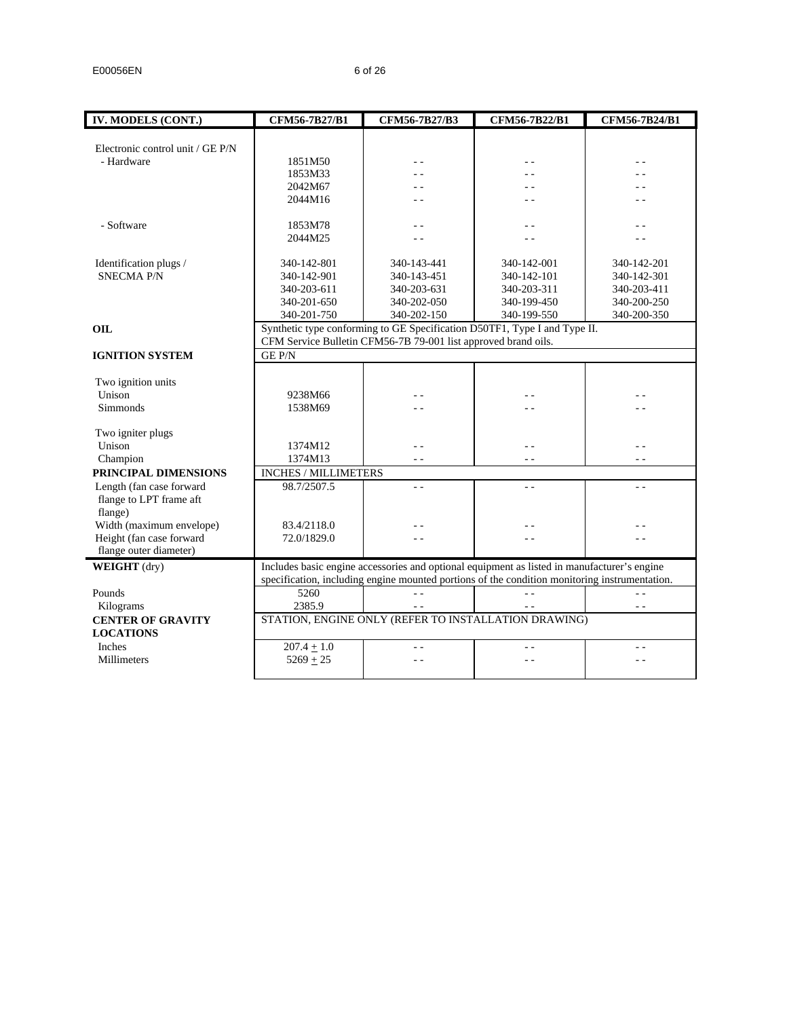| IV. MODELS (CONT.)               | CFM56-7B27/B1        | CFM56-7B27/B3                                                  | CFM56-7B22/B1                                                                                 | CFM56-7B24/B1  |
|----------------------------------|----------------------|----------------------------------------------------------------|-----------------------------------------------------------------------------------------------|----------------|
|                                  |                      |                                                                |                                                                                               |                |
| Electronic control unit / GE P/N |                      |                                                                |                                                                                               |                |
| - Hardware                       | 1851M50              |                                                                |                                                                                               |                |
|                                  | 1853M33              |                                                                |                                                                                               |                |
|                                  | 2042M67              |                                                                |                                                                                               |                |
|                                  | 2044M16              |                                                                | - -                                                                                           |                |
| - Software                       | 1853M78              |                                                                |                                                                                               |                |
|                                  | 2044M25              |                                                                |                                                                                               |                |
|                                  |                      |                                                                |                                                                                               |                |
| Identification plugs /           | 340-142-801          | 340-143-441                                                    | 340-142-001                                                                                   | 340-142-201    |
| <b>SNECMA P/N</b>                | 340-142-901          | 340-143-451                                                    | 340-142-101                                                                                   | 340-142-301    |
|                                  | 340-203-611          | 340-203-631                                                    | 340-203-311                                                                                   | 340-203-411    |
|                                  | 340-201-650          | 340-202-050                                                    | 340-199-450                                                                                   | 340-200-250    |
|                                  | 340-201-750          | 340-202-150                                                    | 340-199-550                                                                                   | 340-200-350    |
| <b>OIL</b>                       |                      |                                                                | Synthetic type conforming to GE Specification D50TF1, Type I and Type II.                     |                |
|                                  |                      | CFM Service Bulletin CFM56-7B 79-001 list approved brand oils. |                                                                                               |                |
| <b>IGNITION SYSTEM</b>           | <b>GE P/N</b>        |                                                                |                                                                                               |                |
|                                  |                      |                                                                |                                                                                               |                |
| Two ignition units               |                      |                                                                |                                                                                               |                |
| Unison                           | 9238M66              |                                                                |                                                                                               |                |
| <b>Simmonds</b>                  | 1538M69              |                                                                |                                                                                               |                |
| Two igniter plugs                |                      |                                                                |                                                                                               |                |
| Unison                           | 1374M12              | $\sim$ $\sim$                                                  | $\sim$ $\sim$                                                                                 |                |
| Champion                         | 1374M13              | $\sim$ $\sim$                                                  | $\sim$ $\sim$                                                                                 | $=$ $-$        |
| PRINCIPAL DIMENSIONS             | INCHES / MILLIMETERS |                                                                |                                                                                               |                |
| Length (fan case forward         | 98.7/2507.5          | $\sim$ $\sim$                                                  | $\sim$ $\sim$                                                                                 | $\sim$ $\sim$  |
| flange to LPT frame aft          |                      |                                                                |                                                                                               |                |
| flange)                          |                      |                                                                |                                                                                               |                |
| Width (maximum envelope)         | 83.4/2118.0          |                                                                |                                                                                               |                |
| Height (fan case forward         | 72.0/1829.0          |                                                                | - -                                                                                           |                |
| flange outer diameter)           |                      |                                                                |                                                                                               |                |
| WEIGHT (dry)                     |                      |                                                                | Includes basic engine accessories and optional equipment as listed in manufacturer's engine   |                |
|                                  |                      |                                                                | specification, including engine mounted portions of the condition monitoring instrumentation. |                |
| Pounds                           | 5260                 | $\sim$ $\sim$                                                  | $\sim$ $\sim$                                                                                 | $\overline{a}$ |
| Kilograms                        | 2385.9               | $\sim$ $\sim$                                                  | $=$ $-$                                                                                       | $\overline{a}$ |
| <b>CENTER OF GRAVITY</b>         |                      |                                                                | STATION, ENGINE ONLY (REFER TO INSTALLATION DRAWING)                                          |                |
| <b>LOCATIONS</b>                 |                      |                                                                |                                                                                               |                |
| Inches                           | $207.4 \pm 1.0$      | $ -$                                                           | . .                                                                                           |                |
| Millimeters                      | $5269 + 25$          | - -                                                            | $ -$                                                                                          |                |
|                                  |                      |                                                                |                                                                                               |                |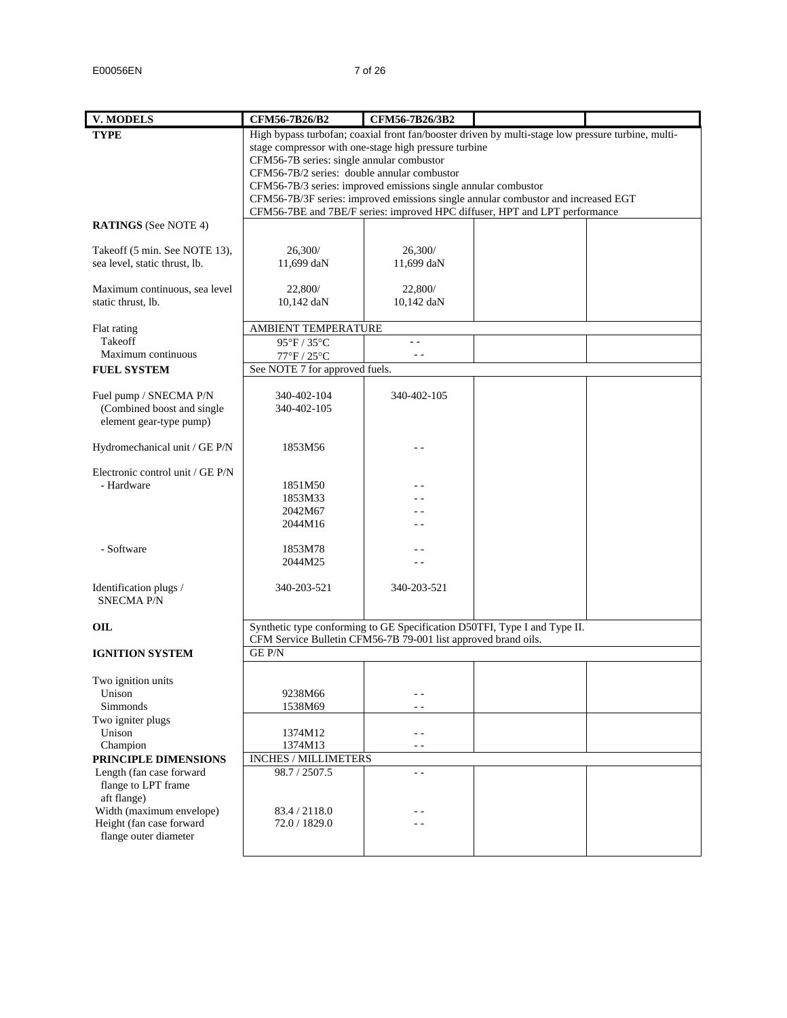| <b>V. MODELS</b>                        | CFM56-7B26/B2                                                                                                 | CFM56-7B26/3B2 |  |
|-----------------------------------------|---------------------------------------------------------------------------------------------------------------|----------------|--|
| <b>TYPE</b>                             | High bypass turbofan; coaxial front fan/booster driven by multi-stage low pressure turbine, multi-            |                |  |
|                                         | stage compressor with one-stage high pressure turbine                                                         |                |  |
|                                         | CFM56-7B series: single annular combustor                                                                     |                |  |
|                                         | CFM56-7B/2 series: double annular combustor<br>CFM56-7B/3 series: improved emissions single annular combustor |                |  |
|                                         | CFM56-7B/3F series: improved emissions single annular combustor and increased EGT                             |                |  |
|                                         | CFM56-7BE and 7BE/F series: improved HPC diffuser, HPT and LPT performance                                    |                |  |
| <b>RATINGS</b> (See NOTE 4)             |                                                                                                               |                |  |
| Takeoff (5 min. See NOTE 13),           | 26,300/                                                                                                       | 26,300/        |  |
| sea level, static thrust, lb.           | 11,699 daN                                                                                                    | 11,699 daN     |  |
|                                         |                                                                                                               |                |  |
| Maximum continuous, sea level           | 22,800/                                                                                                       | 22,800/        |  |
| static thrust, lb.                      | 10,142 daN                                                                                                    | 10,142 daN     |  |
| Flat rating                             | AMBIENT TEMPERATURE                                                                                           |                |  |
| Takeoff                                 | 95°F / 35°C                                                                                                   | $ -$           |  |
| Maximum continuous                      | 77°F / 25°C                                                                                                   | $\sim$ $\sim$  |  |
| <b>FUEL SYSTEM</b>                      | See NOTE 7 for approved fuels.                                                                                |                |  |
| Fuel pump / SNECMA P/N                  | 340-402-104                                                                                                   | 340-402-105    |  |
| (Combined boost and single              | 340-402-105                                                                                                   |                |  |
| element gear-type pump)                 |                                                                                                               |                |  |
|                                         |                                                                                                               |                |  |
| Hydromechanical unit / GE P/N           | 1853M56                                                                                                       |                |  |
| Electronic control unit / GE P/N        |                                                                                                               |                |  |
| - Hardware                              | 1851M50                                                                                                       |                |  |
|                                         | 1853M33                                                                                                       |                |  |
|                                         | 2042M67                                                                                                       |                |  |
|                                         | 2044M16                                                                                                       |                |  |
| - Software                              | 1853M78                                                                                                       |                |  |
|                                         | 2044M25                                                                                                       |                |  |
|                                         |                                                                                                               |                |  |
| Identification plugs /                  | 340-203-521                                                                                                   | 340-203-521    |  |
| <b>SNECMA P/N</b>                       |                                                                                                               |                |  |
| OIL                                     | Synthetic type conforming to GE Specification D50TFI, Type I and Type II.                                     |                |  |
|                                         | CFM Service Bulletin CFM56-7B 79-001 list approved brand oils.                                                |                |  |
| <b>IGNITION SYSTEM</b>                  | <b>GE P/N</b>                                                                                                 |                |  |
|                                         |                                                                                                               |                |  |
| Two ignition units                      |                                                                                                               |                |  |
| Unison<br>Simmonds                      | 9238M66<br>1538M69                                                                                            | - -<br>. .     |  |
| Two igniter plugs                       |                                                                                                               |                |  |
| Unison                                  | 1374M12                                                                                                       | - -            |  |
| Champion                                | 1374M13                                                                                                       | $\frac{1}{2}$  |  |
| PRINCIPLE DIMENSIONS                    | INCHES / MILLIMETERS                                                                                          |                |  |
| Length (fan case forward                | 98.7 / 2507.5                                                                                                 | . .            |  |
| flange to LPT frame                     |                                                                                                               |                |  |
| aft flange)<br>Width (maximum envelope) | 83.4 / 2118.0                                                                                                 |                |  |
| Height (fan case forward                | 72.0 / 1829.0                                                                                                 |                |  |
| flange outer diameter                   |                                                                                                               |                |  |
|                                         |                                                                                                               |                |  |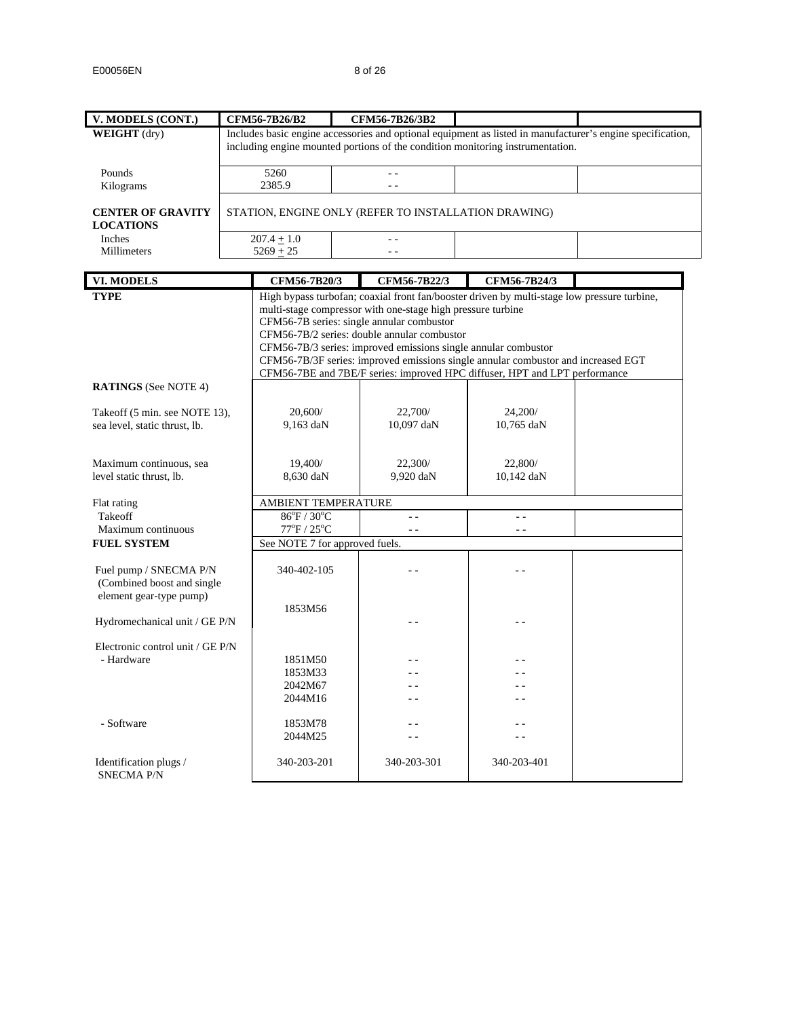| V. MODELS (CONT.)                           | CFM56-7B26/B2                   |  | CFM56-7B26/3B2                                                                                           |                                                                                             |                                                                                                            |
|---------------------------------------------|---------------------------------|--|----------------------------------------------------------------------------------------------------------|---------------------------------------------------------------------------------------------|------------------------------------------------------------------------------------------------------------|
| <b>WEIGHT</b> (dry)                         |                                 |  |                                                                                                          |                                                                                             | Includes basic engine accessories and optional equipment as listed in manufacturer's engine specification, |
|                                             |                                 |  |                                                                                                          | including engine mounted portions of the condition monitoring instrumentation.              |                                                                                                            |
|                                             |                                 |  |                                                                                                          |                                                                                             |                                                                                                            |
| Pounds                                      | 5260<br>2385.9                  |  |                                                                                                          |                                                                                             |                                                                                                            |
| Kilograms                                   |                                 |  |                                                                                                          |                                                                                             |                                                                                                            |
| <b>CENTER OF GRAVITY</b>                    |                                 |  | STATION, ENGINE ONLY (REFER TO INSTALLATION DRAWING)                                                     |                                                                                             |                                                                                                            |
| <b>LOCATIONS</b>                            |                                 |  |                                                                                                          |                                                                                             |                                                                                                            |
| Inches                                      | $207.4 \pm 1.0$                 |  | $\omega_{\rm c}$ .                                                                                       |                                                                                             |                                                                                                            |
| Millimeters                                 | $5269 + 25$                     |  | $\sim$ $\sim$                                                                                            |                                                                                             |                                                                                                            |
|                                             |                                 |  |                                                                                                          |                                                                                             |                                                                                                            |
| <b>VI. MODELS</b>                           | CFM56-7B20/3                    |  | CFM56-7B22/3                                                                                             | CFM56-7B24/3                                                                                |                                                                                                            |
| <b>TYPE</b>                                 |                                 |  |                                                                                                          | High bypass turbofan; coaxial front fan/booster driven by multi-stage low pressure turbine, |                                                                                                            |
|                                             |                                 |  | multi-stage compressor with one-stage high pressure turbine<br>CFM56-7B series: single annular combustor |                                                                                             |                                                                                                            |
|                                             |                                 |  | CFM56-7B/2 series: double annular combustor                                                              |                                                                                             |                                                                                                            |
|                                             |                                 |  | CFM56-7B/3 series: improved emissions single annular combustor                                           |                                                                                             |                                                                                                            |
|                                             |                                 |  |                                                                                                          | CFM56-7B/3F series: improved emissions single annular combustor and increased EGT           |                                                                                                            |
|                                             |                                 |  |                                                                                                          | CFM56-7BE and 7BE/F series: improved HPC diffuser, HPT and LPT performance                  |                                                                                                            |
| <b>RATINGS</b> (See NOTE 4)                 |                                 |  |                                                                                                          |                                                                                             |                                                                                                            |
| Takeoff (5 min. see NOTE 13),               | 20,600/                         |  | 22,700/                                                                                                  | 24,200/                                                                                     |                                                                                                            |
| sea level, static thrust, lb.               | $9,163$ daN                     |  | 10,097 daN                                                                                               | 10,765 daN                                                                                  |                                                                                                            |
|                                             |                                 |  |                                                                                                          |                                                                                             |                                                                                                            |
|                                             |                                 |  |                                                                                                          |                                                                                             |                                                                                                            |
| Maximum continuous, sea                     | 19,400/                         |  | 22,300/                                                                                                  | 22,800/                                                                                     |                                                                                                            |
| level static thrust, lb.                    | 8,630 daN                       |  | 9,920 daN                                                                                                | 10,142 daN                                                                                  |                                                                                                            |
| Flat rating                                 | AMBIENT TEMPERATURE             |  |                                                                                                          |                                                                                             |                                                                                                            |
| Takeoff                                     | $86^{\circ}F / 30^{\circ}C$     |  | $\overline{a}$                                                                                           | $\sim$ $\sim$                                                                               |                                                                                                            |
| Maximum continuous                          | $77^{\circ}$ F / $25^{\circ}$ C |  | $ -$                                                                                                     | $ -$                                                                                        |                                                                                                            |
| <b>FUEL SYSTEM</b>                          | See NOTE 7 for approved fuels.  |  |                                                                                                          |                                                                                             |                                                                                                            |
|                                             |                                 |  |                                                                                                          |                                                                                             |                                                                                                            |
| Fuel pump / SNECMA P/N                      | 340-402-105                     |  | - -                                                                                                      |                                                                                             |                                                                                                            |
| (Combined boost and single                  |                                 |  |                                                                                                          |                                                                                             |                                                                                                            |
| element gear-type pump)                     | 1853M56                         |  |                                                                                                          |                                                                                             |                                                                                                            |
| Hydromechanical unit / GE P/N               |                                 |  | - -                                                                                                      |                                                                                             |                                                                                                            |
|                                             |                                 |  |                                                                                                          |                                                                                             |                                                                                                            |
| Electronic control unit / GE P/N            |                                 |  |                                                                                                          |                                                                                             |                                                                                                            |
| - Hardware                                  | 1851M50                         |  |                                                                                                          |                                                                                             |                                                                                                            |
|                                             | 1853M33                         |  |                                                                                                          |                                                                                             |                                                                                                            |
|                                             | 2042M67<br>2044M16              |  | . .                                                                                                      |                                                                                             |                                                                                                            |
|                                             |                                 |  |                                                                                                          |                                                                                             |                                                                                                            |
| - Software                                  | 1853M78                         |  | - -                                                                                                      | $ -$                                                                                        |                                                                                                            |
|                                             | 2044M25                         |  |                                                                                                          |                                                                                             |                                                                                                            |
|                                             |                                 |  |                                                                                                          |                                                                                             |                                                                                                            |
| Identification plugs /<br><b>SNECMA P/N</b> | 340-203-201                     |  | 340-203-301                                                                                              | 340-203-401                                                                                 |                                                                                                            |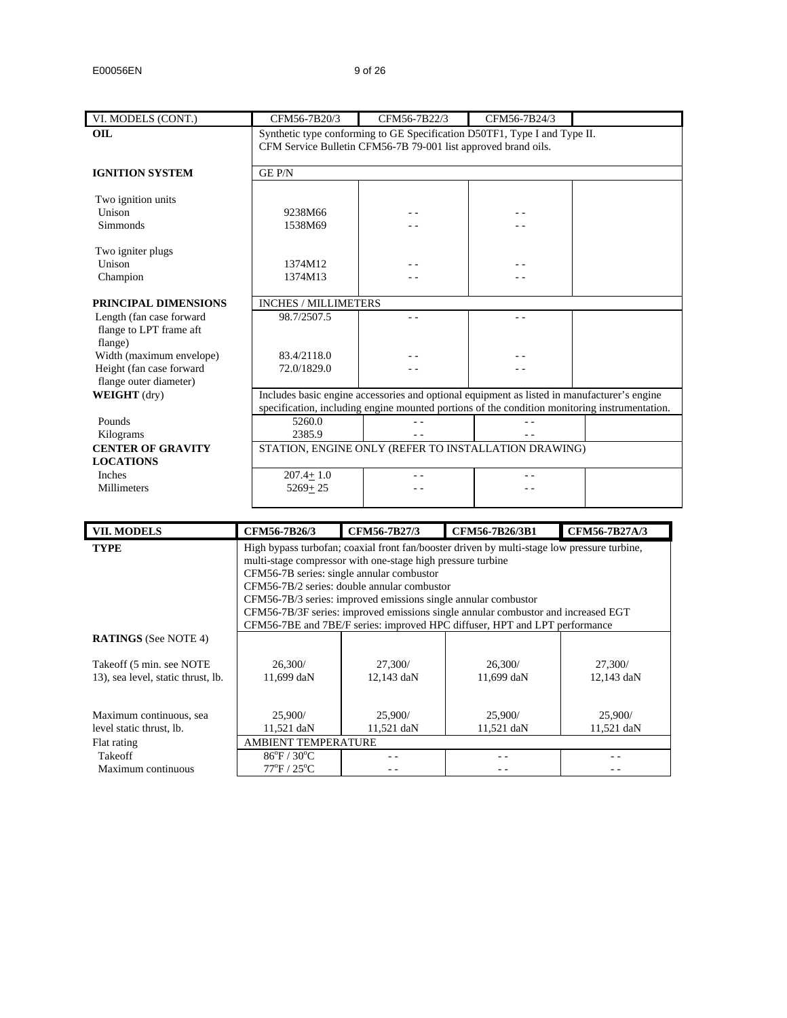| VI. MODELS (CONT.)                                             | CFM56-7B20/3                | CFM56-7B22/3                                                                                                                                | CFM56-7B24/3 |  |  |  |  |  |  |
|----------------------------------------------------------------|-----------------------------|---------------------------------------------------------------------------------------------------------------------------------------------|--------------|--|--|--|--|--|--|
| <b>OIL</b>                                                     |                             | Synthetic type conforming to GE Specification D50TF1, Type I and Type II.<br>CFM Service Bulletin CFM56-7B 79-001 list approved brand oils. |              |  |  |  |  |  |  |
|                                                                |                             |                                                                                                                                             |              |  |  |  |  |  |  |
| <b>IGNITION SYSTEM</b>                                         | <b>GEP/N</b>                |                                                                                                                                             |              |  |  |  |  |  |  |
|                                                                |                             |                                                                                                                                             |              |  |  |  |  |  |  |
| Two ignition units                                             |                             |                                                                                                                                             |              |  |  |  |  |  |  |
| Unison                                                         | 9238M66                     |                                                                                                                                             |              |  |  |  |  |  |  |
| Simmonds                                                       | 1538M69                     |                                                                                                                                             |              |  |  |  |  |  |  |
| Two igniter plugs                                              |                             |                                                                                                                                             |              |  |  |  |  |  |  |
| Unison                                                         | 1374M12                     |                                                                                                                                             |              |  |  |  |  |  |  |
| Champion                                                       | 1374M13                     |                                                                                                                                             |              |  |  |  |  |  |  |
|                                                                |                             |                                                                                                                                             |              |  |  |  |  |  |  |
| PRINCIPAL DIMENSIONS                                           | <b>INCHES / MILLIMETERS</b> |                                                                                                                                             |              |  |  |  |  |  |  |
| Length (fan case forward<br>flange to LPT frame aft<br>flange) | 98.7/2507.5                 |                                                                                                                                             | - -          |  |  |  |  |  |  |
| Width (maximum envelope)                                       | 83.4/2118.0                 |                                                                                                                                             |              |  |  |  |  |  |  |
| Height (fan case forward                                       | 72.0/1829.0                 |                                                                                                                                             |              |  |  |  |  |  |  |
| flange outer diameter)                                         |                             |                                                                                                                                             |              |  |  |  |  |  |  |
| <b>WEIGHT</b> (dry)                                            |                             | Includes basic engine accessories and optional equipment as listed in manufacturer's engine                                                 |              |  |  |  |  |  |  |
|                                                                |                             | specification, including engine mounted portions of the condition monitoring instrumentation.                                               |              |  |  |  |  |  |  |
| Pounds                                                         | 5260.0                      |                                                                                                                                             |              |  |  |  |  |  |  |
| Kilograms                                                      | 2385.9                      |                                                                                                                                             |              |  |  |  |  |  |  |
| <b>CENTER OF GRAVITY</b>                                       |                             | STATION, ENGINE ONLY (REFER TO INSTALLATION DRAWING)                                                                                        |              |  |  |  |  |  |  |
| <b>LOCATIONS</b>                                               |                             |                                                                                                                                             |              |  |  |  |  |  |  |
| Inches                                                         | $207.4 + 1.0$               |                                                                                                                                             |              |  |  |  |  |  |  |
| <b>Millimeters</b>                                             | $5269 + 25$                 |                                                                                                                                             |              |  |  |  |  |  |  |
|                                                                |                             |                                                                                                                                             |              |  |  |  |  |  |  |
|                                                                |                             |                                                                                                                                             |              |  |  |  |  |  |  |

| <b>VII. MODELS</b>                 | CFM56-7B26/3                              | CFM56-7B27/3                                                                                | CFM56-7B26/3B1                                                                    | CFM56-7B27A/3 |  |
|------------------------------------|-------------------------------------------|---------------------------------------------------------------------------------------------|-----------------------------------------------------------------------------------|---------------|--|
| <b>TYPE</b>                        |                                           | High bypass turbofan; coaxial front fan/booster driven by multi-stage low pressure turbine, |                                                                                   |               |  |
|                                    |                                           | multi-stage compressor with one-stage high pressure turbine                                 |                                                                                   |               |  |
|                                    | CFM56-7B series: single annular combustor |                                                                                             |                                                                                   |               |  |
|                                    |                                           | CFM56-7B/2 series: double annular combustor                                                 |                                                                                   |               |  |
|                                    |                                           | CFM56-7B/3 series: improved emissions single annular combustor                              |                                                                                   |               |  |
|                                    |                                           |                                                                                             | CFM56-7B/3F series: improved emissions single annular combustor and increased EGT |               |  |
|                                    |                                           |                                                                                             | CFM56-7BE and 7BE/F series: improved HPC diffuser, HPT and LPT performance        |               |  |
| <b>RATINGS</b> (See NOTE 4)        |                                           |                                                                                             |                                                                                   |               |  |
|                                    |                                           |                                                                                             |                                                                                   |               |  |
| Takeoff (5 min. see NOTE)          | 26,300/                                   | 27,300/                                                                                     | 26,300/                                                                           | 27,300/       |  |
| 13), sea level, static thrust, lb. | 11,699 daN                                | 12,143 daN                                                                                  | 11,699 daN                                                                        | 12,143 daN    |  |
|                                    |                                           |                                                                                             |                                                                                   |               |  |
|                                    |                                           |                                                                                             |                                                                                   |               |  |
| Maximum continuous, sea            | 25,900/                                   | 25,900/                                                                                     | 25,900/                                                                           | 25,900/       |  |
| level static thrust, lb.           | 11,521 daN                                | 11,521 daN                                                                                  | 11,521 daN                                                                        | 11,521 daN    |  |
| Flat rating                        | <b>AMBIENT TEMPERATURE</b>                |                                                                                             |                                                                                   |               |  |
| Takeoff                            | $86^{\circ}$ F / 30 $^{\circ}$ C          |                                                                                             |                                                                                   |               |  |
| Maximum continuous                 | $77^{\circ}$ F / $25^{\circ}$ C           |                                                                                             |                                                                                   |               |  |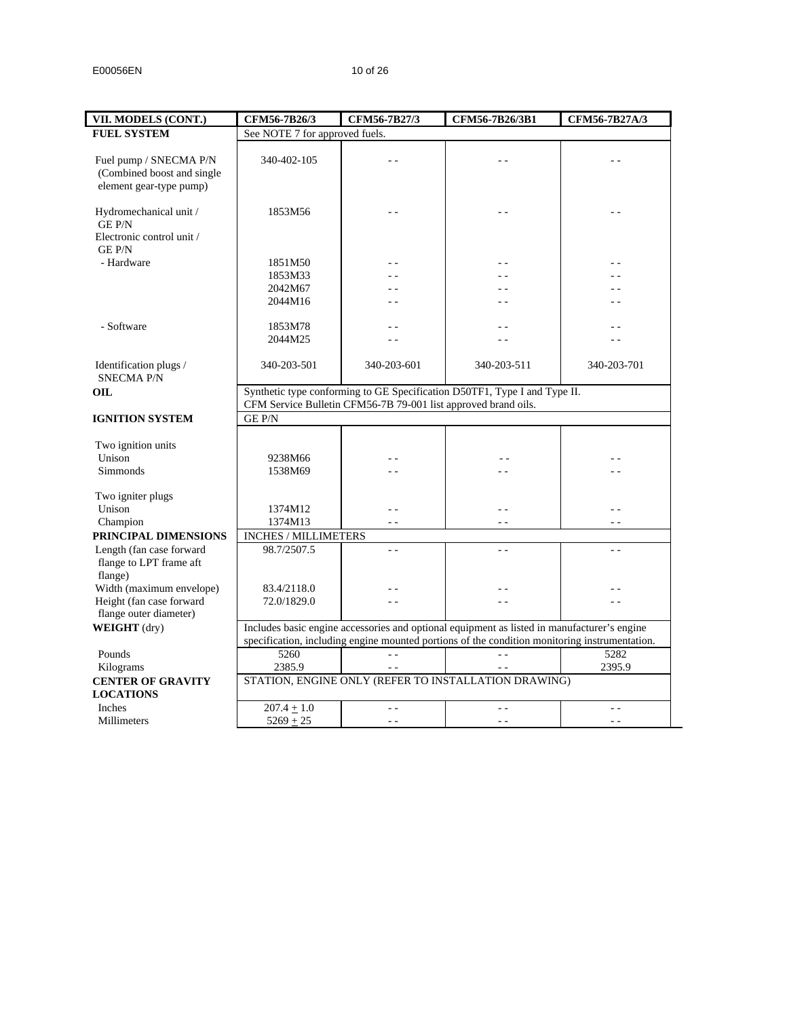$\overline{\phantom{a}}$ 

| VII. MODELS (CONT.)                       | CFM56-7B26/3                   | CFM56-7B27/3                                                   | CFM56-7B26/3B1                                                                                | CFM56-7B27A/3 |
|-------------------------------------------|--------------------------------|----------------------------------------------------------------|-----------------------------------------------------------------------------------------------|---------------|
| <b>FUEL SYSTEM</b>                        | See NOTE 7 for approved fuels. |                                                                |                                                                                               |               |
|                                           |                                |                                                                |                                                                                               |               |
| Fuel pump / SNECMA P/N                    | 340-402-105                    |                                                                |                                                                                               |               |
| (Combined boost and single                |                                |                                                                |                                                                                               |               |
| element gear-type pump)                   |                                |                                                                |                                                                                               |               |
|                                           |                                |                                                                |                                                                                               |               |
| Hydromechanical unit /<br><b>GE P/N</b>   | 1853M56                        |                                                                |                                                                                               |               |
| Electronic control unit /<br><b>GEP/N</b> |                                |                                                                |                                                                                               |               |
| - Hardware                                | 1851M50                        |                                                                |                                                                                               |               |
|                                           | 1853M33                        | . .                                                            |                                                                                               |               |
|                                           | 2042M67                        | . .                                                            |                                                                                               |               |
|                                           | 2044M16                        | $\overline{a}$                                                 | . .                                                                                           |               |
|                                           |                                |                                                                |                                                                                               |               |
| - Software                                | 1853M78                        |                                                                |                                                                                               |               |
|                                           | 2044M25                        |                                                                |                                                                                               |               |
|                                           |                                |                                                                |                                                                                               |               |
| Identification plugs /                    | 340-203-501                    | 340-203-601                                                    | 340-203-511                                                                                   | 340-203-701   |
| <b>SNECMA P/N</b>                         |                                |                                                                |                                                                                               |               |
| OIL.                                      |                                |                                                                | Synthetic type conforming to GE Specification D50TF1, Type I and Type II.                     |               |
|                                           |                                | CFM Service Bulletin CFM56-7B 79-001 list approved brand oils. |                                                                                               |               |
| <b>IGNITION SYSTEM</b>                    | <b>GE P/N</b>                  |                                                                |                                                                                               |               |
|                                           |                                |                                                                |                                                                                               |               |
| Two ignition units                        |                                |                                                                |                                                                                               |               |
| Unison                                    | 9238M66                        | - -                                                            |                                                                                               |               |
| Simmonds                                  | 1538M69                        |                                                                |                                                                                               |               |
|                                           |                                |                                                                |                                                                                               |               |
| Two igniter plugs                         |                                |                                                                |                                                                                               |               |
| Unison                                    | 1374M12                        | - -                                                            | - -                                                                                           |               |
| Champion                                  | 1374M13                        | $\sim$                                                         | $\sim$ $\sim$                                                                                 | $\sim$ $\sim$ |
| PRINCIPAL DIMENSIONS                      | INCHES / MILLIMETERS           |                                                                |                                                                                               |               |
| Length (fan case forward                  | 98.7/2507.5                    | $ -$                                                           | $\sim$ $\sim$                                                                                 | $\sim$ $\sim$ |
| flange to LPT frame aft                   |                                |                                                                |                                                                                               |               |
| flange)                                   |                                |                                                                |                                                                                               |               |
| Width (maximum envelope)                  | 83.4/2118.0                    | . .                                                            |                                                                                               |               |
| Height (fan case forward                  | 72.0/1829.0                    | 44                                                             | - -                                                                                           |               |
| flange outer diameter)                    |                                |                                                                |                                                                                               |               |
| WEIGHT (dry)                              |                                |                                                                | Includes basic engine accessories and optional equipment as listed in manufacturer's engine   |               |
|                                           |                                |                                                                | specification, including engine mounted portions of the condition monitoring instrumentation. |               |
|                                           |                                |                                                                |                                                                                               |               |
| Pounds                                    | 5260                           | $\sim$ $\sim$                                                  | $ -$                                                                                          | 5282          |
| Kilograms                                 | 2385.9                         | $\sim$ $\sim$                                                  | $\sim$ $\sim$                                                                                 | 2395.9        |
| <b>CENTER OF GRAVITY</b>                  |                                |                                                                | STATION, ENGINE ONLY (REFER TO INSTALLATION DRAWING)                                          |               |
| <b>LOCATIONS</b>                          |                                |                                                                |                                                                                               |               |
| Inches                                    | $207.4 \pm 1.0$                | $\sim$ $\sim$                                                  | $ -$                                                                                          | $ -$          |
| Millimeters                               | $5269 + 25$                    | $ -$                                                           | $\sim$ $\sim$                                                                                 | $\sim$ $\sim$ |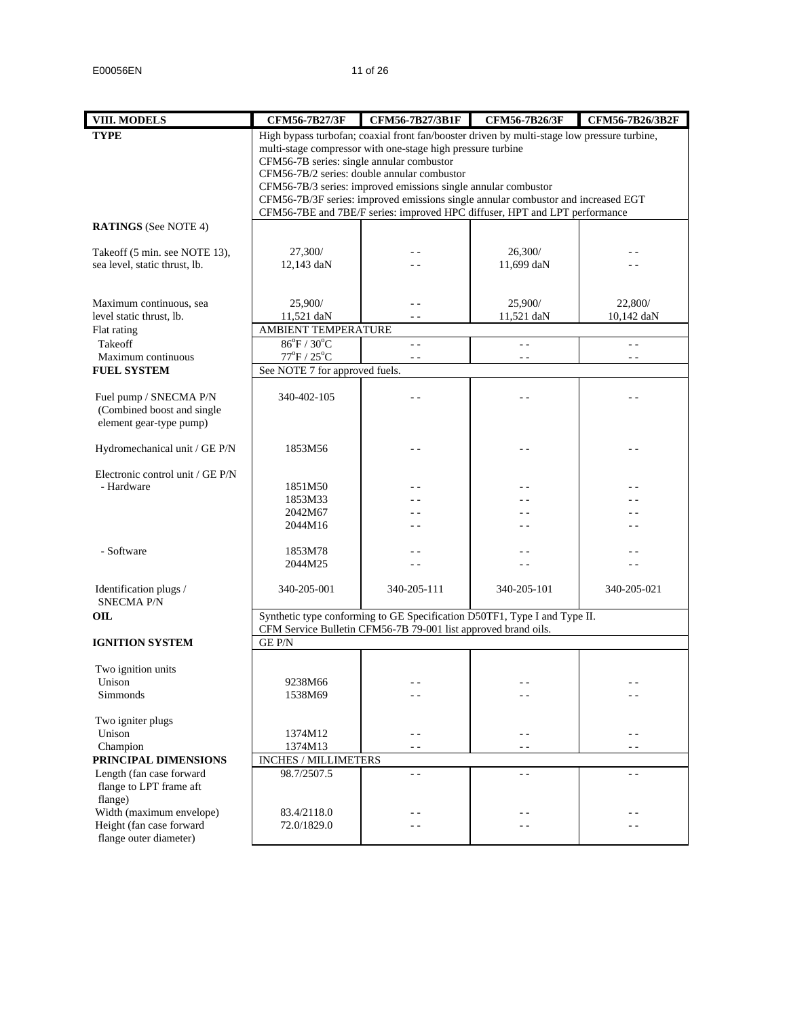| <b>VIII. MODELS</b>                                            | <b>CFM56-7B27/3F</b>                      | CFM56-7B27/3B1F                                                                             | CFM56-7B26/3F | CFM56-7B26/3B2F |
|----------------------------------------------------------------|-------------------------------------------|---------------------------------------------------------------------------------------------|---------------|-----------------|
| <b>TYPE</b>                                                    |                                           | High bypass turbofan; coaxial front fan/booster driven by multi-stage low pressure turbine, |               |                 |
|                                                                |                                           | multi-stage compressor with one-stage high pressure turbine                                 |               |                 |
|                                                                | CFM56-7B series: single annular combustor |                                                                                             |               |                 |
|                                                                |                                           | CFM56-7B/2 series: double annular combustor                                                 |               |                 |
|                                                                |                                           | CFM56-7B/3 series: improved emissions single annular combustor                              |               |                 |
|                                                                |                                           | CFM56-7B/3F series: improved emissions single annular combustor and increased EGT           |               |                 |
|                                                                |                                           | CFM56-7BE and 7BE/F series: improved HPC diffuser, HPT and LPT performance                  |               |                 |
| <b>RATINGS</b> (See NOTE 4)                                    |                                           |                                                                                             |               |                 |
|                                                                | 27,300/                                   |                                                                                             | 26,300/       |                 |
| Takeoff (5 min. see NOTE 13),<br>sea level, static thrust, lb. | 12,143 daN                                |                                                                                             | 11,699 daN    |                 |
|                                                                |                                           |                                                                                             |               |                 |
|                                                                |                                           |                                                                                             |               |                 |
| Maximum continuous, sea                                        | 25,900/                                   | - -                                                                                         | 25,900/       | 22,800/         |
| level static thrust, lb.                                       | 11,521 daN                                |                                                                                             | 11,521 daN    | 10,142 daN      |
| Flat rating                                                    | AMBIENT TEMPERATURE                       |                                                                                             |               |                 |
| Takeoff                                                        | $86^{\circ}F / 30^{\circ}C$               | $=$ $=$                                                                                     | $\sim$ $\sim$ | $\sim$ $\sim$   |
| Maximum continuous                                             | $77^{\rm oF}$ / $25^{\rm oC}$             | $\sim$ $\sim$                                                                               | $\sim$ $\sim$ | $\sim$ $\sim$   |
| <b>FUEL SYSTEM</b>                                             | See NOTE 7 for approved fuels.            |                                                                                             |               |                 |
|                                                                |                                           |                                                                                             |               |                 |
| Fuel pump / SNECMA P/N                                         | 340-402-105                               |                                                                                             |               |                 |
| (Combined boost and single                                     |                                           |                                                                                             |               |                 |
| element gear-type pump)                                        |                                           |                                                                                             |               |                 |
|                                                                |                                           |                                                                                             |               |                 |
| Hydromechanical unit / GE P/N                                  | 1853M56                                   |                                                                                             |               | - -             |
|                                                                |                                           |                                                                                             |               |                 |
| Electronic control unit / GE P/N                               |                                           |                                                                                             |               |                 |
| - Hardware                                                     | 1851M50                                   |                                                                                             |               |                 |
|                                                                | 1853M33                                   |                                                                                             |               |                 |
|                                                                | 2042M67                                   |                                                                                             |               |                 |
|                                                                | 2044M16                                   | - -                                                                                         |               | - -             |
| - Software                                                     | 1853M78                                   |                                                                                             |               |                 |
|                                                                | 2044M25                                   |                                                                                             |               | - -             |
|                                                                |                                           |                                                                                             |               |                 |
| Identification plugs /                                         | 340-205-001                               | 340-205-111                                                                                 | 340-205-101   | 340-205-021     |
| <b>SNECMA P/N</b>                                              |                                           |                                                                                             |               |                 |
| OIL                                                            |                                           | Synthetic type conforming to GE Specification D50TF1, Type I and Type II.                   |               |                 |
|                                                                |                                           | CFM Service Bulletin CFM56-7B 79-001 list approved brand oils.                              |               |                 |
| <b>IGNITION SYSTEM</b>                                         | <b>GEP/N</b>                              |                                                                                             |               |                 |
|                                                                |                                           |                                                                                             |               |                 |
| Two ignition units                                             |                                           |                                                                                             |               |                 |
| Unison                                                         | 9238M66                                   | - -                                                                                         | - -           | - -             |
| Simmonds                                                       | 1538M69                                   | - -                                                                                         |               |                 |
|                                                                |                                           |                                                                                             |               |                 |
| Two igniter plugs<br>Unison                                    | 1374M12                                   | - -                                                                                         | - -           |                 |
| Champion                                                       | 1374M13                                   | $\sim$ $\sim$                                                                               | $\sim$ $\sim$ | $\sim$ $\sim$   |
| PRINCIPAL DIMENSIONS                                           | INCHES / MILLIMETERS                      |                                                                                             |               |                 |
| Length (fan case forward                                       | 98.7/2507.5                               | $=$ $=$                                                                                     | . .           | - -             |
| flange to LPT frame aft                                        |                                           |                                                                                             |               |                 |
| flange)                                                        |                                           |                                                                                             |               |                 |
| Width (maximum envelope)                                       | 83.4/2118.0                               | - -                                                                                         |               |                 |
| Height (fan case forward                                       | 72.0/1829.0                               |                                                                                             | . .           | - -             |
| flange outer diameter)                                         |                                           |                                                                                             |               |                 |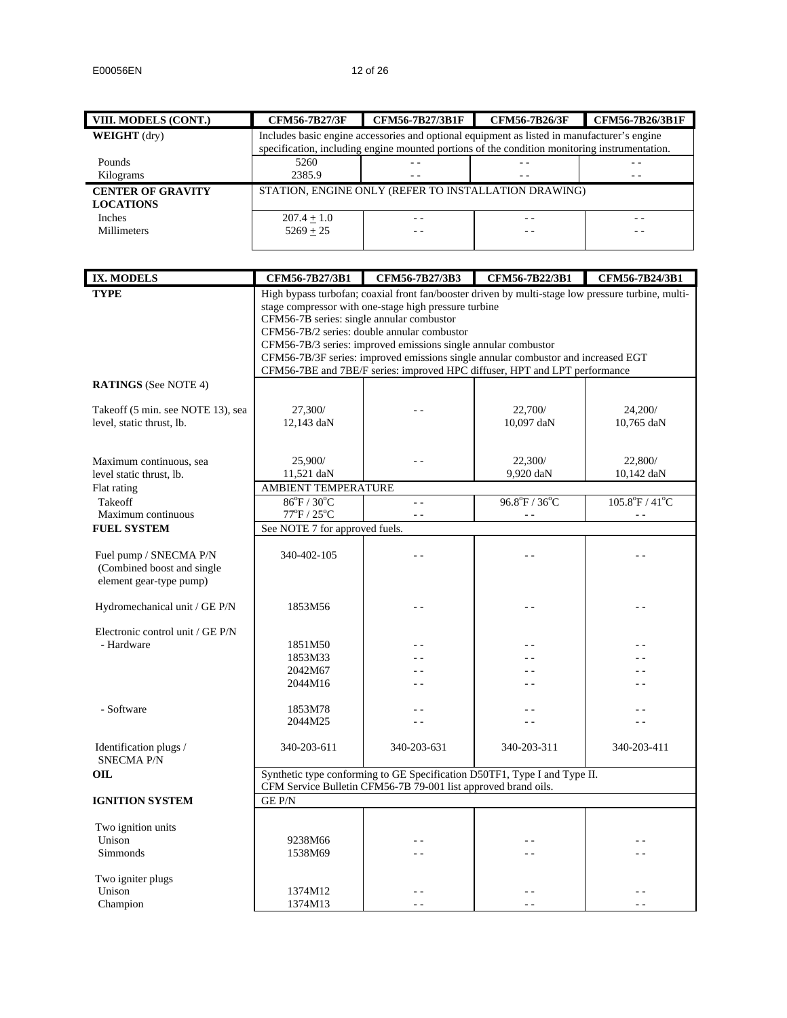| VIII. MODELS (CONT.)                         | <b>CFM56-7B27/3F</b>                                 | <b>CFM56-7B27/3B1F</b>                                                                                                                                                                       | <b>CFM56-7B26/3F</b> | <b>CFM56-7B26/3B1F</b> |
|----------------------------------------------|------------------------------------------------------|----------------------------------------------------------------------------------------------------------------------------------------------------------------------------------------------|----------------------|------------------------|
| <b>WEIGHT</b> (dry)                          |                                                      | Includes basic engine accessories and optional equipment as listed in manufacturer's engine<br>specification, including engine mounted portions of the condition monitoring instrumentation. |                      |                        |
| <b>Pounds</b>                                | 5260                                                 | $ -$                                                                                                                                                                                         |                      | - -                    |
| Kilograms                                    | 2385.9                                               |                                                                                                                                                                                              |                      |                        |
| <b>CENTER OF GRAVITY</b><br><b>LOCATIONS</b> | STATION, ENGINE ONLY (REFER TO INSTALLATION DRAWING) |                                                                                                                                                                                              |                      |                        |
| <b>Inches</b>                                | $207.4 + 1.0$                                        |                                                                                                                                                                                              | - -                  |                        |
| Millimeters                                  | $5269 + 25$                                          |                                                                                                                                                                                              | - -                  |                        |

| <b>IX. MODELS</b>                           | CFM56-7B27/3B1                                            | CFM56-7B27/3B3                                                 | CFM56-7B22/3B1                                                                                     | CFM56-7B24/3B1                      |  |
|---------------------------------------------|-----------------------------------------------------------|----------------------------------------------------------------|----------------------------------------------------------------------------------------------------|-------------------------------------|--|
| <b>TYPE</b>                                 |                                                           |                                                                | High bypass turbofan; coaxial front fan/booster driven by multi-stage low pressure turbine, multi- |                                     |  |
|                                             |                                                           | stage compressor with one-stage high pressure turbine          |                                                                                                    |                                     |  |
|                                             | CFM56-7B series: single annular combustor                 |                                                                |                                                                                                    |                                     |  |
|                                             |                                                           | CFM56-7B/2 series: double annular combustor                    |                                                                                                    |                                     |  |
|                                             |                                                           | CFM56-7B/3 series: improved emissions single annular combustor |                                                                                                    |                                     |  |
|                                             |                                                           |                                                                | CFM56-7B/3F series: improved emissions single annular combustor and increased EGT                  |                                     |  |
|                                             |                                                           |                                                                | CFM56-7BE and 7BE/F series: improved HPC diffuser, HPT and LPT performance                         |                                     |  |
| <b>RATINGS</b> (See NOTE 4)                 |                                                           |                                                                |                                                                                                    |                                     |  |
|                                             |                                                           |                                                                |                                                                                                    |                                     |  |
| Takeoff (5 min. see NOTE 13), sea           | 27,300/                                                   |                                                                | 22,700/                                                                                            | 24,200/                             |  |
| level, static thrust, lb.                   | 12,143 daN                                                |                                                                | 10,097 daN                                                                                         | 10,765 daN                          |  |
|                                             |                                                           |                                                                |                                                                                                    |                                     |  |
| Maximum continuous, sea                     | 25,900/                                                   |                                                                | 22,300/                                                                                            | 22,800/                             |  |
| level static thrust, lb.                    | 11,521 daN                                                |                                                                | 9,920 daN                                                                                          | 10,142 daN                          |  |
| Flat rating                                 | AMBIENT TEMPERATURE                                       |                                                                |                                                                                                    |                                     |  |
| Takeoff                                     | $86^{\circ}$ F / 30 $^{\circ}$ C                          | $\sim$ $\sim$                                                  | $96.8^{\circ}F / 36^{\circ}C$                                                                      | $105.8^{\circ}$ F / 41 $^{\circ}$ C |  |
| Maximum continuous                          | $77^{\mathrm{o}}\mathrm{F}$ / $25^{\mathrm{o}}\mathrm{C}$ | $\sim$ $\sim$                                                  | $\sim$ $\sim$                                                                                      | $\sim$ $\sim$                       |  |
| <b>FUEL SYSTEM</b>                          | See NOTE 7 for approved fuels.                            |                                                                |                                                                                                    |                                     |  |
|                                             |                                                           |                                                                |                                                                                                    |                                     |  |
| Fuel pump / SNECMA P/N                      | 340-402-105                                               | a a                                                            | $\overline{a}$                                                                                     |                                     |  |
| (Combined boost and single                  |                                                           |                                                                |                                                                                                    |                                     |  |
| element gear-type pump)                     |                                                           |                                                                |                                                                                                    |                                     |  |
|                                             |                                                           |                                                                |                                                                                                    |                                     |  |
| Hydromechanical unit / GE P/N               | 1853M56                                                   |                                                                |                                                                                                    |                                     |  |
|                                             |                                                           |                                                                |                                                                                                    |                                     |  |
| Electronic control unit / GE P/N            |                                                           |                                                                |                                                                                                    |                                     |  |
| - Hardware                                  | 1851M50                                                   |                                                                |                                                                                                    |                                     |  |
|                                             | 1853M33                                                   |                                                                |                                                                                                    |                                     |  |
|                                             | 2042M67                                                   |                                                                |                                                                                                    |                                     |  |
|                                             | 2044M16                                                   |                                                                |                                                                                                    |                                     |  |
|                                             |                                                           |                                                                |                                                                                                    |                                     |  |
| - Software                                  | 1853M78                                                   |                                                                | . .                                                                                                |                                     |  |
|                                             | 2044M25                                                   |                                                                | - -                                                                                                |                                     |  |
|                                             |                                                           |                                                                |                                                                                                    |                                     |  |
| Identification plugs /<br><b>SNECMA P/N</b> | 340-203-611                                               | 340-203-631                                                    | 340-203-311                                                                                        | 340-203-411                         |  |
| OIL                                         |                                                           |                                                                | Synthetic type conforming to GE Specification D50TF1, Type I and Type II.                          |                                     |  |
|                                             |                                                           | CFM Service Bulletin CFM56-7B 79-001 list approved brand oils. |                                                                                                    |                                     |  |
| <b>IGNITION SYSTEM</b>                      | GE P/N                                                    |                                                                |                                                                                                    |                                     |  |
|                                             |                                                           |                                                                |                                                                                                    |                                     |  |
| Two ignition units                          |                                                           |                                                                |                                                                                                    |                                     |  |
| Unison                                      | 9238M66                                                   |                                                                |                                                                                                    |                                     |  |
| <b>Simmonds</b>                             | 1538M69                                                   |                                                                |                                                                                                    |                                     |  |
|                                             |                                                           |                                                                |                                                                                                    |                                     |  |
| Two igniter plugs                           |                                                           |                                                                |                                                                                                    |                                     |  |
| Unison                                      | 1374M12                                                   |                                                                |                                                                                                    |                                     |  |
| Champion                                    | 1374M13                                                   |                                                                | - -                                                                                                |                                     |  |
|                                             |                                                           |                                                                |                                                                                                    |                                     |  |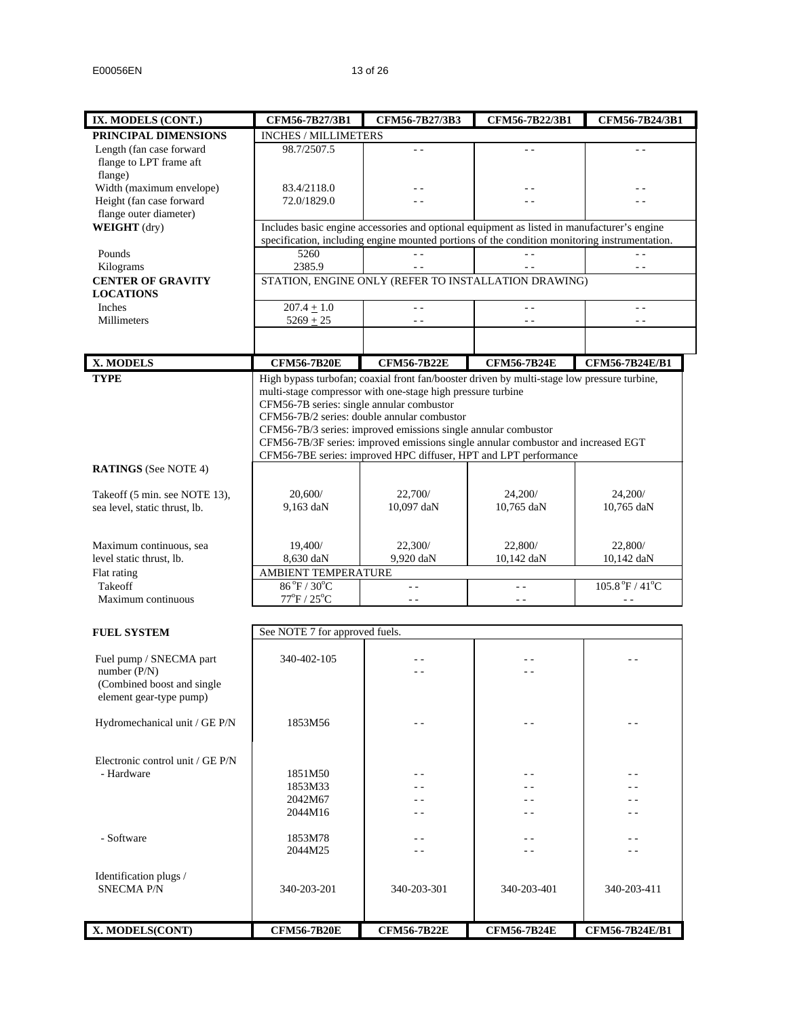| IX. MODELS (CONT.)               | CFM56-7B27/3B1                                       | CFM56-7B27/3B3                                                                                                                                                                               | CFM56-7B22/3B1     | CFM56-7B24/3B1                                                   |  |
|----------------------------------|------------------------------------------------------|----------------------------------------------------------------------------------------------------------------------------------------------------------------------------------------------|--------------------|------------------------------------------------------------------|--|
| PRINCIPAL DIMENSIONS             | <b>INCHES / MILLIMETERS</b>                          |                                                                                                                                                                                              |                    |                                                                  |  |
| Length (fan case forward         | 98.7/2507.5                                          | $\sim$ $\sim$                                                                                                                                                                                | $\sim$ $\sim$      | $\sim$ $\sim$                                                    |  |
| flange to LPT frame aft          |                                                      |                                                                                                                                                                                              |                    |                                                                  |  |
| flange)                          |                                                      |                                                                                                                                                                                              |                    |                                                                  |  |
| Width (maximum envelope)         | 83.4/2118.0                                          |                                                                                                                                                                                              |                    |                                                                  |  |
| Height (fan case forward         | 72.0/1829.0                                          |                                                                                                                                                                                              |                    |                                                                  |  |
| flange outer diameter)           |                                                      |                                                                                                                                                                                              |                    |                                                                  |  |
| WEIGHT (dry)                     |                                                      | Includes basic engine accessories and optional equipment as listed in manufacturer's engine<br>specification, including engine mounted portions of the condition monitoring instrumentation. |                    |                                                                  |  |
| Pounds                           | 5260                                                 |                                                                                                                                                                                              |                    |                                                                  |  |
| Kilograms                        | 2385.9                                               |                                                                                                                                                                                              |                    | $\sim$ $\sim$                                                    |  |
| <b>CENTER OF GRAVITY</b>         | STATION, ENGINE ONLY (REFER TO INSTALLATION DRAWING) |                                                                                                                                                                                              |                    |                                                                  |  |
| <b>LOCATIONS</b>                 |                                                      |                                                                                                                                                                                              |                    |                                                                  |  |
| Inches                           | $207.4 + 1.0$                                        | $\sim$ $\sim$                                                                                                                                                                                | $\sim$ $\sim$      | $\sim$ $\sim$                                                    |  |
| Millimeters                      | $5269 + 25$                                          |                                                                                                                                                                                              |                    | $ -$                                                             |  |
|                                  |                                                      |                                                                                                                                                                                              |                    |                                                                  |  |
|                                  |                                                      |                                                                                                                                                                                              |                    |                                                                  |  |
| X. MODELS                        | <b>CFM56-7B20E</b>                                   | <b>CFM56-7B22E</b>                                                                                                                                                                           | <b>CFM56-7B24E</b> | CFM56-7B24E/B1                                                   |  |
| <b>TYPE</b>                      |                                                      | High bypass turbofan; coaxial front fan/booster driven by multi-stage low pressure turbine,                                                                                                  |                    |                                                                  |  |
|                                  |                                                      | multi-stage compressor with one-stage high pressure turbine                                                                                                                                  |                    |                                                                  |  |
|                                  | CFM56-7B series: single annular combustor            | CFM56-7B/2 series: double annular combustor                                                                                                                                                  |                    |                                                                  |  |
|                                  |                                                      | CFM56-7B/3 series: improved emissions single annular combustor                                                                                                                               |                    |                                                                  |  |
|                                  |                                                      | CFM56-7B/3F series: improved emissions single annular combustor and increased EGT                                                                                                            |                    |                                                                  |  |
|                                  |                                                      | CFM56-7BE series: improved HPC diffuser, HPT and LPT performance                                                                                                                             |                    |                                                                  |  |
| <b>RATINGS</b> (See NOTE 4)      |                                                      |                                                                                                                                                                                              |                    |                                                                  |  |
|                                  |                                                      |                                                                                                                                                                                              |                    |                                                                  |  |
| Takeoff (5 min. see NOTE 13),    | 20,600/                                              | 22,700/                                                                                                                                                                                      | 24,200/            | 24,200/                                                          |  |
| sea level, static thrust, lb.    | 9,163 daN                                            | 10,097 daN                                                                                                                                                                                   | 10,765 daN         | 10,765 daN                                                       |  |
|                                  |                                                      |                                                                                                                                                                                              |                    |                                                                  |  |
| Maximum continuous, sea          | 19,400/                                              | 22,300/                                                                                                                                                                                      | 22,800/            | 22,800/                                                          |  |
| level static thrust, lb.         | 8,630 daN                                            | 9,920 daN                                                                                                                                                                                    | 10,142 daN         | 10,142 daN                                                       |  |
| Flat rating                      | AMBIENT TEMPERATURE                                  |                                                                                                                                                                                              |                    |                                                                  |  |
| Takeoff                          | 86°F / 30°C                                          | $\sim$ $-$                                                                                                                                                                                   | $\sim$ $\sim$      | $105.8\,^{\mathrm{o}}\mathrm{F}$ / $41\,^{\mathrm{o}}\mathrm{C}$ |  |
| Maximum continuous               | $77^{\rm oF}$ / $25^{\rm oC}$                        | $\sim$ $\sim$                                                                                                                                                                                | $\sim$ $\sim$      | $\sim$ $\sim$                                                    |  |
|                                  |                                                      |                                                                                                                                                                                              |                    |                                                                  |  |
| <b>FUEL SYSTEM</b>               | See NOTE 7 for approved fuels.                       |                                                                                                                                                                                              |                    |                                                                  |  |
|                                  |                                                      |                                                                                                                                                                                              |                    |                                                                  |  |
| Fuel pump / SNECMA part          | 340-402-105                                          |                                                                                                                                                                                              |                    |                                                                  |  |
| number (P/N)                     |                                                      |                                                                                                                                                                                              |                    |                                                                  |  |
| (Combined boost and single       |                                                      |                                                                                                                                                                                              |                    |                                                                  |  |
| element gear-type pump)          |                                                      |                                                                                                                                                                                              |                    |                                                                  |  |
| Hydromechanical unit / GE P/N    | 1853M56                                              |                                                                                                                                                                                              |                    |                                                                  |  |
|                                  |                                                      |                                                                                                                                                                                              |                    |                                                                  |  |
|                                  |                                                      |                                                                                                                                                                                              |                    |                                                                  |  |
| Electronic control unit / GE P/N |                                                      |                                                                                                                                                                                              |                    |                                                                  |  |
| - Hardware                       | 1851M50                                              |                                                                                                                                                                                              |                    | - -                                                              |  |
|                                  | 1853M33                                              |                                                                                                                                                                                              |                    |                                                                  |  |
|                                  | 2042M67                                              |                                                                                                                                                                                              |                    | . .                                                              |  |
|                                  | 2044M16                                              |                                                                                                                                                                                              |                    | - -                                                              |  |
| - Software                       | 1853M78                                              | - -                                                                                                                                                                                          |                    | - -                                                              |  |
|                                  | 2044M25                                              |                                                                                                                                                                                              |                    |                                                                  |  |
|                                  |                                                      |                                                                                                                                                                                              |                    |                                                                  |  |
| Identification plugs /           |                                                      |                                                                                                                                                                                              |                    |                                                                  |  |
| <b>SNECMA P/N</b>                | 340-203-201                                          | 340-203-301                                                                                                                                                                                  | 340-203-401        | 340-203-411                                                      |  |
|                                  |                                                      |                                                                                                                                                                                              |                    |                                                                  |  |
|                                  |                                                      |                                                                                                                                                                                              |                    |                                                                  |  |
| X. MODELS(CONT)                  | <b>CFM56-7B20E</b>                                   | <b>CFM56-7B22E</b>                                                                                                                                                                           | <b>CFM56-7B24E</b> | CFM56-7B24E/B1                                                   |  |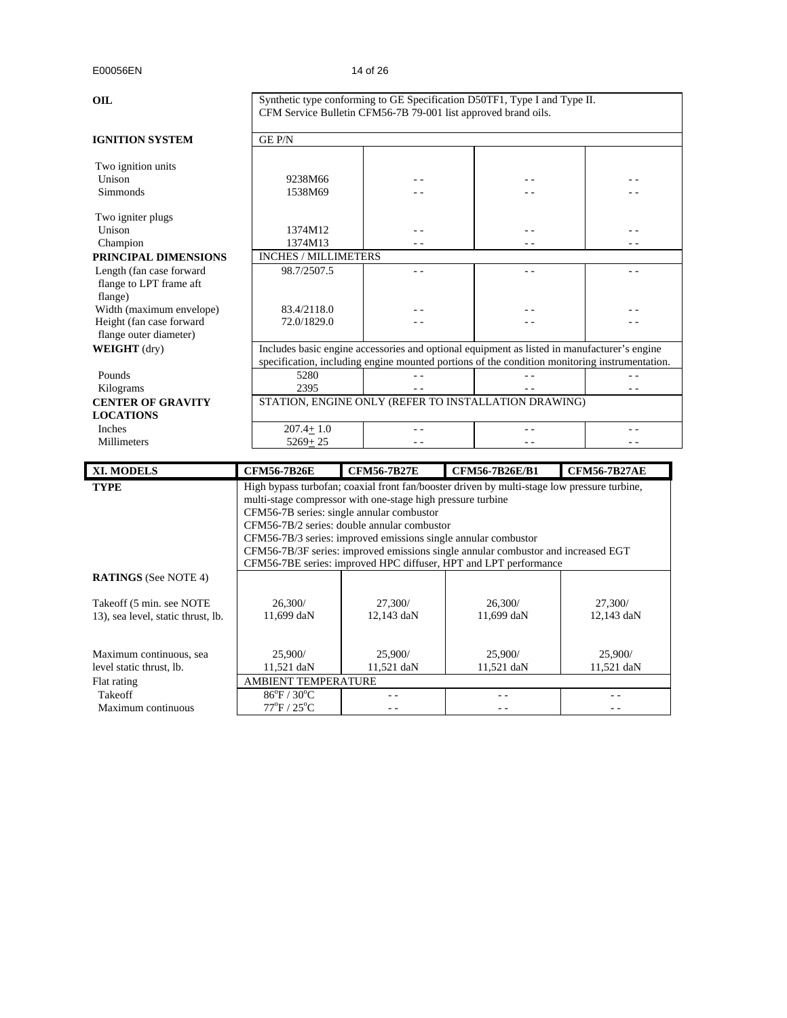| <b>OIL</b>                                                                             |                                            | Synthetic type conforming to GE Specification D50TF1, Type I and Type II.<br>CFM Service Bulletin CFM56-7B 79-001 list approved brand oils.                                                                               |                                                                                                                                                                                  |                                                                                                                                                                                              |  |
|----------------------------------------------------------------------------------------|--------------------------------------------|---------------------------------------------------------------------------------------------------------------------------------------------------------------------------------------------------------------------------|----------------------------------------------------------------------------------------------------------------------------------------------------------------------------------|----------------------------------------------------------------------------------------------------------------------------------------------------------------------------------------------|--|
| <b>IGNITION SYSTEM</b>                                                                 | <b>GEP/N</b>                               |                                                                                                                                                                                                                           |                                                                                                                                                                                  |                                                                                                                                                                                              |  |
| Two ignition units<br>Unison<br>Simmonds                                               | 9238M66<br>1538M69                         |                                                                                                                                                                                                                           |                                                                                                                                                                                  |                                                                                                                                                                                              |  |
| Two igniter plugs<br>Unison                                                            | 1374M12                                    |                                                                                                                                                                                                                           | - -                                                                                                                                                                              |                                                                                                                                                                                              |  |
| Champion                                                                               | 1374M13                                    |                                                                                                                                                                                                                           |                                                                                                                                                                                  | $ -$                                                                                                                                                                                         |  |
| PRINCIPAL DIMENSIONS<br>Length (fan case forward<br>flange to LPT frame aft<br>flange) | <b>INCHES / MILLIMETERS</b><br>98.7/2507.5 | $ -$                                                                                                                                                                                                                      | $-$                                                                                                                                                                              |                                                                                                                                                                                              |  |
| Width (maximum envelope)<br>Height (fan case forward<br>flange outer diameter)         | 83.4/2118.0<br>72.0/1829.0                 |                                                                                                                                                                                                                           |                                                                                                                                                                                  |                                                                                                                                                                                              |  |
| WEIGHT (dry)                                                                           |                                            |                                                                                                                                                                                                                           |                                                                                                                                                                                  | Includes basic engine accessories and optional equipment as listed in manufacturer's engine<br>specification, including engine mounted portions of the condition monitoring instrumentation. |  |
| Pounds<br>Kilograms                                                                    | 5280<br>2395                               |                                                                                                                                                                                                                           |                                                                                                                                                                                  |                                                                                                                                                                                              |  |
| <b>CENTER OF GRAVITY</b><br><b>LOCATIONS</b>                                           |                                            |                                                                                                                                                                                                                           | STATION, ENGINE ONLY (REFER TO INSTALLATION DRAWING)                                                                                                                             |                                                                                                                                                                                              |  |
| Inches<br>Millimeters                                                                  | $207.4 + 1.0$<br>$5269 + 25$               |                                                                                                                                                                                                                           |                                                                                                                                                                                  |                                                                                                                                                                                              |  |
| <b>XI. MODELS</b>                                                                      | <b>CFM56-7B26E</b>                         | <b>CFM56-7B27E</b>                                                                                                                                                                                                        | <b>CFM56-7B26E/B1</b>                                                                                                                                                            | <b>CFM56-7B27AE</b>                                                                                                                                                                          |  |
| <b>TYPE</b>                                                                            |                                            | multi-stage compressor with one-stage high pressure turbine<br>CFM56-7B series: single annular combustor<br>CFM56-7B/2 series: double annular combustor<br>CFM56-7B/3 series: improved emissions single annular combustor | High bypass turbofan; coaxial front fan/booster driven by multi-stage low pressure turbine,<br>CEM56 7R/3E series: improved emissions single annular combustor and increased EGT |                                                                                                                                                                                              |  |

CFM56-7B/3F series: improved emissions single annular combustor and increased EGT

|                                    | CFM56-7BE series: improved HPC diffuser, HPT and LPT performance |            |            |            |  |
|------------------------------------|------------------------------------------------------------------|------------|------------|------------|--|
| <b>RATINGS</b> (See NOTE 4)        |                                                                  |            |            |            |  |
| Takeoff (5 min. see NOTE)          | 26,300/                                                          | 27,300/    | 26,300/    | 27,300/    |  |
| 13), sea level, static thrust, lb. | 11,699 daN                                                       | 12.143 daN | 11,699 daN | 12,143 daN |  |
|                                    |                                                                  |            |            |            |  |
| Maximum continuous, sea            | 25,900/                                                          | 25,900/    | 25,900/    | 25,900/    |  |
| level static thrust, lb.           | 11.521 daN                                                       | 11.521 daN | 11.521 daN | 11,521 daN |  |
| Flat rating                        | <b>AMBIENT TEMPERATURE</b>                                       |            |            |            |  |
| Takeoff                            | $86^{\circ}$ F / $30^{\circ}$ C                                  |            |            |            |  |
| Maximum continuous                 | $77^{\circ}$ F / $25^{\circ}$ C                                  |            |            |            |  |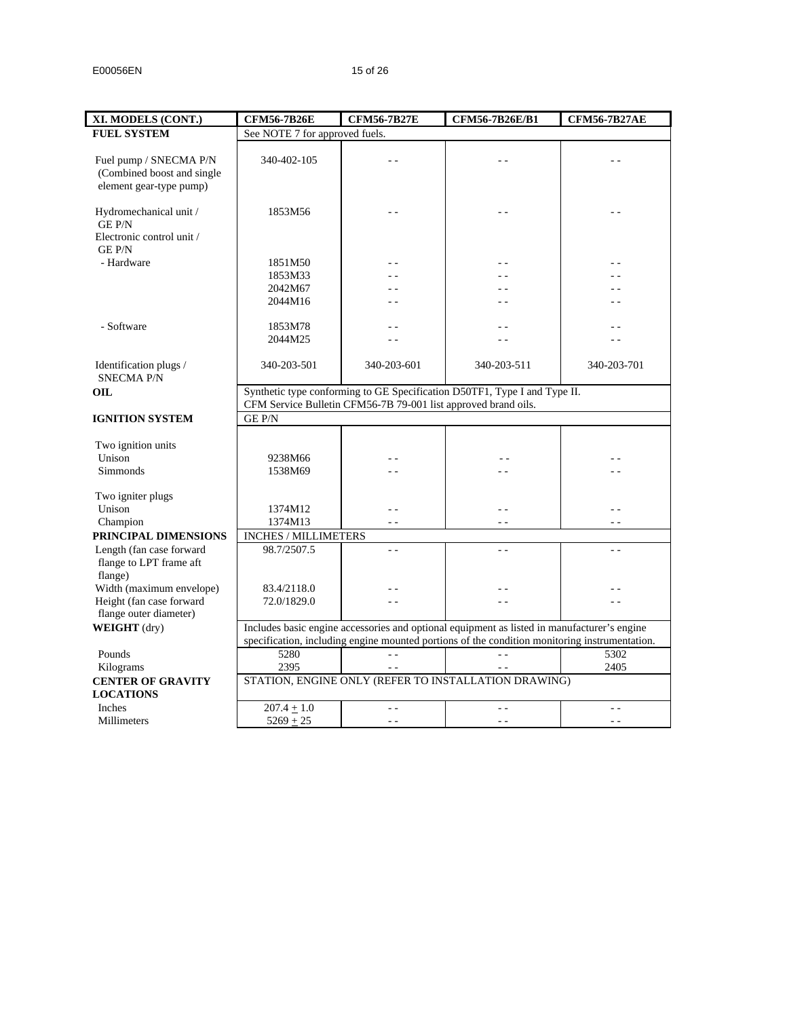| XI. MODELS (CONT.)                          | <b>CFM56-7B26E</b>                                                                                                                                                                           | <b>CFM56-7B27E</b>                                             | <b>CFM56-7B26E/B1</b>                                                     | <b>CFM56-7B27AE</b> |  |
|---------------------------------------------|----------------------------------------------------------------------------------------------------------------------------------------------------------------------------------------------|----------------------------------------------------------------|---------------------------------------------------------------------------|---------------------|--|
| <b>FUEL SYSTEM</b>                          | See NOTE 7 for approved fuels.                                                                                                                                                               |                                                                |                                                                           |                     |  |
|                                             |                                                                                                                                                                                              |                                                                |                                                                           |                     |  |
| Fuel pump / SNECMA P/N                      | 340-402-105                                                                                                                                                                                  |                                                                | - -                                                                       |                     |  |
| (Combined boost and single                  |                                                                                                                                                                                              |                                                                |                                                                           |                     |  |
| element gear-type pump)                     |                                                                                                                                                                                              |                                                                |                                                                           |                     |  |
|                                             |                                                                                                                                                                                              |                                                                |                                                                           |                     |  |
| Hydromechanical unit /<br>GE P/N            | 1853M56                                                                                                                                                                                      |                                                                |                                                                           |                     |  |
| Electronic control unit /<br><b>GEP/N</b>   |                                                                                                                                                                                              |                                                                |                                                                           |                     |  |
| - Hardware                                  | 1851M50                                                                                                                                                                                      |                                                                |                                                                           |                     |  |
|                                             | 1853M33                                                                                                                                                                                      | $\overline{a}$                                                 |                                                                           |                     |  |
|                                             | 2042M67                                                                                                                                                                                      |                                                                |                                                                           |                     |  |
|                                             | 2044M16                                                                                                                                                                                      |                                                                |                                                                           |                     |  |
|                                             |                                                                                                                                                                                              |                                                                |                                                                           |                     |  |
| - Software                                  | 1853M78                                                                                                                                                                                      | $\overline{a}$                                                 | $=$ $-$                                                                   |                     |  |
|                                             | 2044M25                                                                                                                                                                                      | $\overline{a}$                                                 | $=$ $-$                                                                   |                     |  |
|                                             |                                                                                                                                                                                              |                                                                |                                                                           |                     |  |
| Identification plugs /<br><b>SNECMA P/N</b> | 340-203-501                                                                                                                                                                                  | 340-203-601                                                    | 340-203-511                                                               | 340-203-701         |  |
| OIL.                                        |                                                                                                                                                                                              |                                                                | Synthetic type conforming to GE Specification D50TF1, Type I and Type II. |                     |  |
|                                             |                                                                                                                                                                                              | CFM Service Bulletin CFM56-7B 79-001 list approved brand oils. |                                                                           |                     |  |
| <b>IGNITION SYSTEM</b>                      | <b>GE P/N</b>                                                                                                                                                                                |                                                                |                                                                           |                     |  |
|                                             |                                                                                                                                                                                              |                                                                |                                                                           |                     |  |
| Two ignition units                          |                                                                                                                                                                                              |                                                                |                                                                           |                     |  |
| Unison                                      | 9238M66                                                                                                                                                                                      |                                                                |                                                                           |                     |  |
| Simmonds                                    | 1538M69                                                                                                                                                                                      |                                                                |                                                                           |                     |  |
|                                             |                                                                                                                                                                                              |                                                                |                                                                           |                     |  |
| Two igniter plugs                           |                                                                                                                                                                                              |                                                                |                                                                           |                     |  |
| Unison                                      | 1374M12                                                                                                                                                                                      | 44                                                             | $\sim$ $\sim$                                                             |                     |  |
| Champion                                    | 1374M13                                                                                                                                                                                      | $\sim$ $\sim$                                                  | $ -$                                                                      | $ -$                |  |
| PRINCIPAL DIMENSIONS                        | <b>INCHES / MILLIMETERS</b>                                                                                                                                                                  |                                                                |                                                                           |                     |  |
| Length (fan case forward                    | 98.7/2507.5                                                                                                                                                                                  | $\sim$ $\sim$                                                  | $\sim$ $\sim$                                                             | $\sim$ $\sim$       |  |
| flange to LPT frame aft                     |                                                                                                                                                                                              |                                                                |                                                                           |                     |  |
| flange)                                     |                                                                                                                                                                                              |                                                                |                                                                           |                     |  |
| Width (maximum envelope)                    | 83.4/2118.0                                                                                                                                                                                  |                                                                |                                                                           |                     |  |
| Height (fan case forward                    | 72.0/1829.0                                                                                                                                                                                  | $\sim$                                                         | $=$ $-$                                                                   | $\sim$ $\sim$       |  |
| flange outer diameter)                      |                                                                                                                                                                                              |                                                                |                                                                           |                     |  |
| WEIGHT (dry)                                |                                                                                                                                                                                              |                                                                |                                                                           |                     |  |
|                                             | Includes basic engine accessories and optional equipment as listed in manufacturer's engine<br>specification, including engine mounted portions of the condition monitoring instrumentation. |                                                                |                                                                           |                     |  |
| Pounds                                      | 5280                                                                                                                                                                                         | $\sim$ $\sim$                                                  | $\overline{a}$                                                            | 5302                |  |
| Kilograms                                   | 2395                                                                                                                                                                                         | $\sim$ $\sim$                                                  |                                                                           | 2405                |  |
| <b>CENTER OF GRAVITY</b>                    |                                                                                                                                                                                              |                                                                | STATION, ENGINE ONLY (REFER TO INSTALLATION DRAWING)                      |                     |  |
| <b>LOCATIONS</b>                            |                                                                                                                                                                                              |                                                                |                                                                           |                     |  |
| Inches                                      | $207.4 \pm 1.0$                                                                                                                                                                              | $\sim$ $\sim$                                                  | $\sim$ $\sim$                                                             | $\sim$ $\sim$       |  |
|                                             |                                                                                                                                                                                              |                                                                |                                                                           |                     |  |
| Millimeters                                 | $5269 + 25$                                                                                                                                                                                  | $\frac{1}{2}$                                                  | $\sim$ $\sim$                                                             | $ -$                |  |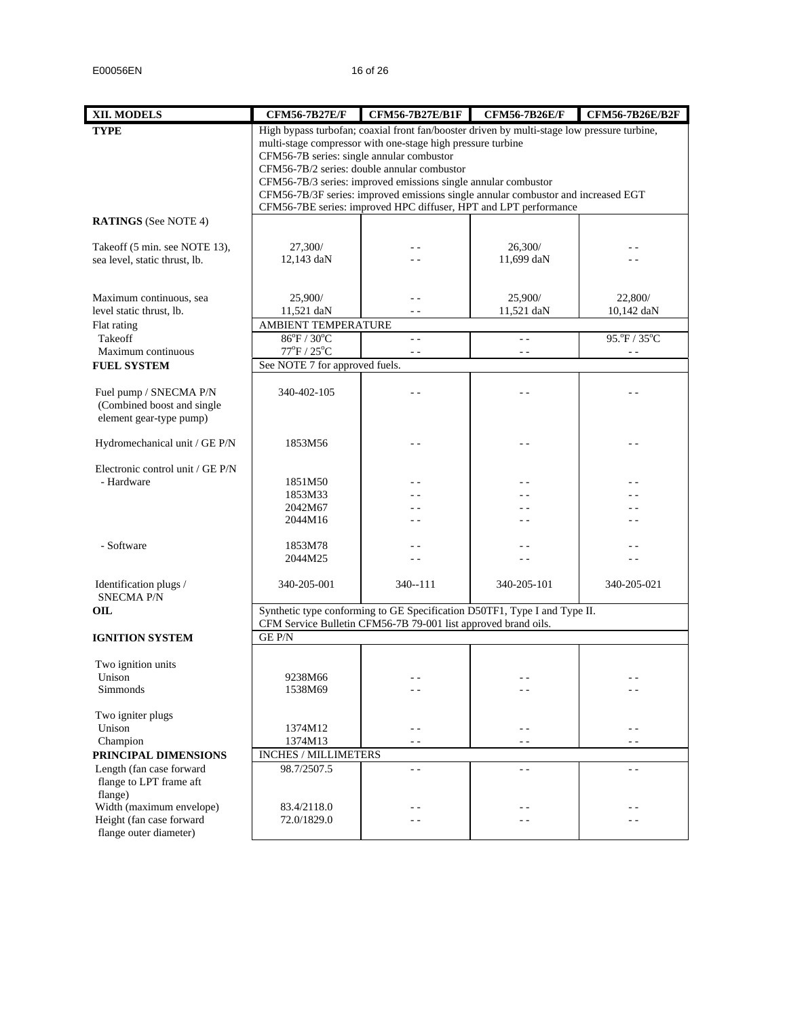| XII. MODELS                                           | <b>CFM56-7B27E/F</b>                      | <b>CFM56-7B27E/B1F</b>                                                                      | <b>CFM56-7B26E/F</b> | <b>CFM56-7B26E/B2F</b> |
|-------------------------------------------------------|-------------------------------------------|---------------------------------------------------------------------------------------------|----------------------|------------------------|
| <b>TYPE</b>                                           |                                           | High bypass turbofan; coaxial front fan/booster driven by multi-stage low pressure turbine, |                      |                        |
|                                                       |                                           | multi-stage compressor with one-stage high pressure turbine                                 |                      |                        |
|                                                       | CFM56-7B series: single annular combustor |                                                                                             |                      |                        |
|                                                       |                                           | CFM56-7B/2 series: double annular combustor                                                 |                      |                        |
|                                                       |                                           | CFM56-7B/3 series: improved emissions single annular combustor                              |                      |                        |
|                                                       |                                           | CFM56-7B/3F series: improved emissions single annular combustor and increased EGT           |                      |                        |
|                                                       |                                           | CFM56-7BE series: improved HPC diffuser, HPT and LPT performance                            |                      |                        |
| <b>RATINGS</b> (See NOTE 4)                           |                                           |                                                                                             |                      |                        |
| Takeoff (5 min. see NOTE 13),                         | 27,300/                                   |                                                                                             | 26,300/              |                        |
| sea level, static thrust, lb.                         | 12,143 daN                                |                                                                                             | 11,699 daN           |                        |
|                                                       |                                           |                                                                                             |                      |                        |
|                                                       |                                           |                                                                                             |                      |                        |
| Maximum continuous, sea                               | 25,900/                                   |                                                                                             | 25,900/              | 22,800/                |
| level static thrust, lb.                              | 11,521 daN                                |                                                                                             | 11,521 daN           | 10,142 daN             |
| Flat rating                                           | AMBIENT TEMPERATURE                       |                                                                                             |                      |                        |
| Takeoff                                               | $86^{\circ}F / 30^{\circ}C$               | $ -$                                                                                        | $\sim$ $\sim$        | 95.°F / 35°C           |
| Maximum continuous                                    | $77^{\circ}$ F / $25^{\circ}$ C           | $\overline{a}$                                                                              | $ -$                 |                        |
| <b>FUEL SYSTEM</b>                                    | See NOTE 7 for approved fuels.            |                                                                                             |                      |                        |
|                                                       |                                           |                                                                                             |                      |                        |
| Fuel pump / SNECMA P/N                                | 340-402-105                               |                                                                                             |                      |                        |
| (Combined boost and single<br>element gear-type pump) |                                           |                                                                                             |                      |                        |
|                                                       |                                           |                                                                                             |                      |                        |
| Hydromechanical unit / GE P/N                         | 1853M56                                   |                                                                                             |                      | - -                    |
|                                                       |                                           |                                                                                             |                      |                        |
| Electronic control unit / GE P/N                      |                                           |                                                                                             |                      |                        |
| - Hardware                                            | 1851M50                                   |                                                                                             |                      |                        |
|                                                       | 1853M33                                   |                                                                                             |                      |                        |
|                                                       | 2042M67                                   |                                                                                             |                      |                        |
|                                                       | 2044M16                                   |                                                                                             |                      |                        |
|                                                       |                                           |                                                                                             |                      |                        |
| - Software                                            | 1853M78                                   |                                                                                             |                      |                        |
|                                                       | 2044M25                                   |                                                                                             |                      |                        |
| Identification plugs /                                | 340-205-001                               | 340--111                                                                                    | 340-205-101          | 340-205-021            |
| <b>SNECMA P/N</b>                                     |                                           |                                                                                             |                      |                        |
| OIL                                                   |                                           | Synthetic type conforming to GE Specification D50TF1, Type I and Type II.                   |                      |                        |
|                                                       |                                           | CFM Service Bulletin CFM56-7B 79-001 list approved brand oils.                              |                      |                        |
| <b>IGNITION SYSTEM</b>                                | <b>GEP/N</b>                              |                                                                                             |                      |                        |
|                                                       |                                           |                                                                                             |                      |                        |
| Two ignition units                                    |                                           |                                                                                             |                      |                        |
| Unison                                                | 9238M66                                   |                                                                                             |                      | - -                    |
| Simmonds                                              | 1538M69                                   | - -                                                                                         |                      |                        |
|                                                       |                                           |                                                                                             |                      |                        |
| Two igniter plugs<br>Unison                           | 1374M12                                   | - -                                                                                         | $ -$                 | - -                    |
| Champion                                              | 1374M13                                   | - -                                                                                         | $ -$                 | - -                    |
| PRINCIPAL DIMENSIONS                                  | INCHES / MILLIMETERS                      |                                                                                             |                      |                        |
| Length (fan case forward                              | 98.7/2507.5                               | $ -$                                                                                        | $\sim$               | $\sim$                 |
| flange to LPT frame aft                               |                                           |                                                                                             |                      |                        |
| flange)                                               |                                           |                                                                                             |                      |                        |
| Width (maximum envelope)                              | 83.4/2118.0                               | - -                                                                                         | - -                  | - -                    |
| Height (fan case forward                              | 72.0/1829.0                               |                                                                                             |                      |                        |
| flange outer diameter)                                |                                           |                                                                                             |                      |                        |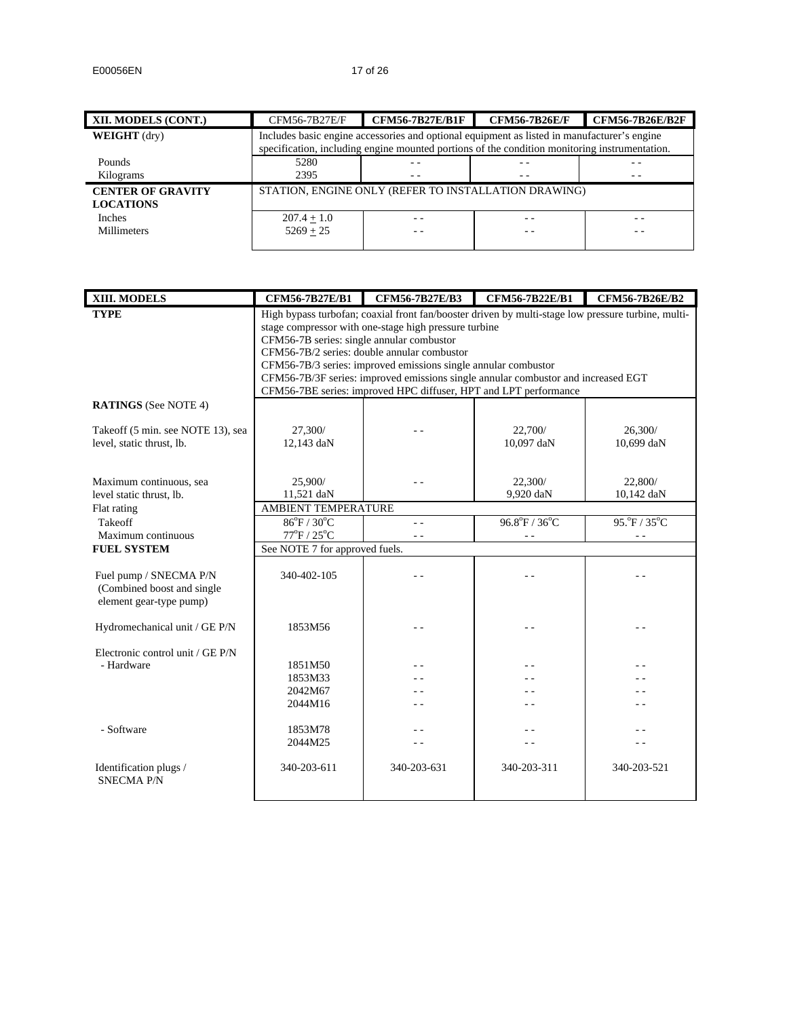| XII. MODELS (CONT.)                          | CFM56-7B27E/F | <b>CFM56-7B27E/B1F</b>                                                                                                                                                                       | <b>CFM56-7B26E/F</b> | <b>CFM56-7B26E/B2F</b> |  |
|----------------------------------------------|---------------|----------------------------------------------------------------------------------------------------------------------------------------------------------------------------------------------|----------------------|------------------------|--|
| <b>WEIGHT</b> (dry)                          |               | Includes basic engine accessories and optional equipment as listed in manufacturer's engine<br>specification, including engine mounted portions of the condition monitoring instrumentation. |                      |                        |  |
| Pounds                                       | 5280          | $ -$                                                                                                                                                                                         |                      |                        |  |
| Kilograms                                    | 2395          | $ -$                                                                                                                                                                                         | $ -$                 | $ -$                   |  |
| <b>CENTER OF GRAVITY</b><br><b>LOCATIONS</b> |               | STATION, ENGINE ONLY (REFER TO INSTALLATION DRAWING)                                                                                                                                         |                      |                        |  |
| <b>Inches</b>                                | $207.4 + 1.0$ |                                                                                                                                                                                              | - -                  |                        |  |
| <b>Millimeters</b>                           | $5269 + 25$   |                                                                                                                                                                                              | - -                  |                        |  |

| XIII. MODELS                      | <b>CFM56-7B27E/B1</b>                     | <b>CFM56-7B27E/B3</b>                                                                                                                                 | <b>CFM56-7B22E/B1</b> | <b>CFM56-7B26E/B2</b> |  |  |
|-----------------------------------|-------------------------------------------|-------------------------------------------------------------------------------------------------------------------------------------------------------|-----------------------|-----------------------|--|--|
| <b>TYPE</b>                       |                                           | High bypass turbofan; coaxial front fan/booster driven by multi-stage low pressure turbine, multi-                                                    |                       |                       |  |  |
|                                   |                                           | stage compressor with one-stage high pressure turbine                                                                                                 |                       |                       |  |  |
|                                   | CFM56-7B series: single annular combustor |                                                                                                                                                       |                       |                       |  |  |
|                                   |                                           | CFM56-7B/2 series: double annular combustor                                                                                                           |                       |                       |  |  |
|                                   |                                           | CFM56-7B/3 series: improved emissions single annular combustor                                                                                        |                       |                       |  |  |
|                                   |                                           | CFM56-7B/3F series: improved emissions single annular combustor and increased EGT<br>CFM56-7BE series: improved HPC diffuser, HPT and LPT performance |                       |                       |  |  |
|                                   |                                           |                                                                                                                                                       |                       |                       |  |  |
| <b>RATINGS</b> (See NOTE 4)       |                                           |                                                                                                                                                       |                       |                       |  |  |
|                                   |                                           |                                                                                                                                                       | 22,700/               |                       |  |  |
| Takeoff (5 min. see NOTE 13), sea | 27,300/<br>12,143 daN                     |                                                                                                                                                       | 10,097 daN            | 26,300/<br>10,699 daN |  |  |
| level, static thrust, lb.         |                                           |                                                                                                                                                       |                       |                       |  |  |
|                                   |                                           |                                                                                                                                                       |                       |                       |  |  |
| Maximum continuous, sea           | 25,900/                                   |                                                                                                                                                       | 22,300/               | 22,800/               |  |  |
| level static thrust, lb.          | 11,521 daN                                |                                                                                                                                                       | 9,920 daN             | 10,142 daN            |  |  |
| Flat rating                       |                                           | AMBIENT TEMPERATURE                                                                                                                                   |                       |                       |  |  |
| Takeoff                           | 86°F / 30°C                               | $\sim$ $\sim$                                                                                                                                         | 96.8°F / 36°C         | 95. P/35 °C           |  |  |
| Maximum continuous                | $77^{\circ}$ F / $25^{\circ}$ C           | $ -$                                                                                                                                                  | $\sim$ $\sim$         | $ -$                  |  |  |
| <b>FUEL SYSTEM</b>                | See NOTE 7 for approved fuels.            |                                                                                                                                                       |                       |                       |  |  |
|                                   |                                           |                                                                                                                                                       |                       |                       |  |  |
| Fuel pump / SNECMA P/N            | 340-402-105                               |                                                                                                                                                       |                       |                       |  |  |
| (Combined boost and single        |                                           |                                                                                                                                                       |                       |                       |  |  |
| element gear-type pump)           |                                           |                                                                                                                                                       |                       |                       |  |  |
|                                   |                                           |                                                                                                                                                       |                       |                       |  |  |
| Hydromechanical unit / GE P/N     | 1853M56                                   |                                                                                                                                                       |                       |                       |  |  |
| Electronic control unit / GE P/N  |                                           |                                                                                                                                                       |                       |                       |  |  |
| - Hardware                        | 1851M50                                   |                                                                                                                                                       |                       |                       |  |  |
|                                   | 1853M33                                   |                                                                                                                                                       |                       |                       |  |  |
|                                   | 2042M67                                   |                                                                                                                                                       |                       |                       |  |  |
|                                   | 2044M16                                   |                                                                                                                                                       |                       |                       |  |  |
|                                   |                                           |                                                                                                                                                       |                       |                       |  |  |
| - Software                        | 1853M78                                   |                                                                                                                                                       |                       |                       |  |  |
|                                   | 2044M25                                   |                                                                                                                                                       |                       |                       |  |  |
|                                   |                                           |                                                                                                                                                       |                       |                       |  |  |
| Identification plugs /            | 340-203-611                               | 340-203-631                                                                                                                                           | 340-203-311           | 340-203-521           |  |  |
| <b>SNECMA P/N</b>                 |                                           |                                                                                                                                                       |                       |                       |  |  |
|                                   |                                           |                                                                                                                                                       |                       |                       |  |  |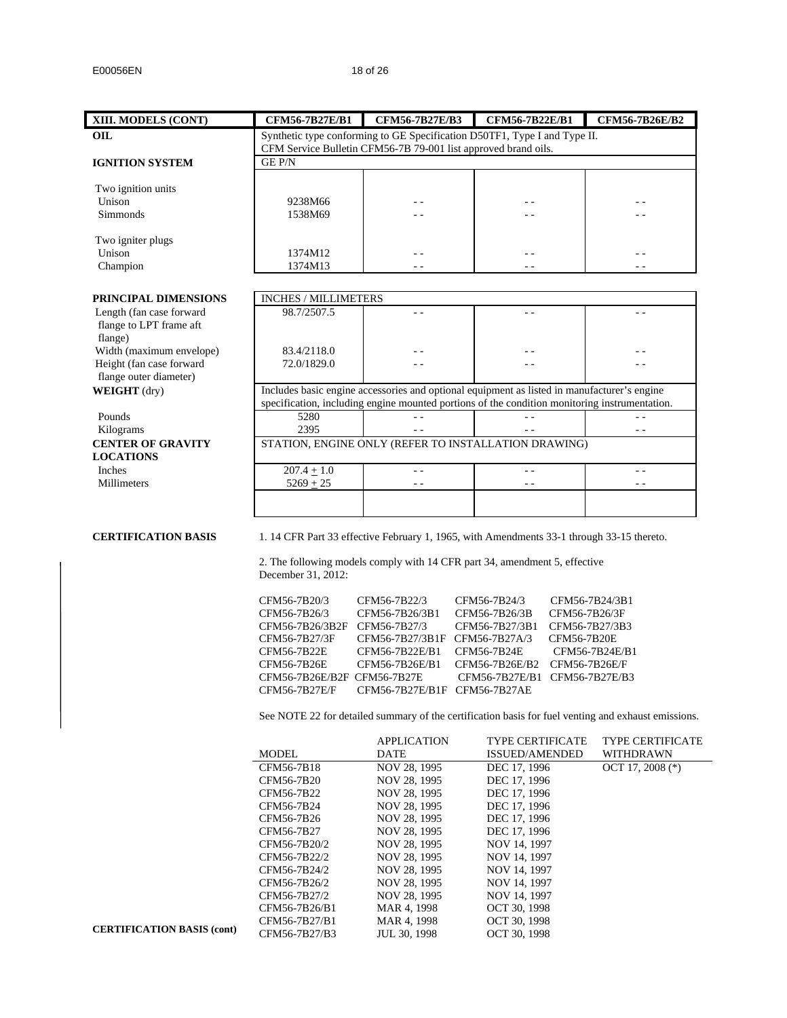| XIII. MODELS (CONT)                                  | CFM56-7B27E/B1                                                 | <b>CFM56-7B27E/B3</b>             | CFM56-7B22E/B1                                                                                | CFM56-7B26E/B2                                                                                      |
|------------------------------------------------------|----------------------------------------------------------------|-----------------------------------|-----------------------------------------------------------------------------------------------|-----------------------------------------------------------------------------------------------------|
| OIL                                                  |                                                                |                                   | Synthetic type conforming to GE Specification D50TF1, Type I and Type II.                     |                                                                                                     |
|                                                      | CFM Service Bulletin CFM56-7B 79-001 list approved brand oils. |                                   |                                                                                               |                                                                                                     |
| <b>IGNITION SYSTEM</b>                               | GE P/N                                                         |                                   |                                                                                               |                                                                                                     |
|                                                      |                                                                |                                   |                                                                                               |                                                                                                     |
| Two ignition units                                   |                                                                |                                   |                                                                                               |                                                                                                     |
| Unison                                               | 9238M66                                                        |                                   |                                                                                               |                                                                                                     |
| Simmonds                                             | 1538M69                                                        |                                   | - -                                                                                           |                                                                                                     |
|                                                      |                                                                |                                   |                                                                                               |                                                                                                     |
| Two igniter plugs<br>Unison                          | 1374M12                                                        | - -                               | - -                                                                                           | $ -$                                                                                                |
| Champion                                             | 1374M13                                                        | $ -$                              | $ -$                                                                                          | $\sim$ $\sim$                                                                                       |
|                                                      |                                                                |                                   |                                                                                               |                                                                                                     |
|                                                      |                                                                |                                   |                                                                                               |                                                                                                     |
| PRINCIPAL DIMENSIONS                                 | <b>INCHES / MILLIMETERS</b><br>98.7/2507.5                     |                                   |                                                                                               | $\sim$                                                                                              |
| Length (fan case forward                             |                                                                | $\sim$ $\sim$                     | $ -$                                                                                          |                                                                                                     |
| flange to LPT frame aft                              |                                                                |                                   |                                                                                               |                                                                                                     |
| flange)                                              |                                                                |                                   |                                                                                               |                                                                                                     |
| Width (maximum envelope)<br>Height (fan case forward | 83.4/2118.0<br>72.0/1829.0                                     |                                   |                                                                                               |                                                                                                     |
| flange outer diameter)                               |                                                                |                                   |                                                                                               |                                                                                                     |
| <b>WEIGHT</b> (dry)                                  |                                                                |                                   | Includes basic engine accessories and optional equipment as listed in manufacturer's engine   |                                                                                                     |
|                                                      |                                                                |                                   | specification, including engine mounted portions of the condition monitoring instrumentation. |                                                                                                     |
| Pounds                                               | 5280                                                           | $\sim$ $\sim$                     | 22                                                                                            |                                                                                                     |
| Kilograms                                            | 2395                                                           | $\sim$ $\sim$                     | $ -$                                                                                          | $ -$                                                                                                |
| <b>CENTER OF GRAVITY</b>                             |                                                                |                                   | STATION, ENGINE ONLY (REFER TO INSTALLATION DRAWING)                                          |                                                                                                     |
| <b>LOCATIONS</b>                                     |                                                                |                                   |                                                                                               |                                                                                                     |
| Inches                                               | $207.4 + 1.0$                                                  | $\sim$ $\sim$                     | $\sim$ $\sim$                                                                                 | $\sim$ $\sim$                                                                                       |
| <b>Millimeters</b>                                   | $5269 + 25$                                                    | $ -$                              | - -                                                                                           | $ -$                                                                                                |
|                                                      |                                                                |                                   |                                                                                               |                                                                                                     |
|                                                      |                                                                |                                   |                                                                                               |                                                                                                     |
| <b>CERTIFICATION BASIS</b>                           |                                                                |                                   | 1. 14 CFR Part 33 effective February 1, 1965, with Amendments 33-1 through 33-15 thereto.     |                                                                                                     |
|                                                      |                                                                |                                   | 2. The following models comply with 14 CFR part 34, amendment 5, effective                    |                                                                                                     |
|                                                      | December 31, 2012:                                             |                                   |                                                                                               |                                                                                                     |
|                                                      |                                                                |                                   |                                                                                               |                                                                                                     |
|                                                      | CFM56-7B20/3                                                   | CFM56-7B22/3                      | CFM56-7B24/3                                                                                  | CFM56-7B24/3B1                                                                                      |
|                                                      | CFM56-7B26/3                                                   | CFM56-7B26/3B1                    | CFM56-7B26/3B                                                                                 | CFM56-7B26/3F                                                                                       |
|                                                      | CFM56-7B26/3B2F CFM56-7B27/3                                   |                                   | CFM56-7B27/3B1                                                                                | CFM56-7B27/3B3                                                                                      |
|                                                      | CFM56-7B27/3F                                                  | CFM56-7B27/3B1F CFM56-7B27A/3     |                                                                                               | CFM56-7B20E                                                                                         |
|                                                      | CFM56-7B22E                                                    | CFM56-7B22E/B1                    | CFM56-7B24E                                                                                   | CFM56-7B24E/B1                                                                                      |
|                                                      | CFM56-7B26E                                                    | CFM56-7B26E/B1                    | CFM56-7B26E/B2                                                                                | CFM56-7B26E/F                                                                                       |
|                                                      | CFM56-7B26E/B2F CFM56-7B27E                                    |                                   | CFM56-7B27E/B1 CFM56-7B27E/B3                                                                 |                                                                                                     |
|                                                      | CFM56-7B27E/F                                                  | CFM56-7B27E/B1F CFM56-7B27AE      |                                                                                               |                                                                                                     |
|                                                      |                                                                |                                   |                                                                                               | See NOTE 22 for detailed summary of the certification basis for fuel venting and exhaust emissions. |
|                                                      |                                                                |                                   |                                                                                               |                                                                                                     |
|                                                      | MODEL                                                          | <b>APPLICATION</b><br><b>DATE</b> | TYPE CERTIFICATE<br>ISSUED/AMENDED                                                            | TYPE CERTIFICATE<br>WITHDRAWN                                                                       |
|                                                      | CFM56-7B18                                                     | NOV 28, 1995                      | DEC 17, 1996                                                                                  | OCT 17, 2008 (*)                                                                                    |
|                                                      | CFM56-7B20                                                     | NOV 28, 1995                      | DEC 17, 1996                                                                                  |                                                                                                     |
|                                                      | CFM56-7B22                                                     | NOV 28, 1995                      | DEC 17, 1996                                                                                  |                                                                                                     |
|                                                      | CFM56-7B24                                                     | NOV 28, 1995                      | DEC 17, 1996                                                                                  |                                                                                                     |
|                                                      | CFM56-7B26                                                     | NOV 28, 1995                      | DEC 17, 1996                                                                                  |                                                                                                     |
|                                                      | CFM56-7B27                                                     | NOV 28, 1995                      | DEC 17, 1996                                                                                  |                                                                                                     |
|                                                      | CFM56-7B20/2                                                   | NOV 28, 1995                      | NOV 14, 1997                                                                                  |                                                                                                     |
|                                                      | CFM56-7B22/2                                                   | NOV 28, 1995                      | NOV 14, 1997                                                                                  |                                                                                                     |
|                                                      | CFM56-7B24/2                                                   | NOV 28, 1995                      | NOV 14, 1997                                                                                  |                                                                                                     |
|                                                      | CFM56-7B26/2                                                   | NOV 28, 1995                      | NOV 14, 1997                                                                                  |                                                                                                     |
|                                                      | CFM56-7B27/2                                                   | NOV 28, 1995                      | NOV 14, 1997                                                                                  |                                                                                                     |
|                                                      | CFM56-7B26/B1                                                  | MAR 4, 1998                       | OCT 30, 1998                                                                                  |                                                                                                     |
|                                                      | CFM56-7B27/B1                                                  | MAR 4, 1998                       | OCT 30, 1998                                                                                  |                                                                                                     |
|                                                      |                                                                |                                   |                                                                                               |                                                                                                     |

JUL 30, 1998

OCT 30, 1998

**CERTIFICATION BASIS (cont)**

CFM56-7B27/B3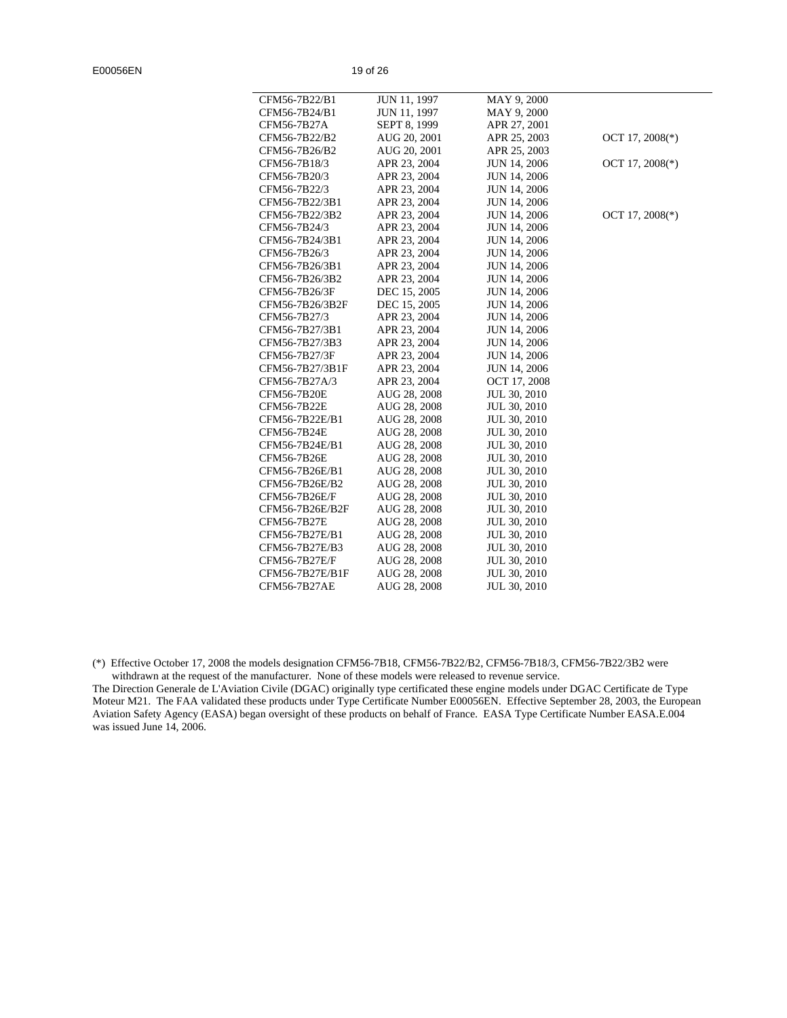| CFM56-7B22/B1      | JUN 11, 1997 | MAY 9, 2000         |                   |
|--------------------|--------------|---------------------|-------------------|
| CFM56-7B24/B1      | JUN 11, 1997 | MAY 9, 2000         |                   |
| CFM56-7B27A        | SEPT 8, 1999 | APR 27, 2001        |                   |
| CFM56-7B22/B2      | AUG 20, 2001 | APR 25, 2003        | OCT 17, $2008(*)$ |
| CFM56-7B26/B2      | AUG 20, 2001 | APR 25, 2003        |                   |
| CFM56-7B18/3       | APR 23, 2004 | <b>JUN 14, 2006</b> | OCT 17, $2008(*)$ |
| CFM56-7B20/3       | APR 23, 2004 | <b>JUN 14, 2006</b> |                   |
| CFM56-7B22/3       | APR 23, 2004 | <b>JUN 14, 2006</b> |                   |
| CFM56-7B22/3B1     | APR 23, 2004 | <b>JUN 14, 2006</b> |                   |
| CFM56-7B22/3B2     | APR 23, 2004 | <b>JUN 14, 2006</b> | OCT 17, $2008(*)$ |
| CFM56-7B24/3       | APR 23, 2004 | <b>JUN 14, 2006</b> |                   |
| CFM56-7B24/3B1     | APR 23, 2004 | <b>JUN 14, 2006</b> |                   |
| CFM56-7B26/3       | APR 23, 2004 | <b>JUN 14, 2006</b> |                   |
| CFM56-7B26/3B1     | APR 23, 2004 | <b>JUN 14, 2006</b> |                   |
| CFM56-7B26/3B2     | APR 23, 2004 | <b>JUN 14, 2006</b> |                   |
| CFM56-7B26/3F      | DEC 15, 2005 | <b>JUN 14, 2006</b> |                   |
| CFM56-7B26/3B2F    | DEC 15, 2005 | <b>JUN 14, 2006</b> |                   |
| CFM56-7B27/3       | APR 23, 2004 | JUN 14, 2006        |                   |
| CFM56-7B27/3B1     | APR 23, 2004 | <b>JUN 14, 2006</b> |                   |
| CFM56-7B27/3B3     | APR 23, 2004 | <b>JUN 14, 2006</b> |                   |
| CFM56-7B27/3F      | APR 23, 2004 | <b>JUN 14, 2006</b> |                   |
| CFM56-7B27/3B1F    | APR 23, 2004 | <b>JUN 14, 2006</b> |                   |
| CFM56-7B27A/3      | APR 23, 2004 | OCT 17, 2008        |                   |
| <b>CFM56-7B20E</b> | AUG 28, 2008 | JUL 30, 2010        |                   |
| <b>CFM56-7B22E</b> | AUG 28, 2008 | JUL 30, 2010        |                   |
| CFM56-7B22E/B1     | AUG 28, 2008 | JUL 30, 2010        |                   |
| <b>CFM56-7B24E</b> | AUG 28, 2008 | JUL 30, 2010        |                   |
| CFM56-7B24E/B1     | AUG 28, 2008 | JUL 30, 2010        |                   |
| CFM56-7B26E        | AUG 28, 2008 | JUL 30, 2010        |                   |
| CFM56-7B26E/B1     | AUG 28, 2008 | JUL 30, 2010        |                   |
| CFM56-7B26E/B2     | AUG 28, 2008 | JUL 30, 2010        |                   |
| CFM56-7B26E/F      | AUG 28, 2008 | JUL 30, 2010        |                   |
| CFM56-7B26E/B2F    | AUG 28, 2008 | JUL 30, 2010        |                   |
| CFM56-7B27E        | AUG 28, 2008 | JUL 30, 2010        |                   |
| CFM56-7B27E/B1     | AUG 28, 2008 | JUL 30, 2010        |                   |
| CFM56-7B27E/B3     | AUG 28, 2008 | JUL 30, 2010        |                   |
| CFM56-7B27E/F      | AUG 28, 2008 | JUL 30, 2010        |                   |
| CFM56-7B27E/B1F    | AUG 28, 2008 | JUL 30, 2010        |                   |
| CFM56-7B27AE       | AUG 28, 2008 | JUL 30, 2010        |                   |
|                    |              |                     |                   |

(\*) Effective October 17, 2008 the models designation CFM56-7B18, CFM56-7B22/B2, CFM56-7B18/3, CFM56-7B22/3B2 were withdrawn at the request of the manufacturer. None of these models were released to revenue service.

The Direction Generale de L'Aviation Civile (DGAC) originally type certificated these engine models under DGAC Certificate de Type Moteur M21. The FAA validated these products under Type Certificate Number E00056EN. Effective September 28, 2003, the European Aviation Safety Agency (EASA) began oversight of these products on behalf of France. EASA Type Certificate Number EASA.E.004 was issued June 14, 2006.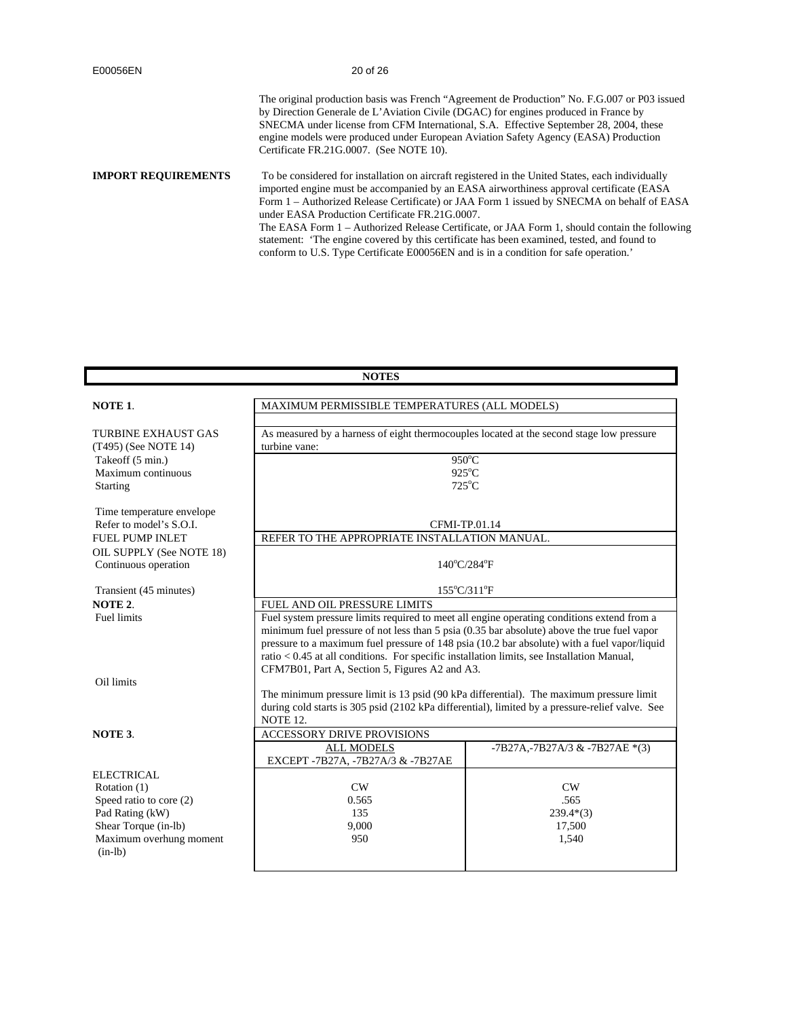The original production basis was French "Agreement de Production" No. F.G.007 or P03 issued by Direction Generale de L'Aviation Civile (DGAC) for engines produced in France by SNECMA under license from CFM International, S.A. Effective September 28, 2004, these engine models were produced under European Aviation Safety Agency (EASA) Production Certificate FR.21G.0007. (See NOTE 10).

**IMPORT REQUIREMENTS** To be considered for installation on aircraft registered in the United States, each individually imported engine must be accompanied by an EASA airworthiness approval certificate (EASA Form 1 – Authorized Release Certificate) or JAA Form 1 issued by SNECMA on behalf of EASA under EASA Production Certificate FR.21G.0007. The EASA Form 1 – Authorized Release Certificate, or JAA Form 1, should contain the following statement: 'The engine covered by this certificate has been examined, tested, and found to conform to U.S. Type Certificate E00056EN and is in a condition for safe operation.'

| <b>NOTES</b>                                       |                                                                                                                                                |                                       |  |
|----------------------------------------------------|------------------------------------------------------------------------------------------------------------------------------------------------|---------------------------------------|--|
|                                                    |                                                                                                                                                |                                       |  |
| NOTE 1.                                            | MAXIMUM PERMISSIBLE TEMPERATURES (ALL MODELS)                                                                                                  |                                       |  |
|                                                    |                                                                                                                                                |                                       |  |
| <b>TURBINE EXHAUST GAS</b><br>(T495) (See NOTE 14) | As measured by a harness of eight thermocouples located at the second stage low pressure<br>turbine vane:                                      |                                       |  |
| Takeoff (5 min.)                                   |                                                                                                                                                | 950°C                                 |  |
| Maximum continuous                                 |                                                                                                                                                | $925^{\circ}$ C                       |  |
| Starting                                           |                                                                                                                                                | $725^{\circ}$ C                       |  |
| Time temperature envelope                          |                                                                                                                                                |                                       |  |
| Refer to model's S.O.I.                            |                                                                                                                                                | CFMI-TP.01.14                         |  |
| <b>FUEL PUMP INLET</b>                             | REFER TO THE APPROPRIATE INSTALLATION MANUAL.                                                                                                  |                                       |  |
| OIL SUPPLY (See NOTE 18)                           |                                                                                                                                                |                                       |  |
| Continuous operation                               |                                                                                                                                                | $140^{\circ}$ C/284 $^{\circ}$ F      |  |
| Transient (45 minutes)                             |                                                                                                                                                | $155^{\circ}$ C/311 $^{\circ}$ F      |  |
| NOTE 2.                                            | FUEL AND OIL PRESSURE LIMITS                                                                                                                   |                                       |  |
| <b>Fuel limits</b>                                 | Fuel system pressure limits required to meet all engine operating conditions extend from a                                                     |                                       |  |
|                                                    | minimum fuel pressure of not less than 5 psia (0.35 bar absolute) above the true fuel vapor                                                    |                                       |  |
|                                                    | pressure to a maximum fuel pressure of 148 psia (10.2 bar absolute) with a fuel vapor/liquid                                                   |                                       |  |
|                                                    | $ratio < 0.45$ at all conditions. For specific installation limits, see Installation Manual,<br>CFM7B01, Part A, Section 5, Figures A2 and A3. |                                       |  |
| Oil limits                                         |                                                                                                                                                |                                       |  |
|                                                    | The minimum pressure limit is 13 psid (90 kPa differential). The maximum pressure limit                                                        |                                       |  |
|                                                    | during cold starts is 305 psid (2102 kPa differential), limited by a pressure-relief valve. See                                                |                                       |  |
|                                                    | NOTE 12.                                                                                                                                       |                                       |  |
| NOTE 3.                                            | <b>ACCESSORY DRIVE PROVISIONS</b>                                                                                                              |                                       |  |
|                                                    | <b>ALL MODELS</b><br>EXCEPT-7B27A, -7B27A/3 & -7B27AE                                                                                          | $-7B27A$ , $-7B27A/3 & -7B27AE * (3)$ |  |
| ELECTRICAL                                         |                                                                                                                                                |                                       |  |
| Rotation (1)                                       | CW                                                                                                                                             | CW                                    |  |
| Speed ratio to core (2)                            | .565<br>0.565                                                                                                                                  |                                       |  |
| Pad Rating (kW)                                    | 135<br>$239.4*(3)$                                                                                                                             |                                       |  |
| Shear Torque (in-lb)                               | 9,000<br>17,500                                                                                                                                |                                       |  |
| Maximum overhung moment<br>$(in-lb)$               | 950<br>1,540                                                                                                                                   |                                       |  |
|                                                    |                                                                                                                                                |                                       |  |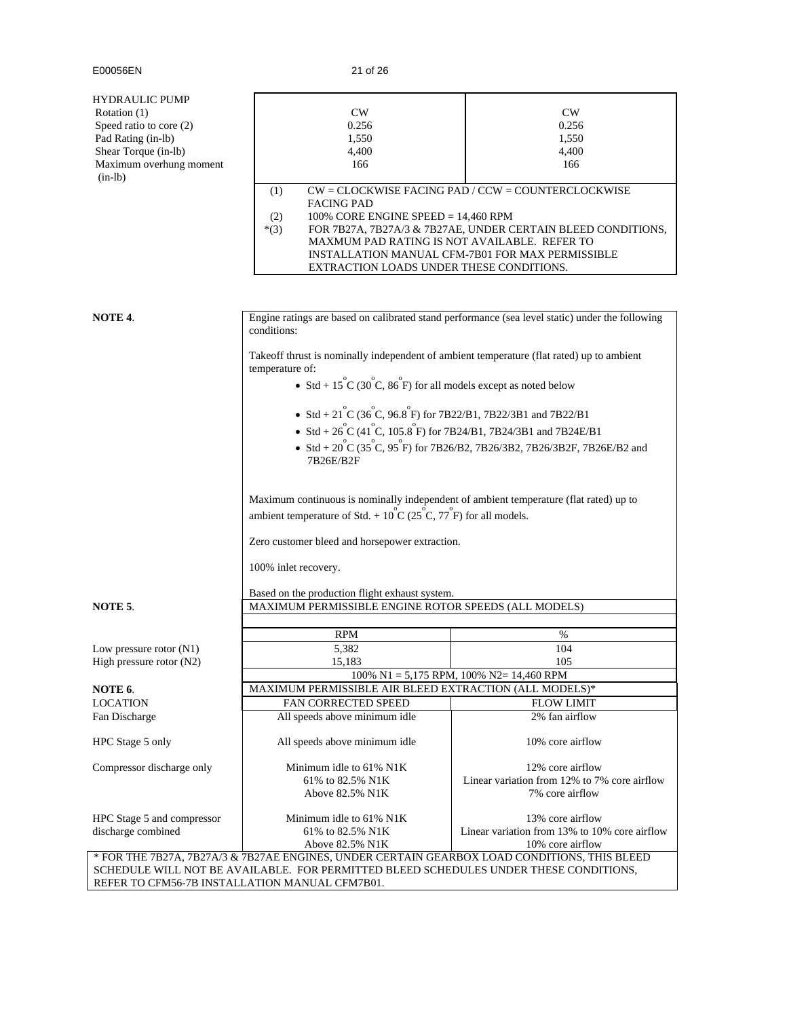| HYDRAULIC PUMP             |                                                                                                                                                                                       |                                                                          |  |  |  |
|----------------------------|---------------------------------------------------------------------------------------------------------------------------------------------------------------------------------------|--------------------------------------------------------------------------|--|--|--|
| Rotation (1)               | CW                                                                                                                                                                                    | CW                                                                       |  |  |  |
| Speed ratio to core (2)    | 0.256                                                                                                                                                                                 | 0.256                                                                    |  |  |  |
| Pad Rating (in-lb)         | 1,550                                                                                                                                                                                 | 1,550                                                                    |  |  |  |
| Shear Torque (in-lb)       | 4,400                                                                                                                                                                                 | 4,400                                                                    |  |  |  |
| Maximum overhung moment    | 166                                                                                                                                                                                   | 166                                                                      |  |  |  |
| $(in-lb)$                  |                                                                                                                                                                                       |                                                                          |  |  |  |
|                            | (1)                                                                                                                                                                                   | $CW = CLOCKWISE$ FACING PAD / $CCW = COUNTERCLOCKWISE$                   |  |  |  |
|                            | <b>FACING PAD</b>                                                                                                                                                                     |                                                                          |  |  |  |
|                            | 100% CORE ENGINE SPEED = 14,460 RPM<br>(2)                                                                                                                                            |                                                                          |  |  |  |
|                            | $*(3)$                                                                                                                                                                                | FOR 7B27A, 7B27A/3 & 7B27AE, UNDER CERTAIN BLEED CONDITIONS,             |  |  |  |
|                            |                                                                                                                                                                                       |                                                                          |  |  |  |
|                            | MAXMUM PAD RATING IS NOT AVAILABLE. REFER TO<br>INSTALLATION MANUAL CFM-7B01 FOR MAX PERMISSIBLE<br>EXTRACTION LOADS UNDER THESE CONDITIONS.                                          |                                                                          |  |  |  |
|                            |                                                                                                                                                                                       |                                                                          |  |  |  |
|                            |                                                                                                                                                                                       |                                                                          |  |  |  |
|                            |                                                                                                                                                                                       |                                                                          |  |  |  |
|                            |                                                                                                                                                                                       |                                                                          |  |  |  |
| NOTE 4.                    | Engine ratings are based on calibrated stand performance (sea level static) under the following                                                                                       |                                                                          |  |  |  |
|                            | conditions:                                                                                                                                                                           |                                                                          |  |  |  |
|                            |                                                                                                                                                                                       |                                                                          |  |  |  |
|                            | Takeoff thrust is nominally independent of ambient temperature (flat rated) up to ambient                                                                                             |                                                                          |  |  |  |
|                            | temperature of:                                                                                                                                                                       |                                                                          |  |  |  |
|                            |                                                                                                                                                                                       |                                                                          |  |  |  |
|                            | • Std + $15^{\circ}$ C (30 $^{\circ}$ C, 86 $^{\circ}$ F) for all models except as noted below                                                                                        |                                                                          |  |  |  |
|                            |                                                                                                                                                                                       |                                                                          |  |  |  |
|                            | • Std + $21^{\circ}$ C (36 $^{\circ}$ C, 96.8 $^{\circ}$ F) for 7B22/B1, 7B22/3B1 and 7B22/B1                                                                                         |                                                                          |  |  |  |
|                            | • Std + $26^{\circ}C$ (41 <sup>°</sup> C, 105.8 <sup>°</sup> F) for 7B24/B1, 7B24/3B1 and 7B24E/B1                                                                                    |                                                                          |  |  |  |
|                            |                                                                                                                                                                                       |                                                                          |  |  |  |
|                            |                                                                                                                                                                                       | • Std + 20 C (35 C, 95 F) for 7B26/B2, 7B26/3B2, 7B26/3B2F, 7B26E/B2 and |  |  |  |
|                            | 7B26E/B2F                                                                                                                                                                             |                                                                          |  |  |  |
|                            |                                                                                                                                                                                       |                                                                          |  |  |  |
|                            | Maximum continuous is nominally independent of ambient temperature (flat rated) up to                                                                                                 |                                                                          |  |  |  |
|                            |                                                                                                                                                                                       |                                                                          |  |  |  |
|                            | ambient temperature of Std. + $10^{\circ}$ C (25 <sup>°</sup> C, 77 <sup>°</sup> F) for all models.                                                                                   |                                                                          |  |  |  |
|                            |                                                                                                                                                                                       |                                                                          |  |  |  |
|                            | Zero customer bleed and horsepower extraction.                                                                                                                                        |                                                                          |  |  |  |
|                            |                                                                                                                                                                                       |                                                                          |  |  |  |
|                            | 100% inlet recovery.                                                                                                                                                                  |                                                                          |  |  |  |
|                            |                                                                                                                                                                                       |                                                                          |  |  |  |
|                            |                                                                                                                                                                                       |                                                                          |  |  |  |
|                            | Based on the production flight exhaust system.                                                                                                                                        |                                                                          |  |  |  |
| NOTE 5.                    | MAXIMUM PERMISSIBLE ENGINE ROTOR SPEEDS (ALL MODELS)                                                                                                                                  |                                                                          |  |  |  |
|                            |                                                                                                                                                                                       |                                                                          |  |  |  |
|                            |                                                                                                                                                                                       |                                                                          |  |  |  |
|                            | <b>RPM</b>                                                                                                                                                                            | %                                                                        |  |  |  |
| Low pressure rotor $(N1)$  | 5,382                                                                                                                                                                                 | 104                                                                      |  |  |  |
| High pressure rotor (N2)   | 15,183                                                                                                                                                                                | 105                                                                      |  |  |  |
|                            |                                                                                                                                                                                       | 100% N1 = 5,175 RPM, 100% N2= 14,460 RPM                                 |  |  |  |
| NOTE 6.                    | MAXIMUM PERMISSIBLE AIR BLEED EXTRACTION (ALL MODELS)*                                                                                                                                |                                                                          |  |  |  |
| <b>LOCATION</b>            | FAN CORRECTED SPEED                                                                                                                                                                   | <b>FLOW LIMIT</b>                                                        |  |  |  |
| Fan Discharge              | All speeds above minimum idle                                                                                                                                                         | 2% fan airflow                                                           |  |  |  |
|                            |                                                                                                                                                                                       |                                                                          |  |  |  |
| HPC Stage 5 only           | All speeds above minimum idle                                                                                                                                                         | 10% core airflow                                                         |  |  |  |
|                            |                                                                                                                                                                                       |                                                                          |  |  |  |
| Compressor discharge only  | Minimum idle to 61% N1K                                                                                                                                                               | 12% core airflow                                                         |  |  |  |
|                            | 61% to 82.5% N1K                                                                                                                                                                      | Linear variation from 12% to 7% core airflow                             |  |  |  |
|                            | Above 82.5% N1K                                                                                                                                                                       | 7% core airflow                                                          |  |  |  |
|                            |                                                                                                                                                                                       |                                                                          |  |  |  |
| HPC Stage 5 and compressor | Minimum idle to 61% N1K                                                                                                                                                               | 13% core airflow                                                         |  |  |  |
| discharge combined         | 61% to 82.5% N1K                                                                                                                                                                      | Linear variation from 13% to 10% core airflow                            |  |  |  |
|                            | Above 82.5% N1K                                                                                                                                                                       | 10% core airflow                                                         |  |  |  |
|                            | * FOR THE 7B27A, 7B27A/3 & 7B27AE ENGINES, UNDER CERTAIN GEARBOX LOAD CONDITIONS, THIS BLEED<br>SCHEDULE WILL NOT BE AVAILABLE. FOR PERMITTED BLEED SCHEDULES UNDER THESE CONDITIONS, |                                                                          |  |  |  |

REFER TO CFM56-7B INSTALLATION MANUAL CFM7B01.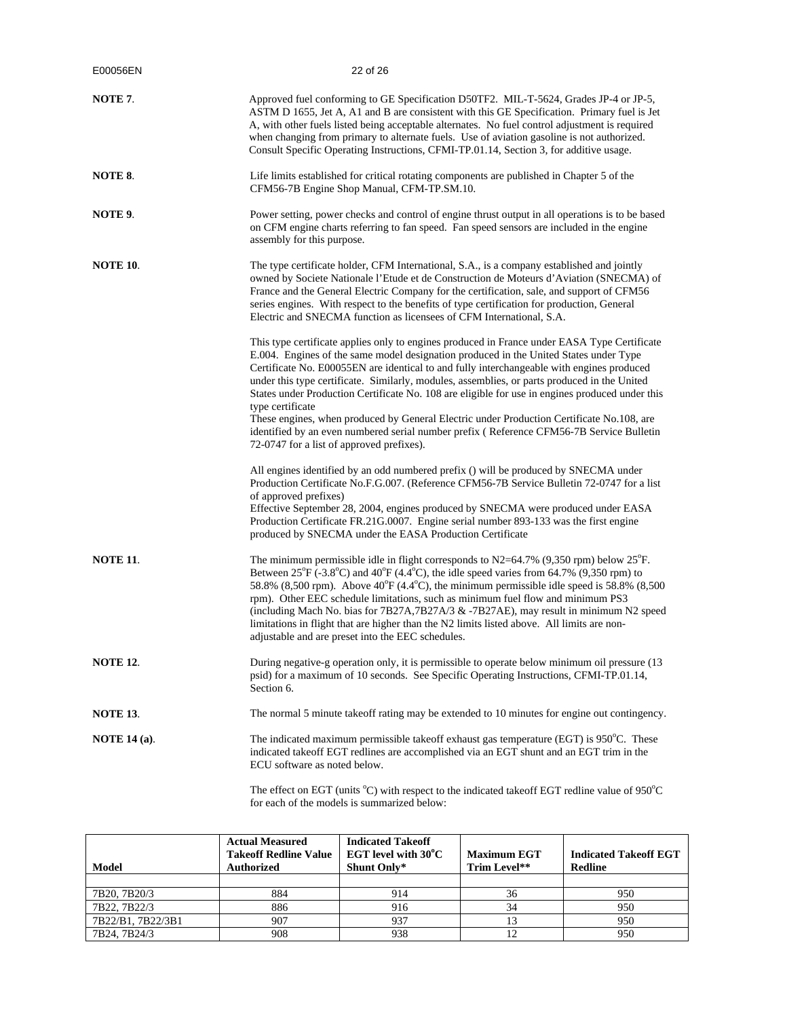| E00056EN            | 22 of 26                                                                                                                                                                                                                                                                                                                                                                                                                                                                                                                                                                                                                                                                                                                                        |
|---------------------|-------------------------------------------------------------------------------------------------------------------------------------------------------------------------------------------------------------------------------------------------------------------------------------------------------------------------------------------------------------------------------------------------------------------------------------------------------------------------------------------------------------------------------------------------------------------------------------------------------------------------------------------------------------------------------------------------------------------------------------------------|
| NOTE 7.             | Approved fuel conforming to GE Specification D50TF2. MIL-T-5624, Grades JP-4 or JP-5,<br>ASTM D 1655, Jet A, A1 and B are consistent with this GE Specification. Primary fuel is Jet<br>A, with other fuels listed being acceptable alternates. No fuel control adjustment is required<br>when changing from primary to alternate fuels. Use of aviation gasoline is not authorized.<br>Consult Specific Operating Instructions, CFMI-TP.01.14, Section 3, for additive usage.                                                                                                                                                                                                                                                                  |
| NOTE 8.             | Life limits established for critical rotating components are published in Chapter 5 of the<br>CFM56-7B Engine Shop Manual, CFM-TP.SM.10.                                                                                                                                                                                                                                                                                                                                                                                                                                                                                                                                                                                                        |
| NOTE 9.             | Power setting, power checks and control of engine thrust output in all operations is to be based<br>on CFM engine charts referring to fan speed. Fan speed sensors are included in the engine<br>assembly for this purpose.                                                                                                                                                                                                                                                                                                                                                                                                                                                                                                                     |
| <b>NOTE 10.</b>     | The type certificate holder, CFM International, S.A., is a company established and jointly<br>owned by Societe Nationale l'Etude et de Construction de Moteurs d'Aviation (SNECMA) of<br>France and the General Electric Company for the certification, sale, and support of CFM56<br>series engines. With respect to the benefits of type certification for production, General<br>Electric and SNECMA function as licensees of CFM International, S.A.                                                                                                                                                                                                                                                                                        |
|                     | This type certificate applies only to engines produced in France under EASA Type Certificate<br>E.004. Engines of the same model designation produced in the United States under Type<br>Certificate No. E00055EN are identical to and fully interchangeable with engines produced<br>under this type certificate. Similarly, modules, assemblies, or parts produced in the United<br>States under Production Certificate No. 108 are eligible for use in engines produced under this<br>type certificate<br>These engines, when produced by General Electric under Production Certificate No.108, are<br>identified by an even numbered serial number prefix (Reference CFM56-7B Service Bulletin<br>72-0747 for a list of approved prefixes). |
|                     | All engines identified by an odd numbered prefix () will be produced by SNECMA under<br>Production Certificate No.F.G.007. (Reference CFM56-7B Service Bulletin 72-0747 for a list<br>of approved prefixes)<br>Effective September 28, 2004, engines produced by SNECMA were produced under EASA<br>Production Certificate FR.21G.0007. Engine serial number 893-133 was the first engine<br>produced by SNECMA under the EASA Production Certificate                                                                                                                                                                                                                                                                                           |
| <b>NOTE 11.</b>     | The minimum permissible idle in flight corresponds to $N2=64.7\%$ (9,350 rpm) below $25^{\circ}$ F.<br>Between $25^{\circ}F$ (-3.8°C) and $40^{\circ}F$ (4.4°C), the idle speed varies from 64.7% (9,350 rpm) to<br>58.8% (8,500 rpm). Above 40°F (4.4°C), the minimum permissible idle speed is 58.8% (8,500<br>rpm). Other EEC schedule limitations, such as minimum fuel flow and minimum PS3<br>(including Mach No. bias for 7B27A,7B27A/3 & -7B27AE), may result in minimum N2 speed<br>limitations in flight that are higher than the N2 limits listed above. All limits are non-<br>adjustable and are preset into the EEC schedules.                                                                                                    |
| <b>NOTE 12.</b>     | During negative-g operation only, it is permissible to operate below minimum oil pressure (13)<br>psid) for a maximum of 10 seconds. See Specific Operating Instructions, CFMI-TP.01.14,<br>Section 6.                                                                                                                                                                                                                                                                                                                                                                                                                                                                                                                                          |
| <b>NOTE 13.</b>     | The normal 5 minute takeoff rating may be extended to 10 minutes for engine out contingency.                                                                                                                                                                                                                                                                                                                                                                                                                                                                                                                                                                                                                                                    |
| <b>NOTE 14 (a).</b> | The indicated maximum permissible takeoff exhaust gas temperature (EGT) is $950^{\circ}$ C. These<br>indicated takeoff EGT redlines are accomplished via an EGT shunt and an EGT trim in the<br>ECU software as noted below.<br>offect on $ECT$ (unite ${}^{0}C$ ) with recreat to the indicated telesoff $ECT$ radling value of $0.50^{\circ}C$                                                                                                                                                                                                                                                                                                                                                                                                |

The effect on EGT (units °C) with respect to the indicated takeoff EGT redline value of 950°C for each of the models is summarized below:

| <b>Model</b>      | <b>Actual Measured</b><br><b>Takeoff Redline Value</b><br><b>Authorized</b> | <b>Indicated Takeoff</b><br>EGT level with $30^{\circ}$ C<br>Shunt Only* | <b>Maximum EGT</b><br>Trim Level** | <b>Indicated Takeoff EGT</b><br><b>Redline</b> |
|-------------------|-----------------------------------------------------------------------------|--------------------------------------------------------------------------|------------------------------------|------------------------------------------------|
|                   |                                                                             |                                                                          |                                    |                                                |
| 7B20, 7B20/3      | 884                                                                         | 914                                                                      | 36                                 | 950                                            |
| 7B22, 7B22/3      | 886                                                                         | 916                                                                      |                                    | 950                                            |
| 7B22/B1, 7B22/3B1 | 907                                                                         | 937                                                                      |                                    | 950                                            |
| 7B24, 7B24/3      | 908                                                                         | 938                                                                      |                                    | 950                                            |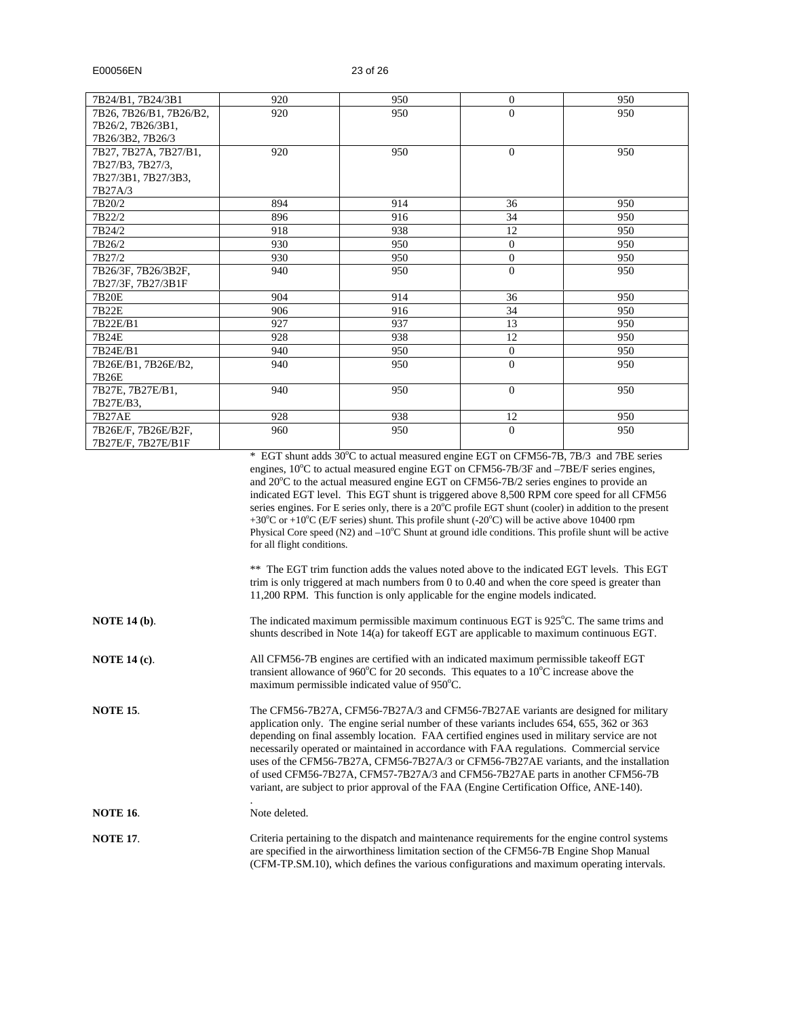| 7B24/B1, 7B24/3B1       | 920 | 950 | $\Omega$       | 950 |
|-------------------------|-----|-----|----------------|-----|
| 7B26, 7B26/B1, 7B26/B2, | 920 | 950 | $\overline{0}$ | 950 |
| 7B26/2, 7B26/3B1,       |     |     |                |     |
| 7B26/3B2, 7B26/3        |     |     |                |     |
| 7B27, 7B27A, 7B27/B1,   | 920 | 950 | $\Omega$       | 950 |
| 7B27/B3, 7B27/3,        |     |     |                |     |
| 7B27/3B1, 7B27/3B3,     |     |     |                |     |
| 7B27A/3                 |     |     |                |     |
| 7B20/2                  | 894 | 914 | 36             | 950 |
| 7B22/2                  | 896 | 916 | 34             | 950 |
| 7B24/2                  | 918 | 938 | 12             | 950 |
| 7B26/2                  | 930 | 950 | $\overline{0}$ | 950 |
| 7B27/2                  | 930 | 950 | $\mathbf{0}$   | 950 |
| 7B26/3F, 7B26/3B2F,     | 940 | 950 | $\overline{0}$ | 950 |
| 7B27/3F, 7B27/3B1F      |     |     |                |     |
| 7B20E                   | 904 | 914 | 36             | 950 |
| 7B22E                   | 906 | 916 | 34             | 950 |
| 7B22E/B1                | 927 | 937 | 13             | 950 |
| 7B24E                   | 928 | 938 | 12             | 950 |
| 7B24E/B1                | 940 | 950 | $\overline{0}$ | 950 |
| 7B26E/B1, 7B26E/B2,     | 940 | 950 | $\Omega$       | 950 |
| 7B26E                   |     |     |                |     |
| 7B27E, 7B27E/B1,        | 940 | 950 | $\Omega$       | 950 |
| 7B27E/B3,               |     |     |                |     |
| <b>7B27AE</b>           | 928 | 938 | 12             | 950 |
| 7B26E/F, 7B26E/B2F,     | 960 | 950 | $\theta$       | 950 |
| 7B27E/F, 7B27E/B1F      |     |     |                |     |

\* EGT shunt adds 30°C to actual measured engine EGT on CFM56-7B, 7B/3 and 7BE series engines,  $10^{\circ}$ C to actual measured engine EGT on CFM56-7B/3F and  $-7BE/F$  series engines, and 20°C to the actual measured engine EGT on CFM56-7B/2 series engines to provide an indicated EGT level. This EGT shunt is triggered above 8,500 RPM core speed for all CFM56 series engines. For E series only, there is a 20°C profile EGT shunt (cooler) in addition to the present +30°C or +10°C (E/F series) shunt. This profile shunt (-20°C) will be active above 10400 rpm Physical Core speed (N2) and -10°C Shunt at ground idle conditions. This profile shunt will be active for all flight conditions.

\*\* The EGT trim function adds the values noted above to the indicated EGT levels. This EGT trim is only triggered at mach numbers from 0 to 0.40 and when the core speed is greater than 11,200 RPM. This function is only applicable for the engine models indicated.

- **NOTE 14 (b).** The indicated maximum permissible maximum continuous EGT is 925<sup>o</sup>C. The same trims and shunts described in Note 14(a) for takeoff EGT are applicable to maximum continuous EGT.
- **NOTE 14 (c).** All CFM56-7B engines are certified with an indicated maximum permissible takeoff EGT transient allowance of 960 $^{\circ}$ C for 20 seconds. This equates to a 10 $^{\circ}$ C increase above the maximum permissible indicated value of 950°C.
- **NOTE 15.** The CFM56-7B27A, CFM56-7B27A/3 and CFM56-7B27AE variants are designed for military application only. The engine serial number of these variants includes 654, 655, 362 or 363 depending on final assembly location. FAA certified engines used in military service are not necessarily operated or maintained in accordance with FAA regulations. Commercial service uses of the CFM56-7B27A, CFM56-7B27A/3 or CFM56-7B27AE variants, and the installation of used CFM56-7B27A, CFM57-7B27A/3 and CFM56-7B27AE parts in another CFM56-7B variant, are subject to prior approval of the FAA (Engine Certification Office, ANE-140).

**NOTE 16.** Note deleted.

.

**NOTE 17.** Criteria pertaining to the dispatch and maintenance requirements for the engine control systems are specified in the airworthiness limitation section of the CFM56-7B Engine Shop Manual (CFM-TP.SM.10), which defines the various configurations and maximum operating intervals.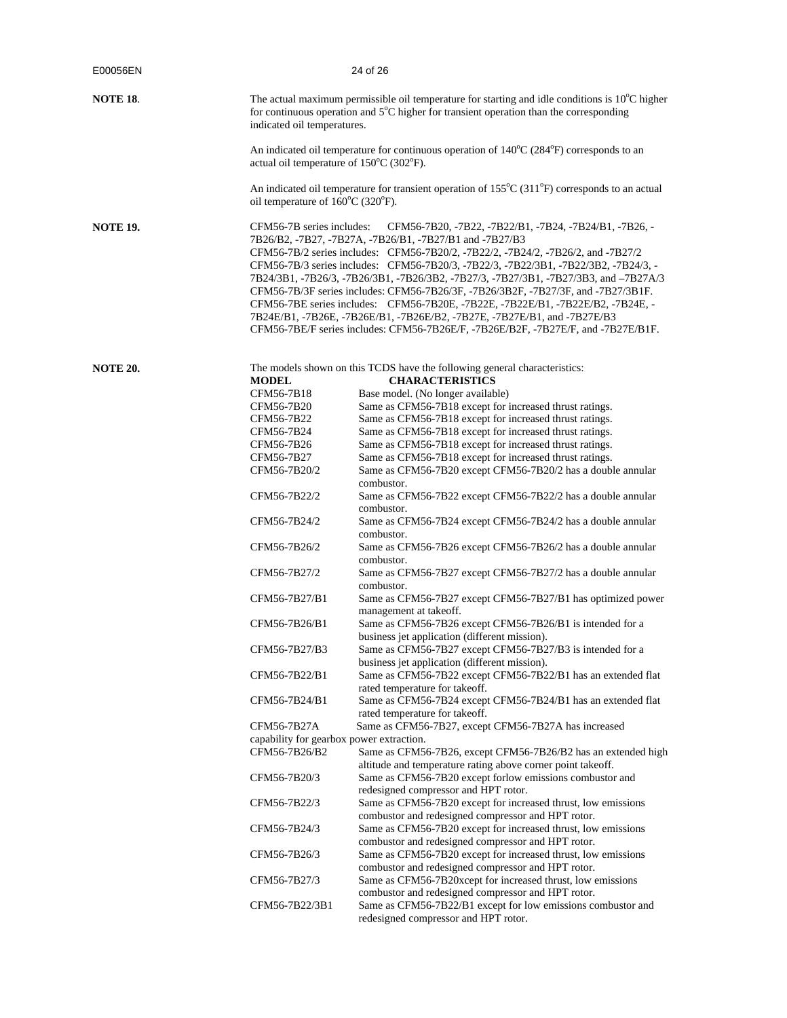| E00056EN        | 24 of 26                                                  |                                                                                                                                                                                                                                                                                                                                                                                                                                                                                                                                                                                                                                                                                                                               |
|-----------------|-----------------------------------------------------------|-------------------------------------------------------------------------------------------------------------------------------------------------------------------------------------------------------------------------------------------------------------------------------------------------------------------------------------------------------------------------------------------------------------------------------------------------------------------------------------------------------------------------------------------------------------------------------------------------------------------------------------------------------------------------------------------------------------------------------|
| <b>NOTE 18.</b> | indicated oil temperatures.                               | The actual maximum permissible oil temperature for starting and idle conditions is $10^{\circ}$ C higher<br>for continuous operation and $5^{\circ}$ C higher for transient operation than the corresponding                                                                                                                                                                                                                                                                                                                                                                                                                                                                                                                  |
|                 | actual oil temperature of 150°C (302°F).                  | An indicated oil temperature for continuous operation of $140^{\circ}C(284^{\circ}F)$ corresponds to an                                                                                                                                                                                                                                                                                                                                                                                                                                                                                                                                                                                                                       |
|                 | oil temperature of 160°C (320°F).                         | An indicated oil temperature for transient operation of $155^{\circ}$ C (311 <sup>°</sup> F) corresponds to an actual                                                                                                                                                                                                                                                                                                                                                                                                                                                                                                                                                                                                         |
| <b>NOTE 19.</b> | CFM56-7B series includes:                                 | CFM56-7B20, -7B22, -7B22/B1, -7B24, -7B24/B1, -7B26, -<br>7B26/B2, -7B27, -7B27A, -7B26/B1, -7B27/B1 and -7B27/B3<br>CFM56-7B/2 series includes: CFM56-7B20/2, -7B22/2, -7B24/2, -7B26/2, and -7B27/2<br>CFM56-7B/3 series includes: CFM56-7B20/3, -7B22/3, -7B22/3B1, -7B22/3B2, -7B24/3, -<br>7B24/3B1, -7B26/3, -7B26/3B1, -7B26/3B2, -7B27/3, -7B27/3B1, -7B27/3B3, and -7B27A/3<br>CFM56-7B/3F series includes: CFM56-7B26/3F, -7B26/3B2F, -7B27/3F, and -7B27/3B1F.<br>CFM56-7BE series includes: CFM56-7B20E, -7B22E, -7B22E/B1, -7B22E/B2, -7B24E, -<br>7B24E/B1, -7B26E, -7B26E/B1, -7B26E/B2, -7B27E, -7B27E/B1, and -7B27E/B3<br>CFM56-7BE/F series includes: CFM56-7B26E/F, -7B26E/B2F, -7B27E/F, and -7B27E/B1F. |
| <b>NOTE 20.</b> | <b>MODEL</b><br>CFM56-7B18                                | The models shown on this TCDS have the following general characteristics:<br><b>CHARACTERISTICS</b><br>Base model. (No longer available)                                                                                                                                                                                                                                                                                                                                                                                                                                                                                                                                                                                      |
|                 | CFM56-7B20<br>CFM56-7B22                                  | Same as CFM56-7B18 except for increased thrust ratings.<br>Same as CFM56-7B18 except for increased thrust ratings.                                                                                                                                                                                                                                                                                                                                                                                                                                                                                                                                                                                                            |
|                 | CFM56-7B24                                                | Same as CFM56-7B18 except for increased thrust ratings.                                                                                                                                                                                                                                                                                                                                                                                                                                                                                                                                                                                                                                                                       |
|                 | CFM56-7B26                                                | Same as CFM56-7B18 except for increased thrust ratings.                                                                                                                                                                                                                                                                                                                                                                                                                                                                                                                                                                                                                                                                       |
|                 | CFM56-7B27<br>CFM56-7B20/2                                | Same as CFM56-7B18 except for increased thrust ratings.<br>Same as CFM56-7B20 except CFM56-7B20/2 has a double annular                                                                                                                                                                                                                                                                                                                                                                                                                                                                                                                                                                                                        |
|                 |                                                           | combustor.                                                                                                                                                                                                                                                                                                                                                                                                                                                                                                                                                                                                                                                                                                                    |
|                 | CFM56-7B22/2                                              | Same as CFM56-7B22 except CFM56-7B22/2 has a double annular<br>combustor.                                                                                                                                                                                                                                                                                                                                                                                                                                                                                                                                                                                                                                                     |
|                 | CFM56-7B24/2                                              | Same as CFM56-7B24 except CFM56-7B24/2 has a double annular<br>combustor.                                                                                                                                                                                                                                                                                                                                                                                                                                                                                                                                                                                                                                                     |
|                 | CFM56-7B26/2                                              | Same as CFM56-7B26 except CFM56-7B26/2 has a double annular<br>combustor.                                                                                                                                                                                                                                                                                                                                                                                                                                                                                                                                                                                                                                                     |
|                 | CFM56-7B27/2                                              | Same as CFM56-7B27 except CFM56-7B27/2 has a double annular<br>combustor.                                                                                                                                                                                                                                                                                                                                                                                                                                                                                                                                                                                                                                                     |
|                 | CFM56-7B27/B1                                             | Same as CFM56-7B27 except CFM56-7B27/B1 has optimized power<br>management at takeoff.                                                                                                                                                                                                                                                                                                                                                                                                                                                                                                                                                                                                                                         |
|                 | CFM56-7B26/B1                                             | Same as CFM56-7B26 except CFM56-7B26/B1 is intended for a<br>business jet application (different mission).                                                                                                                                                                                                                                                                                                                                                                                                                                                                                                                                                                                                                    |
|                 | CFM56-7B27/B3                                             | Same as CFM56-7B27 except CFM56-7B27/B3 is intended for a<br>business jet application (different mission).                                                                                                                                                                                                                                                                                                                                                                                                                                                                                                                                                                                                                    |
|                 | CFM56-7B22/B1                                             | Same as CFM56-7B22 except CFM56-7B22/B1 has an extended flat<br>rated temperature for takeoff.                                                                                                                                                                                                                                                                                                                                                                                                                                                                                                                                                                                                                                |
|                 | CFM56-7B24/B1                                             | Same as CFM56-7B24 except CFM56-7B24/B1 has an extended flat<br>rated temperature for takeoff.                                                                                                                                                                                                                                                                                                                                                                                                                                                                                                                                                                                                                                |
|                 | CFM56-7B27A                                               | Same as CFM56-7B27, except CFM56-7B27A has increased                                                                                                                                                                                                                                                                                                                                                                                                                                                                                                                                                                                                                                                                          |
|                 | capability for gearbox power extraction.<br>CFM56-7B26/B2 | Same as CFM56-7B26, except CFM56-7B26/B2 has an extended high                                                                                                                                                                                                                                                                                                                                                                                                                                                                                                                                                                                                                                                                 |
|                 | CFM56-7B20/3                                              | altitude and temperature rating above corner point takeoff.<br>Same as CFM56-7B20 except for low emissions combustor and                                                                                                                                                                                                                                                                                                                                                                                                                                                                                                                                                                                                      |
|                 |                                                           | redesigned compressor and HPT rotor.                                                                                                                                                                                                                                                                                                                                                                                                                                                                                                                                                                                                                                                                                          |
|                 | CFM56-7B22/3                                              | Same as CFM56-7B20 except for increased thrust, low emissions<br>combustor and redesigned compressor and HPT rotor.                                                                                                                                                                                                                                                                                                                                                                                                                                                                                                                                                                                                           |
|                 | CFM56-7B24/3                                              | Same as CFM56-7B20 except for increased thrust, low emissions<br>combustor and redesigned compressor and HPT rotor.                                                                                                                                                                                                                                                                                                                                                                                                                                                                                                                                                                                                           |
|                 | CFM56-7B26/3                                              | Same as CFM56-7B20 except for increased thrust, low emissions<br>combustor and redesigned compressor and HPT rotor.                                                                                                                                                                                                                                                                                                                                                                                                                                                                                                                                                                                                           |
|                 | CFM56-7B27/3                                              | Same as CFM56-7B20xcept for increased thrust, low emissions                                                                                                                                                                                                                                                                                                                                                                                                                                                                                                                                                                                                                                                                   |
|                 | CFM56-7B22/3B1                                            | combustor and redesigned compressor and HPT rotor.<br>Same as CFM56-7B22/B1 except for low emissions combustor and<br>redesigned compressor and HPT rotor.                                                                                                                                                                                                                                                                                                                                                                                                                                                                                                                                                                    |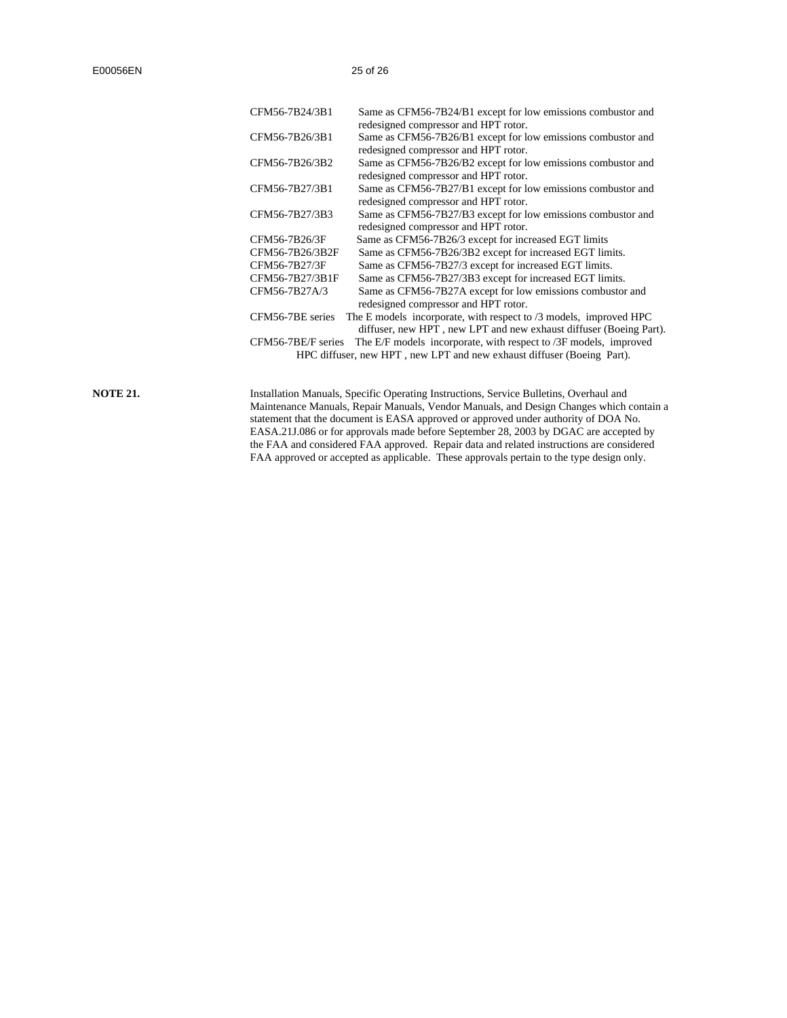| CFM56-7B24/3B1     | Same as CFM56-7B24/B1 except for low emissions combustor and           |
|--------------------|------------------------------------------------------------------------|
|                    | redesigned compressor and HPT rotor.                                   |
| CFM56-7B26/3B1     | Same as CFM56-7B26/B1 except for low emissions combustor and           |
|                    | redesigned compressor and HPT rotor.                                   |
| CFM56-7B26/3B2     | Same as CFM56-7B26/B2 except for low emissions combustor and           |
|                    | redesigned compressor and HPT rotor.                                   |
| CFM56-7B27/3B1     | Same as CFM56-7B27/B1 except for low emissions combustor and           |
|                    | redesigned compressor and HPT rotor.                                   |
| CFM56-7B27/3B3     | Same as CFM56-7B27/B3 except for low emissions combustor and           |
|                    | redesigned compressor and HPT rotor.                                   |
| CFM56-7B26/3F      | Same as CFM56-7B26/3 except for increased EGT limits                   |
| CFM56-7B26/3B2F    | Same as CFM56-7B26/3B2 except for increased EGT limits.                |
| CFM56-7B27/3F      | Same as CFM56-7B27/3 except for increased EGT limits.                  |
| CFM56-7B27/3B1F    | Same as CFM56-7B27/3B3 except for increased EGT limits.                |
| CFM56-7B27A/3      | Same as CFM56-7B27A except for low emissions combustor and             |
|                    | redesigned compressor and HPT rotor.                                   |
| CFM56-7BE series   | The E models incorporate, with respect to $/3$ models, improved HPC    |
|                    | diffuser, new HPT, new LPT and new exhaust diffuser (Boeing Part).     |
| CFM56-7BE/F series | The E/F models incorporate, with respect to /3F models, improved       |
|                    | HPC diffuser, new HPT, new LPT and new exhaust diffuser (Boeing Part). |
|                    |                                                                        |

**NOTE 21.**

Installation Manuals, Specific Operating Instructions, Service Bulletins, Overhaul and Maintenance Manuals, Repair Manuals, Vendor Manuals, and Design Changes which contain a statement that the document is EASA approved or approved under authority of DOA No. EASA.21J.086 or for approvals made before September 28, 2003 by DGAC are accepted by the FAA and considered FAA approved. Repair data and related instructions are considered FAA approved or accepted as applicable. These approvals pertain to the type design only.